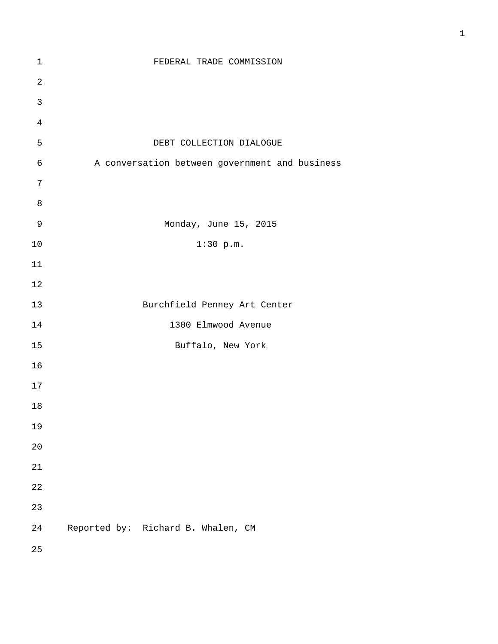| $\mathbf 1$    | FEDERAL TRADE COMMISSION                       |
|----------------|------------------------------------------------|
| $\sqrt{2}$     |                                                |
| $\mathbf{3}$   |                                                |
| $\,4$          |                                                |
| 5              | DEBT COLLECTION DIALOGUE                       |
| $\epsilon$     | A conversation between government and business |
| $\overline{7}$ |                                                |
| 8              |                                                |
| $\mathcal{G}$  | Monday, June 15, 2015                          |
| $10$           | $1:30$ p.m.                                    |
| $11\,$         |                                                |
| $1\,2$         |                                                |
| 13             | Burchfield Penney Art Center                   |
| $1\,4$         | 1300 Elmwood Avenue                            |
| 15             | Buffalo, New York                              |
| 16             |                                                |
| $17\,$         |                                                |
| $18\,$         |                                                |
| 19             |                                                |
| $20$           |                                                |
| 21             |                                                |
| 22             |                                                |
| 23             |                                                |
| 24             | Reported by: Richard B. Whalen, CM             |
| 25             |                                                |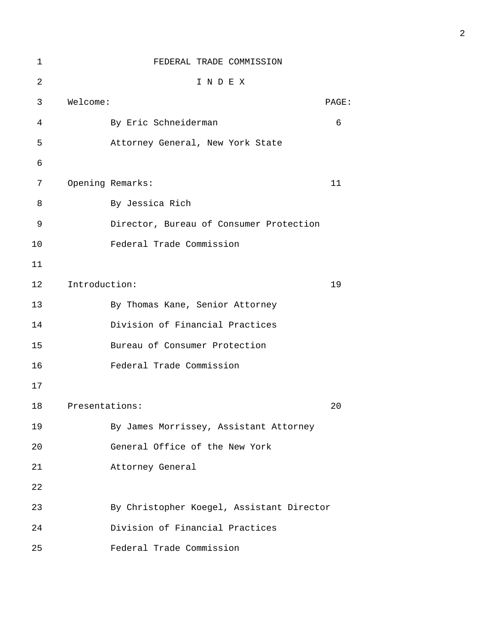| 1  |                | FEDERAL TRADE COMMISSION                  |       |
|----|----------------|-------------------------------------------|-------|
| 2  |                | INDEX                                     |       |
| 3  | Welcome:       |                                           | PAGE: |
| 4  |                | By Eric Schneiderman                      | 6     |
| 5  |                | Attorney General, New York State          |       |
| 6  |                |                                           |       |
| 7  |                | Opening Remarks:                          | 11    |
| 8  |                | By Jessica Rich                           |       |
| 9  |                | Director, Bureau of Consumer Protection   |       |
| 10 |                | Federal Trade Commission                  |       |
| 11 |                |                                           |       |
| 12 | Introduction:  |                                           | 19    |
| 13 |                | By Thomas Kane, Senior Attorney           |       |
| 14 |                | Division of Financial Practices           |       |
| 15 |                | Bureau of Consumer Protection             |       |
| 16 |                | Federal Trade Commission                  |       |
| 17 |                |                                           |       |
| 18 | Presentations: |                                           | 20    |
| 19 |                | By James Morrissey, Assistant Attorney    |       |
| 20 |                | General Office of the New York            |       |
| 21 |                | Attorney General                          |       |
| 22 |                |                                           |       |
| 23 |                | By Christopher Koegel, Assistant Director |       |
| 24 |                | Division of Financial Practices           |       |
| 25 |                | Federal Trade Commission                  |       |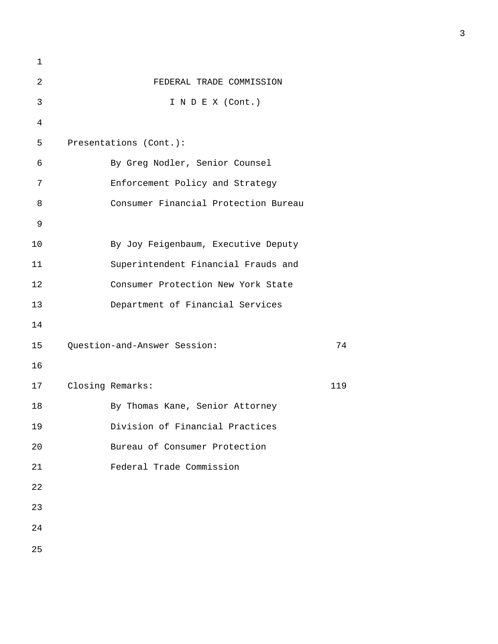| 1  |                                      |     |
|----|--------------------------------------|-----|
| 2  | FEDERAL TRADE COMMISSION             |     |
| 3  | I N D E X (Cont.)                    |     |
| 4  |                                      |     |
| 5  | Presentations (Cont.):               |     |
| 6  | By Greg Nodler, Senior Counsel       |     |
| 7  | Enforcement Policy and Strategy      |     |
| 8  | Consumer Financial Protection Bureau |     |
| 9  |                                      |     |
| 10 | By Joy Feigenbaum, Executive Deputy  |     |
| 11 | Superintendent Financial Frauds and  |     |
| 12 | Consumer Protection New York State   |     |
| 13 | Department of Financial Services     |     |
| 14 |                                      |     |
| 15 | Question-and-Answer Session:         | 74  |
| 16 |                                      |     |
| 17 | Closing Remarks:                     | 119 |
| 18 | By Thomas Kane, Senior Attorney      |     |
| 19 | Division of Financial Practices      |     |
| 20 | Bureau of Consumer Protection        |     |
| 21 | Federal Trade Commission             |     |
| 22 |                                      |     |
| 23 |                                      |     |
| 24 |                                      |     |
| 25 |                                      |     |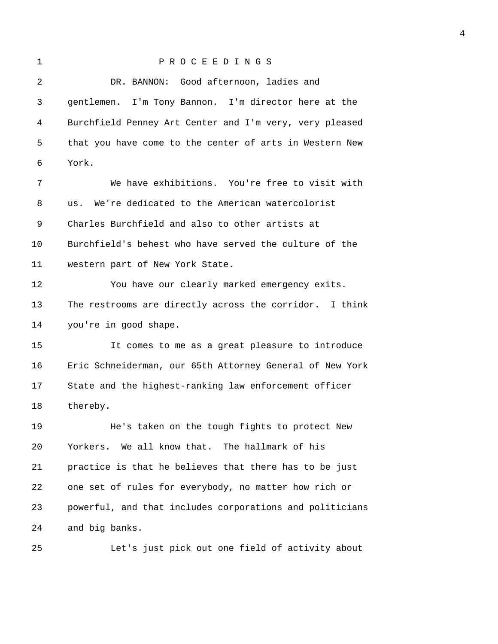## 1 P R O C E E D I N G S 2 DR. BANNON: Good afternoon, ladies and 3 gentlemen. I'm Tony Bannon. I'm director here at the 4 Burchfield Penney Art Center and I'm very, very pleased 5 that you have come to the center of arts in Western New 6 York. 7 We have exhibitions. You're free to visit with 8 us. We're dedicated to the American watercolorist 9 Charles Burchfield and also to other artists at 10 Burchfield's behest who have served the culture of the 11 western part of New York State. 12 You have our clearly marked emergency exits. 13 The restrooms are directly across the corridor. I think 14 you're in good shape. 15 It comes to me as a great pleasure to introduce 16 Eric Schneiderman, our 65th Attorney General of New York 17 State and the highest-ranking law enforcement officer 18 thereby. 19 He's taken on the tough fights to protect New 20 Yorkers. We all know that. The hallmark of his 21 practice is that he believes that there has to be just

22 one set of rules for everybody, no matter how rich or 23 powerful, and that includes corporations and politicians 24 and big banks.

25 Let's just pick out one field of activity about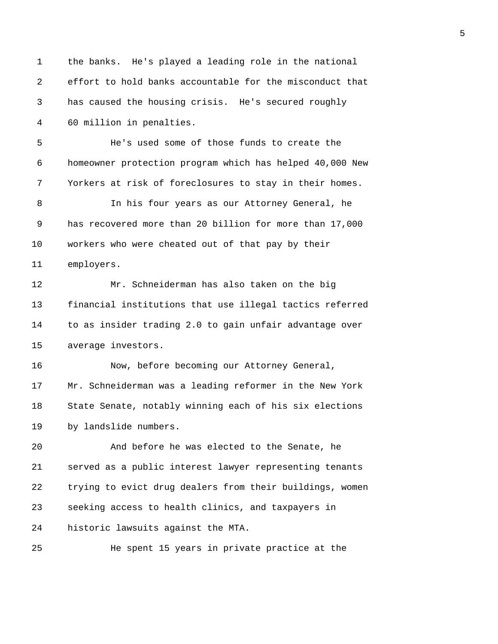| $\mathbf 1$ | the banks. He's played a leading role in the national    |
|-------------|----------------------------------------------------------|
| 2           | effort to hold banks accountable for the misconduct that |
| 3           | has caused the housing crisis. He's secured roughly      |
| 4           | 60 million in penalties.                                 |
| 5           | He's used some of those funds to create the              |
| 6           | homeowner protection program which has helped 40,000 New |
| 7           | Yorkers at risk of foreclosures to stay in their homes.  |
| 8           | In his four years as our Attorney General, he            |
| 9           | has recovered more than 20 billion for more than 17,000  |
| 10          | workers who were cheated out of that pay by their        |
| 11          | employers.                                               |
| 12          | Mr. Schneiderman has also taken on the big               |
| 13          | financial institutions that use illegal tactics referred |
| 14          | to as insider trading 2.0 to gain unfair advantage over  |
| 15          | average investors.                                       |
| 16          | Now, before becoming our Attorney General,               |
| 17          | Mr. Schneiderman was a leading reformer in the New York  |
| 18          | State Senate, notably winning each of his six elections  |
| 19          | by landslide numbers.                                    |
| 20          | And before he was elected to the Senate, he              |
| 21          | served as a public interest lawyer representing tenants  |
| 22          | trying to evict drug dealers from their buildings, women |
| 23          | seeking access to health clinics, and taxpayers in       |
| 24          | historic lawsuits against the MTA.                       |
| 25          | He spent 15 years in private practice at the             |
|             |                                                          |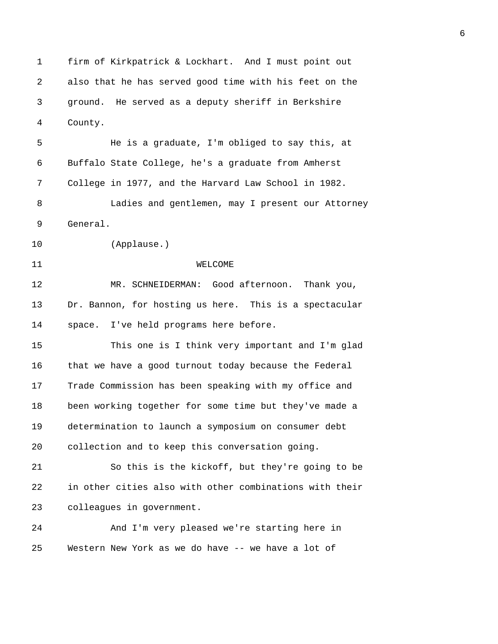1 firm of Kirkpatrick & Lockhart. And I must point out 2 also that he has served good time with his feet on the 3 ground. He served as a deputy sheriff in Berkshire 4 County. 5 He is a graduate, I'm obliged to say this, at 6 Buffalo State College, he's a graduate from Amherst 7 College in 1977, and the Harvard Law School in 1982. 8 Ladies and gentlemen, may I present our Attorney 9 General. 10 (Applause.) 11 WELCOME 12 MR. SCHNEIDERMAN: Good afternoon. Thank you, 13 Dr. Bannon, for hosting us here. This is a spectacular 14 space. I've held programs here before. 15 This one is I think very important and I'm glad 16 that we have a good turnout today because the Federal 17 Trade Commission has been speaking with my office and 18 been working together for some time but they've made a 19 determination to launch a symposium on consumer debt 20 collection and to keep this conversation going. 21 So this is the kickoff, but they're going to be 22 in other cities also with other combinations with their 23 colleagues in government. 24 And I'm very pleased we're starting here in 25 Western New York as we do have -- we have a lot of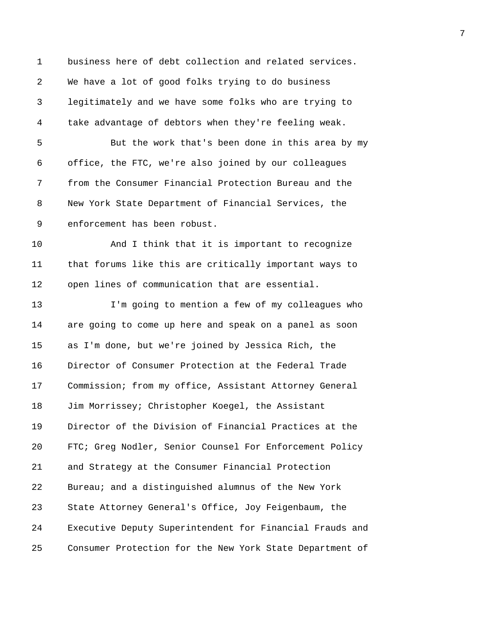1 business here of debt collection and related services. 2 We have a lot of good folks trying to do business 3 legitimately and we have some folks who are trying to 4 take advantage of debtors when they're feeling weak. 5 But the work that's been done in this area by my 6 office, the FTC, we're also joined by our colleagues 7 from the Consumer Financial Protection Bureau and the 8 New York State Department of Financial Services, the 9 enforcement has been robust. 10 And I think that it is important to recognize 11 that forums like this are critically important ways to 12 open lines of communication that are essential. 13 I'm going to mention a few of my colleagues who 14 are going to come up here and speak on a panel as soon 15 as I'm done, but we're joined by Jessica Rich, the 16 Director of Consumer Protection at the Federal Trade 17 Commission; from my office, Assistant Attorney General 18 Jim Morrissey; Christopher Koegel, the Assistant 19 Director of the Division of Financial Practices at the 20 FTC; Greg Nodler, Senior Counsel For Enforcement Policy 21 and Strategy at the Consumer Financial Protection 22 Bureau; and a distinguished alumnus of the New York 23 State Attorney General's Office, Joy Feigenbaum, the 24 Executive Deputy Superintendent for Financial Frauds and 25 Consumer Protection for the New York State Department of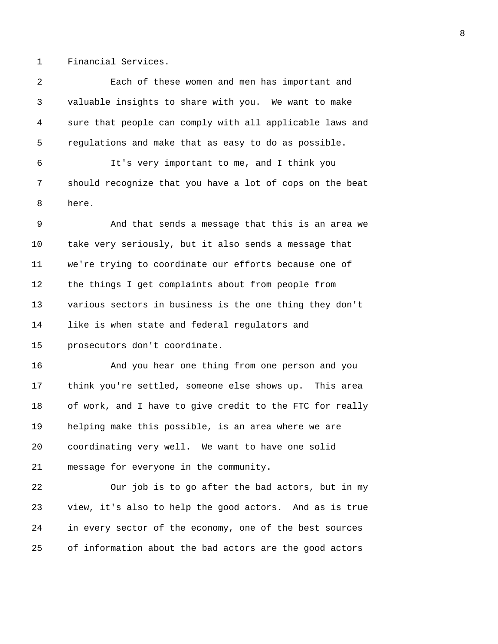1 Financial Services.

2 Each of these women and men has important and 3 valuable insights to share with you. We want to make 4 sure that people can comply with all applicable laws and 5 regulations and make that as easy to do as possible. 6 It's very important to me, and I think you 7 should recognize that you have a lot of cops on the beat 8 here. 9 And that sends a message that this is an area we 10 take very seriously, but it also sends a message that 11 we're trying to coordinate our efforts because one of 12 the things I get complaints about from people from 13 various sectors in business is the one thing they don't 14 like is when state and federal regulators and 15 prosecutors don't coordinate.

16 And you hear one thing from one person and you 17 think you're settled, someone else shows up. This area 18 of work, and I have to give credit to the FTC for really 19 helping make this possible, is an area where we are 20 coordinating very well. We want to have one solid 21 message for everyone in the community.

22 Our job is to go after the bad actors, but in my 23 view, it's also to help the good actors. And as is true 24 in every sector of the economy, one of the best sources 25 of information about the bad actors are the good actors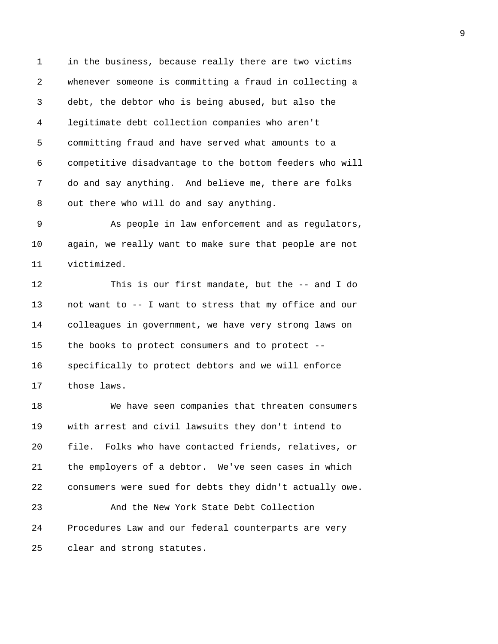1 in the business, because really there are two victims 2 whenever someone is committing a fraud in collecting a 3 debt, the debtor who is being abused, but also the 4 legitimate debt collection companies who aren't 5 committing fraud and have served what amounts to a 6 competitive disadvantage to the bottom feeders who will 7 do and say anything. And believe me, there are folks 8 out there who will do and say anything.

9 As people in law enforcement and as regulators, 10 again, we really want to make sure that people are not 11 victimized.

12 This is our first mandate, but the -- and I do 13 not want to -- I want to stress that my office and our 14 colleagues in government, we have very strong laws on 15 the books to protect consumers and to protect -- 16 specifically to protect debtors and we will enforce 17 those laws.

18 We have seen companies that threaten consumers 19 with arrest and civil lawsuits they don't intend to 20 file. Folks who have contacted friends, relatives, or 21 the employers of a debtor. We've seen cases in which 22 consumers were sued for debts they didn't actually owe. 23 And the New York State Debt Collection 24 Procedures Law and our federal counterparts are very

25 clear and strong statutes.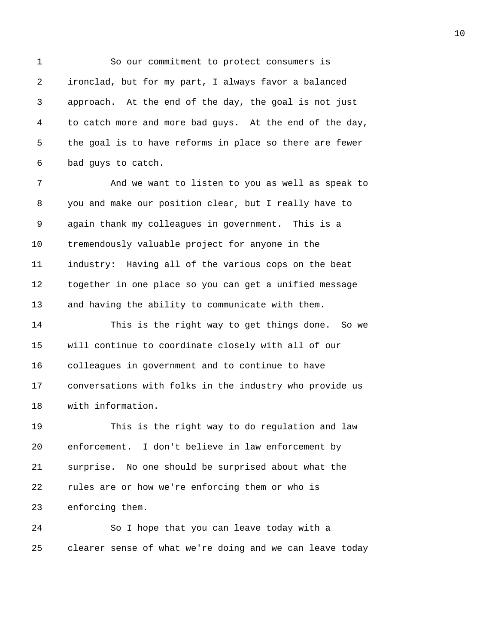1 So our commitment to protect consumers is 2 ironclad, but for my part, I always favor a balanced 3 approach. At the end of the day, the goal is not just 4 to catch more and more bad guys. At the end of the day, 5 the goal is to have reforms in place so there are fewer 6 bad guys to catch. 7 And we want to listen to you as well as speak to 8 you and make our position clear, but I really have to

9 again thank my colleagues in government. This is a 10 tremendously valuable project for anyone in the 11 industry: Having all of the various cops on the beat 12 together in one place so you can get a unified message 13 and having the ability to communicate with them.

14 This is the right way to get things done. So we 15 will continue to coordinate closely with all of our 16 colleagues in government and to continue to have 17 conversations with folks in the industry who provide us 18 with information.

19 This is the right way to do regulation and law 20 enforcement. I don't believe in law enforcement by 21 surprise. No one should be surprised about what the 22 rules are or how we're enforcing them or who is 23 enforcing them.

24 So I hope that you can leave today with a 25 clearer sense of what we're doing and we can leave today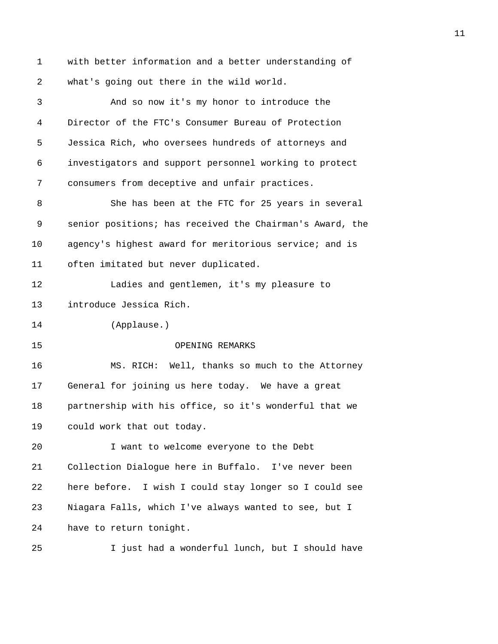1 with better information and a better understanding of 2 what's going out there in the wild world. 3 And so now it's my honor to introduce the 4 Director of the FTC's Consumer Bureau of Protection 5 Jessica Rich, who oversees hundreds of attorneys and 6 investigators and support personnel working to protect 7 consumers from deceptive and unfair practices. 8 She has been at the FTC for 25 years in several 9 senior positions; has received the Chairman's Award, the 10 agency's highest award for meritorious service; and is 11 often imitated but never duplicated. 12 Ladies and gentlemen, it's my pleasure to 13 introduce Jessica Rich. 14 (Applause.) 15 OPENING REMARKS 16 MS. RICH: Well, thanks so much to the Attorney 17 General for joining us here today. We have a great 18 partnership with his office, so it's wonderful that we 19 could work that out today. 20 I want to welcome everyone to the Debt 21 Collection Dialogue here in Buffalo. I've never been 22 here before. I wish I could stay longer so I could see 23 Niagara Falls, which I've always wanted to see, but I 24 have to return tonight. 25 I just had a wonderful lunch, but I should have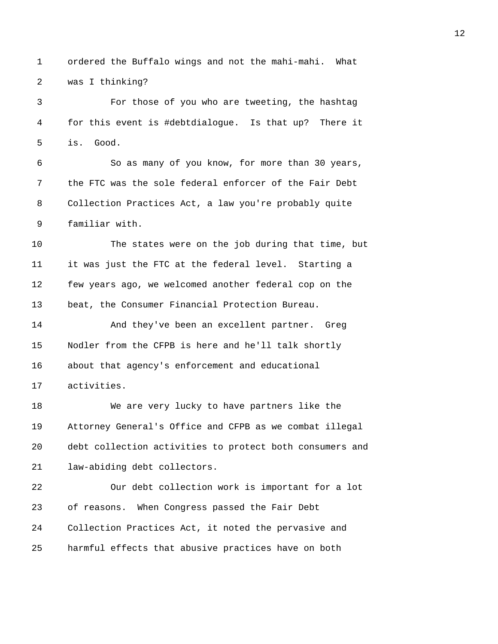1 ordered the Buffalo wings and not the mahi-mahi. What 2 was I thinking?

3 For those of you who are tweeting, the hashtag 4 for this event is #debtdialogue. Is that up? There it 5 is. Good.

6 So as many of you know, for more than 30 years, 7 the FTC was the sole federal enforcer of the Fair Debt 8 Collection Practices Act, a law you're probably quite 9 familiar with.

10 The states were on the job during that time, but 11 it was just the FTC at the federal level. Starting a 12 few years ago, we welcomed another federal cop on the 13 beat, the Consumer Financial Protection Bureau.

14 And they've been an excellent partner. Greg 15 Nodler from the CFPB is here and he'll talk shortly 16 about that agency's enforcement and educational 17 activities.

18 We are very lucky to have partners like the 19 Attorney General's Office and CFPB as we combat illegal 20 debt collection activities to protect both consumers and 21 law-abiding debt collectors.

22 Our debt collection work is important for a lot 23 of reasons. When Congress passed the Fair Debt 24 Collection Practices Act, it noted the pervasive and 25 harmful effects that abusive practices have on both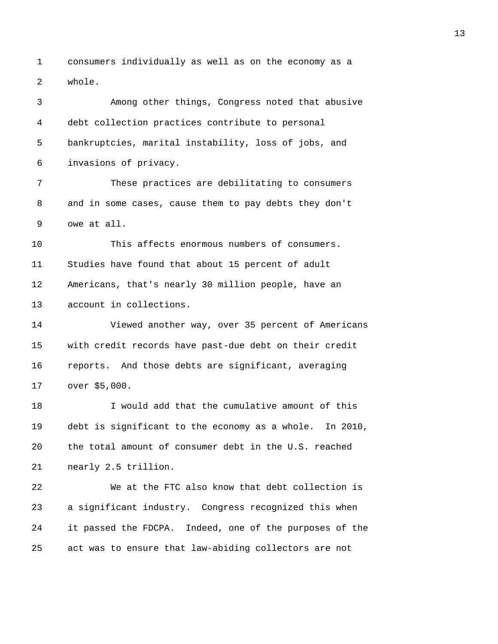1 consumers individually as well as on the economy as a 2 whole.

3 Among other things, Congress noted that abusive 4 debt collection practices contribute to personal 5 bankruptcies, marital instability, loss of jobs, and 6 invasions of privacy. 7 These practices are debilitating to consumers 8 and in some cases, cause them to pay debts they don't 9 owe at all. 10 This affects enormous numbers of consumers. 11 Studies have found that about 15 percent of adult 12 Americans, that's nearly 30 million people, have an 13 account in collections. 14 Viewed another way, over 35 percent of Americans 15 with credit records have past-due debt on their credit 16 reports. And those debts are significant, averaging 17 over \$5,000. 18 I would add that the cumulative amount of this 19 debt is significant to the economy as a whole. In 2010, 20 the total amount of consumer debt in the U.S. reached 21 nearly 2.5 trillion. 22 We at the FTC also know that debt collection is 23 a significant industry. Congress recognized this when 24 it passed the FDCPA. Indeed, one of the purposes of the 25 act was to ensure that law-abiding collectors are not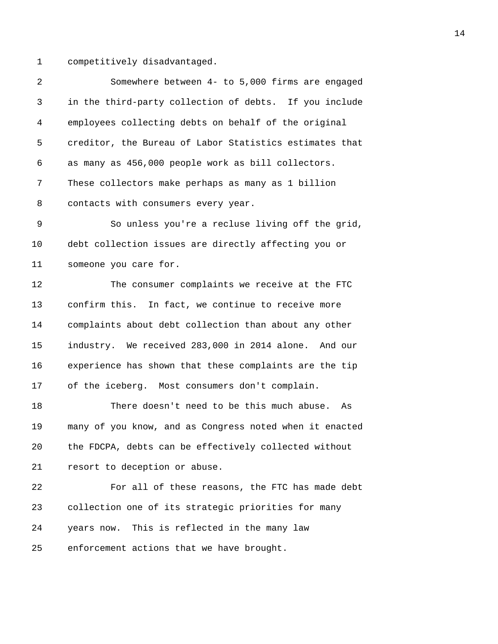1 competitively disadvantaged.

| $\overline{a}$ | Somewhere between 4- to 5,000 firms are engaged         |
|----------------|---------------------------------------------------------|
| 3              | in the third-party collection of debts. If you include  |
| 4              | employees collecting debts on behalf of the original    |
| 5              | creditor, the Bureau of Labor Statistics estimates that |
| 6              | as many as 456,000 people work as bill collectors.      |
| 7              | These collectors make perhaps as many as 1 billion      |
| 8              | contacts with consumers every year.                     |
| 9              | So unless you're a recluse living off the grid,         |
| 10             | debt collection issues are directly affecting you or    |
| 11             | someone you care for.                                   |
| 12             | The consumer complaints we receive at the FTC           |
| 13             | confirm this. In fact, we continue to receive more      |
| 14             | complaints about debt collection than about any other   |
| 15             | industry. We received 283,000 in 2014 alone. And our    |
| 16             | experience has shown that these complaints are the tip  |
| 17             | of the iceberg. Most consumers don't complain.          |
| 18             | There doesn't need to be this much abuse.<br>As         |
| 19             | many of you know, and as Congress noted when it enacted |
| 20             | the FDCPA, debts can be effectively collected without   |
| 21             | resort to deception or abuse.                           |
| 22             | For all of these reasons, the FTC has made debt         |
| 23             | collection one of its strategic priorities for many     |
| 24             | years now. This is reflected in the many law            |
| 25             | enforcement actions that we have brought.               |
|                |                                                         |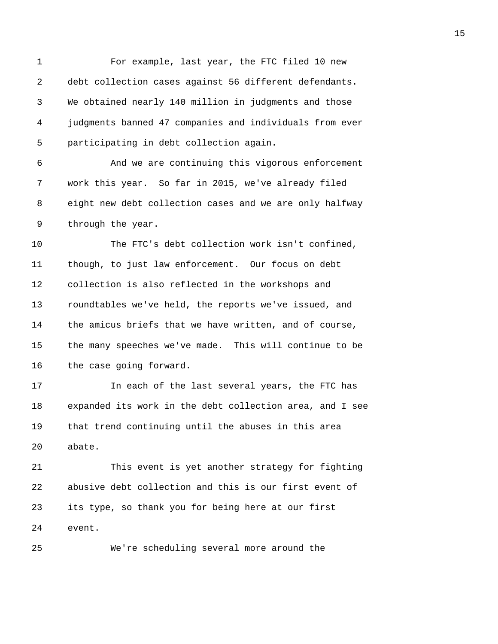1 For example, last year, the FTC filed 10 new 2 debt collection cases against 56 different defendants. 3 We obtained nearly 140 million in judgments and those 4 judgments banned 47 companies and individuals from ever 5 participating in debt collection again. 6 And we are continuing this vigorous enforcement 7 work this year. So far in 2015, we've already filed 8 eight new debt collection cases and we are only halfway 9 through the year. 10 The FTC's debt collection work isn't confined, 11 though, to just law enforcement. Our focus on debt 12 collection is also reflected in the workshops and 13 roundtables we've held, the reports we've issued, and 14 the amicus briefs that we have written, and of course, 15 the many speeches we've made. This will continue to be 16 the case going forward. 17 In each of the last several years, the FTC has 18 expanded its work in the debt collection area, and I see 19 that trend continuing until the abuses in this area 20 abate. 21 This event is yet another strategy for fighting 22 abusive debt collection and this is our first event of 23 its type, so thank you for being here at our first 24 event. 25 We're scheduling several more around the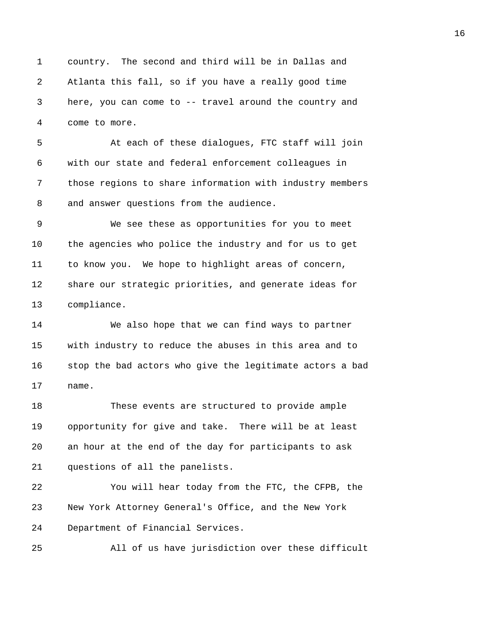1 country. The second and third will be in Dallas and 2 Atlanta this fall, so if you have a really good time 3 here, you can come to -- travel around the country and 4 come to more.

5 At each of these dialogues, FTC staff will join 6 with our state and federal enforcement colleagues in 7 those regions to share information with industry members 8 and answer questions from the audience.

9 We see these as opportunities for you to meet 10 the agencies who police the industry and for us to get 11 to know you. We hope to highlight areas of concern, 12 share our strategic priorities, and generate ideas for 13 compliance.

14 We also hope that we can find ways to partner 15 with industry to reduce the abuses in this area and to 16 stop the bad actors who give the legitimate actors a bad 17 name.

18 These events are structured to provide ample 19 opportunity for give and take. There will be at least 20 an hour at the end of the day for participants to ask 21 questions of all the panelists.

22 You will hear today from the FTC, the CFPB, the 23 New York Attorney General's Office, and the New York 24 Department of Financial Services.

25 All of us have jurisdiction over these difficult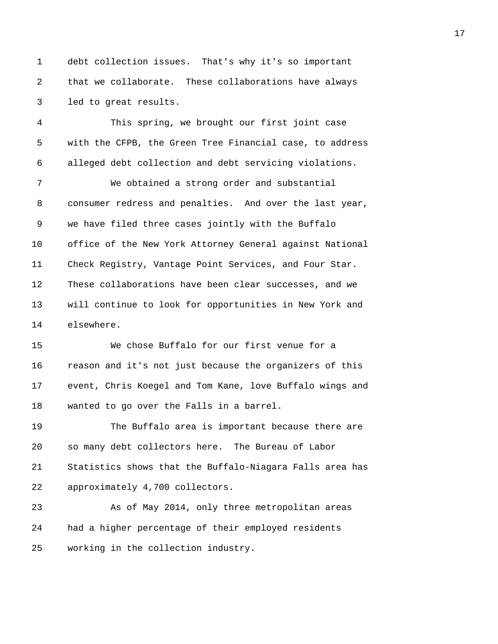1 debt collection issues. That's why it's so important 2 that we collaborate. These collaborations have always 3 led to great results.

4 This spring, we brought our first joint case 5 with the CFPB, the Green Tree Financial case, to address 6 alleged debt collection and debt servicing violations.

7 We obtained a strong order and substantial 8 consumer redress and penalties. And over the last year, 9 we have filed three cases jointly with the Buffalo 10 office of the New York Attorney General against National 11 Check Registry, Vantage Point Services, and Four Star. 12 These collaborations have been clear successes, and we 13 will continue to look for opportunities in New York and 14 elsewhere.

15 We chose Buffalo for our first venue for a 16 reason and it's not just because the organizers of this 17 event, Chris Koegel and Tom Kane, love Buffalo wings and 18 wanted to go over the Falls in a barrel.

19 The Buffalo area is important because there are 20 so many debt collectors here. The Bureau of Labor 21 Statistics shows that the Buffalo-Niagara Falls area has 22 approximately 4,700 collectors.

23 As of May 2014, only three metropolitan areas 24 had a higher percentage of their employed residents 25 working in the collection industry.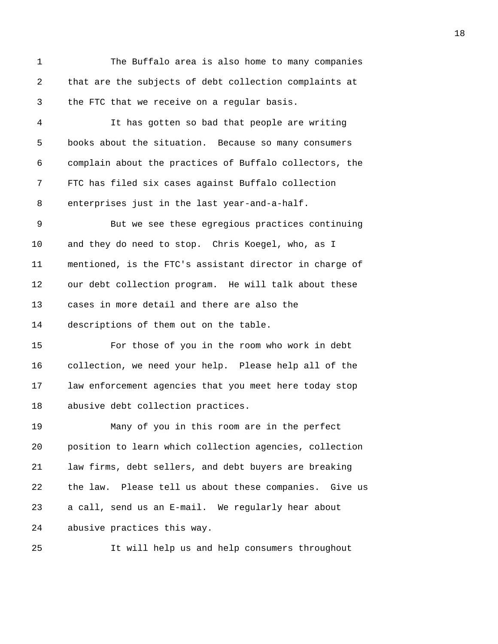1 The Buffalo area is also home to many companies 2 that are the subjects of debt collection complaints at 3 the FTC that we receive on a regular basis.

4 It has gotten so bad that people are writing 5 books about the situation. Because so many consumers 6 complain about the practices of Buffalo collectors, the 7 FTC has filed six cases against Buffalo collection 8 enterprises just in the last year-and-a-half.

9 But we see these egregious practices continuing 10 and they do need to stop. Chris Koegel, who, as I 11 mentioned, is the FTC's assistant director in charge of 12 our debt collection program. He will talk about these 13 cases in more detail and there are also the 14 descriptions of them out on the table.

15 For those of you in the room who work in debt 16 collection, we need your help. Please help all of the 17 law enforcement agencies that you meet here today stop 18 abusive debt collection practices.

19 Many of you in this room are in the perfect 20 position to learn which collection agencies, collection 21 law firms, debt sellers, and debt buyers are breaking 22 the law. Please tell us about these companies. Give us 23 a call, send us an E-mail. We regularly hear about 24 abusive practices this way.

25 It will help us and help consumers throughout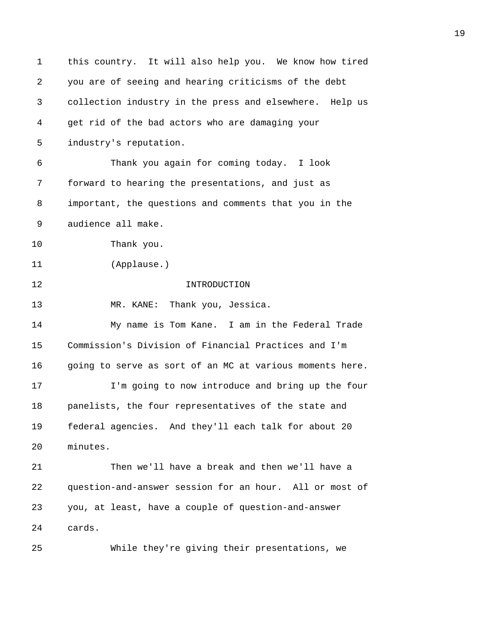| 1       | this country. It will also help you. We know how tired   |
|---------|----------------------------------------------------------|
| 2       | you are of seeing and hearing criticisms of the debt     |
| 3       | collection industry in the press and elsewhere. Help us  |
| 4       | get rid of the bad actors who are damaging your          |
| 5       | industry's reputation.                                   |
| 6       | Thank you again for coming today. I look                 |
| 7       | forward to hearing the presentations, and just as        |
| 8       | important, the questions and comments that you in the    |
| 9       | audience all make.                                       |
| $10 \,$ | Thank you.                                               |
| 11      | (Applause.)                                              |
| 12      | INTRODUCTION                                             |
| 13      | Thank you, Jessica.<br>MR. KANE:                         |
| 14      | My name is Tom Kane. I am in the Federal Trade           |
| 15      | Commission's Division of Financial Practices and I'm     |
| 16      | going to serve as sort of an MC at various moments here. |
| 17      | I'm going to now introduce and bring up the four         |
| 18      | panelists, the four representatives of the state and     |
| 19      | federal agencies. And they'll each talk for about 20     |
| 20      | minutes.                                                 |
| 21      | Then we'll have a break and then we'll have a            |
| 22      | question-and-answer session for an hour. All or most of  |
| 23      | you, at least, have a couple of question-and-answer      |
| 24      | cards.                                                   |
| 25      | While they're giving their presentations, we             |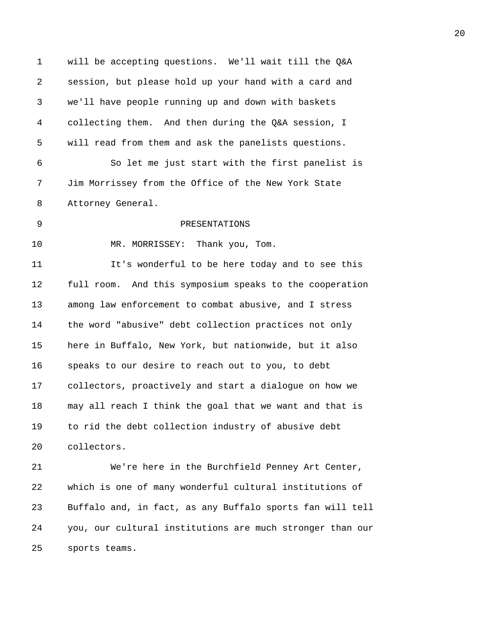1 will be accepting questions. We'll wait till the Q&A 2 session, but please hold up your hand with a card and 3 we'll have people running up and down with baskets 4 collecting them. And then during the Q&A session, I 5 will read from them and ask the panelists questions. 6 So let me just start with the first panelist is 7 Jim Morrissey from the Office of the New York State 8 Attorney General. 9 PRESENTATIONS 10 MR. MORRISSEY: Thank you, Tom. 11 It's wonderful to be here today and to see this 12 full room. And this symposium speaks to the cooperation 13 among law enforcement to combat abusive, and I stress 14 the word "abusive" debt collection practices not only 15 here in Buffalo, New York, but nationwide, but it also 16 speaks to our desire to reach out to you, to debt 17 collectors, proactively and start a dialogue on how we 18 may all reach I think the goal that we want and that is 19 to rid the debt collection industry of abusive debt 20 collectors. 21 We're here in the Burchfield Penney Art Center, 22 which is one of many wonderful cultural institutions of 23 Buffalo and, in fact, as any Buffalo sports fan will tell 24 you, our cultural institutions are much stronger than our

25 sports teams.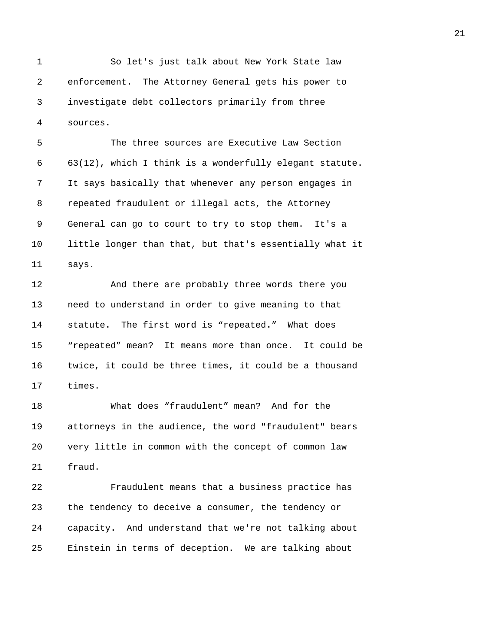1 So let's just talk about New York State law 2 enforcement. The Attorney General gets his power to 3 investigate debt collectors primarily from three 4 sources.

5 The three sources are Executive Law Section 6 63(12), which I think is a wonderfully elegant statute. 7 It says basically that whenever any person engages in 8 repeated fraudulent or illegal acts, the Attorney 9 General can go to court to try to stop them. It's a 10 little longer than that, but that's essentially what it 11 says.

12 And there are probably three words there you 13 need to understand in order to give meaning to that 14 statute. The first word is "repeated." What does 15 "repeated" mean? It means more than once. It could be 16 twice, it could be three times, it could be a thousand 17 times.

18 What does "fraudulent" mean? And for the 19 attorneys in the audience, the word "fraudulent" bears 20 very little in common with the concept of common law 21 fraud.

22 Fraudulent means that a business practice has 23 the tendency to deceive a consumer, the tendency or 24 capacity. And understand that we're not talking about 25 Einstein in terms of deception. We are talking about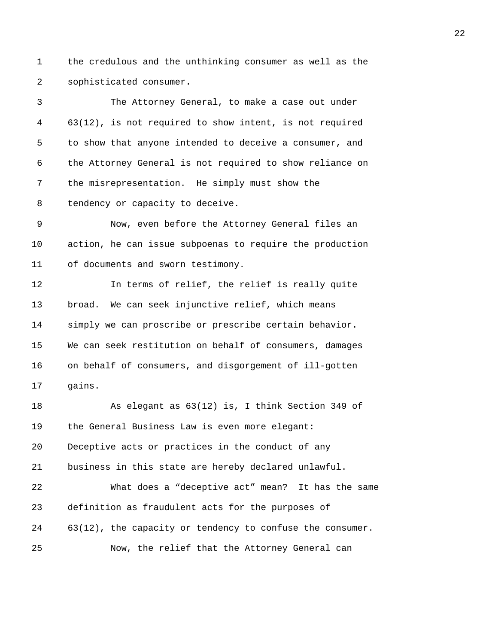1 the credulous and the unthinking consumer as well as the 2 sophisticated consumer.

3 The Attorney General, to make a case out under 4 63(12), is not required to show intent, is not required 5 to show that anyone intended to deceive a consumer, and 6 the Attorney General is not required to show reliance on 7 the misrepresentation. He simply must show the 8 tendency or capacity to deceive.

9 Now, even before the Attorney General files an 10 action, he can issue subpoenas to require the production 11 of documents and sworn testimony.

12 In terms of relief, the relief is really quite 13 broad. We can seek injunctive relief, which means 14 simply we can proscribe or prescribe certain behavior. 15 We can seek restitution on behalf of consumers, damages 16 on behalf of consumers, and disgorgement of ill-gotten 17 gains.

18 As elegant as 63(12) is, I think Section 349 of 19 the General Business Law is even more elegant: 20 Deceptive acts or practices in the conduct of any 21 business in this state are hereby declared unlawful. 22 What does a "deceptive act" mean? It has the same 23 definition as fraudulent acts for the purposes of 24 63(12), the capacity or tendency to confuse the consumer. 25 Now, the relief that the Attorney General can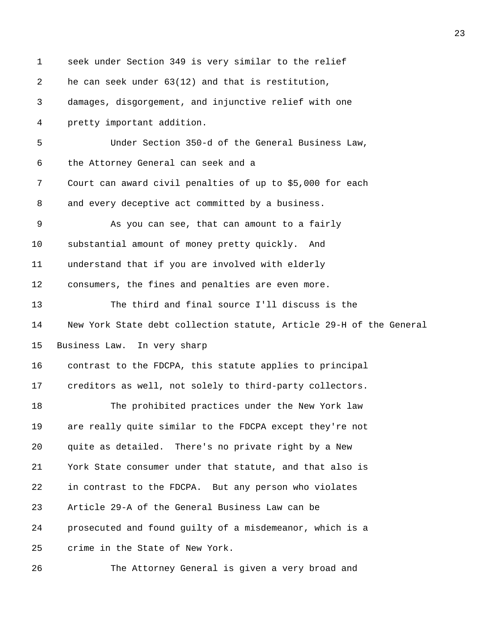| $\mathbf 1$ | seek under Section 349 is very similar to the relief                |
|-------------|---------------------------------------------------------------------|
| 2           | he can seek under 63(12) and that is restitution,                   |
| 3           | damages, disgorgement, and injunctive relief with one               |
| 4           | pretty important addition.                                          |
| 5           | Under Section 350-d of the General Business Law,                    |
| 6           | the Attorney General can seek and a                                 |
| 7           | Court can award civil penalties of up to \$5,000 for each           |
| 8           | and every deceptive act committed by a business.                    |
| 9           | As you can see, that can amount to a fairly                         |
| 10          | substantial amount of money pretty quickly.<br>And                  |
| 11          | understand that if you are involved with elderly                    |
| 12          | consumers, the fines and penalties are even more.                   |
| 13          | The third and final source I'll discuss is the                      |
| 14          | New York State debt collection statute, Article 29-H of the General |
| 15          | Business Law. In very sharp                                         |
| 16          | contrast to the FDCPA, this statute applies to principal            |
| 17          | creditors as well, not solely to third-party collectors.            |
| 18          | The prohibited practices under the New York law                     |
| 19          | are really quite similar to the FDCPA except they're not            |
| 20          | quite as detailed. There's no private right by a New                |
| 21          | York State consumer under that statute, and that also is            |
| 22          | in contrast to the FDCPA. But any person who violates               |
| 23          | Article 29-A of the General Business Law can be                     |
| 24          | prosecuted and found guilty of a misdemeanor, which is a            |
| 25          | crime in the State of New York.                                     |
| 26          | The Attorney General is given a very broad and                      |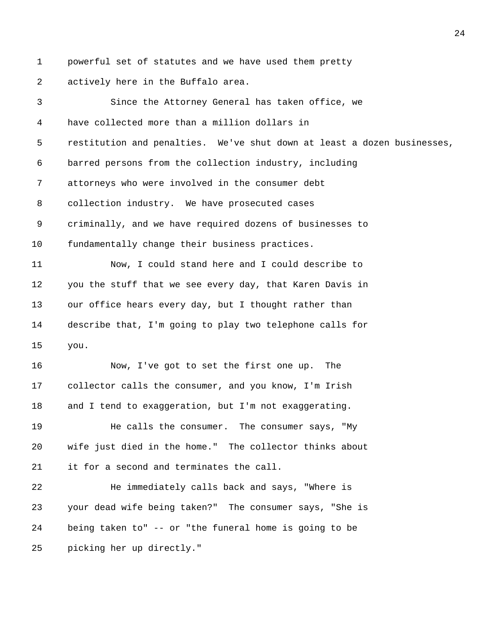1 powerful set of statutes and we have used them pretty 2 actively here in the Buffalo area.

3 Since the Attorney General has taken office, we 4 have collected more than a million dollars in 5 restitution and penalties. We've shut down at least a dozen businesses, 6 barred persons from the collection industry, including 7 attorneys who were involved in the consumer debt 8 collection industry. We have prosecuted cases 9 criminally, and we have required dozens of businesses to 10 fundamentally change their business practices. 11 Now, I could stand here and I could describe to 12 you the stuff that we see every day, that Karen Davis in 13 our office hears every day, but I thought rather than 14 describe that, I'm going to play two telephone calls for 15 you. 16 Now, I've got to set the first one up. The 17 collector calls the consumer, and you know, I'm Irish 18 and I tend to exaggeration, but I'm not exaggerating. 19 He calls the consumer. The consumer says, "My 20 wife just died in the home." The collector thinks about 21 it for a second and terminates the call. 22 He immediately calls back and says, "Where is 23 your dead wife being taken?" The consumer says, "She is 24 being taken to" -- or "the funeral home is going to be 25 picking her up directly."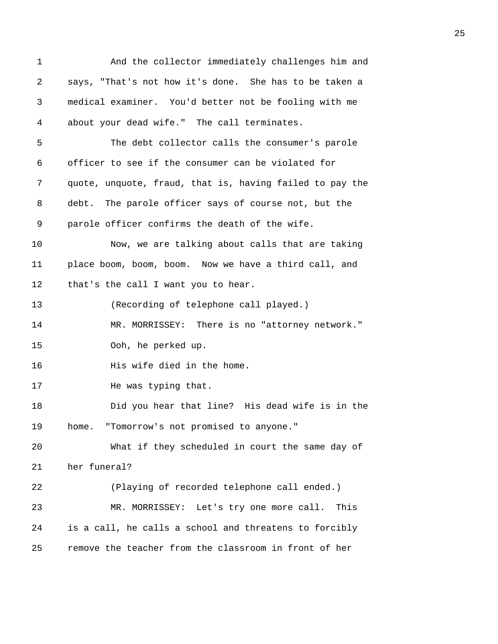| 1  | And the collector immediately challenges him and         |
|----|----------------------------------------------------------|
| 2  | says, "That's not how it's done. She has to be taken a   |
| 3  | medical examiner. You'd better not be fooling with me    |
| 4  | about your dead wife." The call terminates.              |
| 5  | The debt collector calls the consumer's parole           |
| 6  | officer to see if the consumer can be violated for       |
| 7  | quote, unquote, fraud, that is, having failed to pay the |
| 8  | debt. The parole officer says of course not, but the     |
| 9  | parole officer confirms the death of the wife.           |
| 10 | Now, we are talking about calls that are taking          |
| 11 | place boom, boom, boom. Now we have a third call, and    |
| 12 | that's the call I want you to hear.                      |
| 13 | (Recording of telephone call played.)                    |
| 14 | MR. MORRISSEY: There is no "attorney network."           |
| 15 | Ooh, he perked up.                                       |
| 16 | His wife died in the home.                               |
| 17 | He was typing that.                                      |
| 18 | Did you hear that line? His dead wife is in the          |
| 19 | "Tomorrow's not promised to anyone."<br>home.            |
| 20 | What if they scheduled in court the same day of          |
| 21 | her funeral?                                             |
| 22 | (Playing of recorded telephone call ended.)              |
| 23 | MR. MORRISSEY: Let's try one more call.<br>This          |
| 24 | is a call, he calls a school and threatens to forcibly   |
| 25 | remove the teacher from the classroom in front of her    |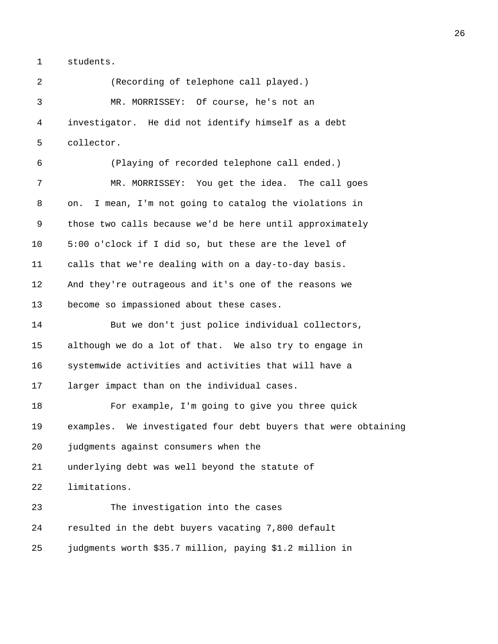1 students.

2 (Recording of telephone call played.) 3 MR. MORRISSEY: Of course, he's not an 4 investigator. He did not identify himself as a debt 5 collector. 6 (Playing of recorded telephone call ended.) 7 MR. MORRISSEY: You get the idea. The call goes 8 on. I mean, I'm not going to catalog the violations in 9 those two calls because we'd be here until approximately 10 5:00 o'clock if I did so, but these are the level of 11 calls that we're dealing with on a day-to-day basis. 12 And they're outrageous and it's one of the reasons we 13 become so impassioned about these cases. 14 But we don't just police individual collectors, 15 although we do a lot of that. We also try to engage in 16 systemwide activities and activities that will have a 17 larger impact than on the individual cases. 18 For example, I'm going to give you three quick 19 examples. We investigated four debt buyers that were obtaining 20 judgments against consumers when the 21 underlying debt was well beyond the statute of 22 limitations. 23 The investigation into the cases 24 resulted in the debt buyers vacating 7,800 default 25 judgments worth \$35.7 million, paying \$1.2 million in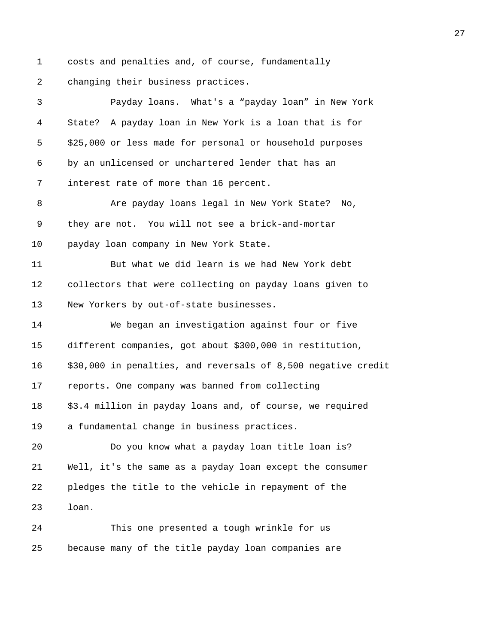1 costs and penalties and, of course, fundamentally 2 changing their business practices.

3 Payday loans. What's a "payday loan" in New York 4 State? A payday loan in New York is a loan that is for 5 \$25,000 or less made for personal or household purposes 6 by an unlicensed or unchartered lender that has an 7 interest rate of more than 16 percent. 8 Are payday loans legal in New York State? No, 9 they are not. You will not see a brick-and-mortar 10 payday loan company in New York State. 11 But what we did learn is we had New York debt 12 collectors that were collecting on payday loans given to 13 New Yorkers by out-of-state businesses. 14 We began an investigation against four or five 15 different companies, got about \$300,000 in restitution, 16 \$30,000 in penalties, and reversals of 8,500 negative credit 17 reports. One company was banned from collecting 18 \$3.4 million in payday loans and, of course, we required 19 a fundamental change in business practices. 20 Do you know what a payday loan title loan is? 21 Well, it's the same as a payday loan except the consumer 22 pledges the title to the vehicle in repayment of the 23 loan. 24 This one presented a tough wrinkle for us 25 because many of the title payday loan companies are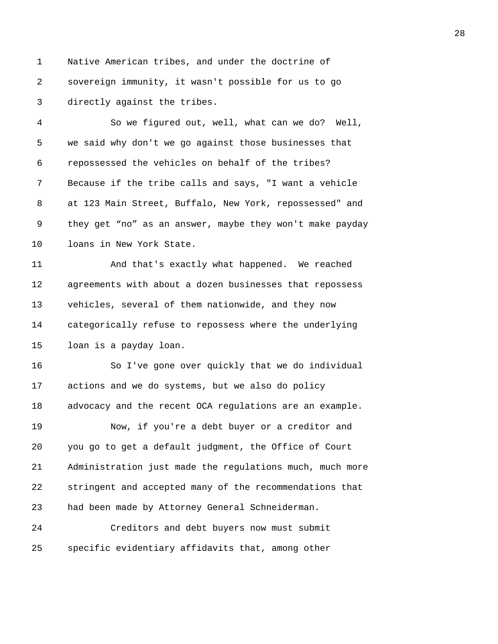1 Native American tribes, and under the doctrine of 2 sovereign immunity, it wasn't possible for us to go 3 directly against the tribes.

4 So we figured out, well, what can we do? Well, 5 we said why don't we go against those businesses that 6 repossessed the vehicles on behalf of the tribes? 7 Because if the tribe calls and says, "I want a vehicle 8 at 123 Main Street, Buffalo, New York, repossessed" and 9 they get "no" as an answer, maybe they won't make payday 10 loans in New York State.

11 And that's exactly what happened. We reached 12 agreements with about a dozen businesses that repossess 13 vehicles, several of them nationwide, and they now 14 categorically refuse to repossess where the underlying 15 loan is a payday loan.

16 So I've gone over quickly that we do individual 17 actions and we do systems, but we also do policy 18 advocacy and the recent OCA regulations are an example.

19 Now, if you're a debt buyer or a creditor and 20 you go to get a default judgment, the Office of Court 21 Administration just made the regulations much, much more 22 stringent and accepted many of the recommendations that 23 had been made by Attorney General Schneiderman.

24 Creditors and debt buyers now must submit 25 specific evidentiary affidavits that, among other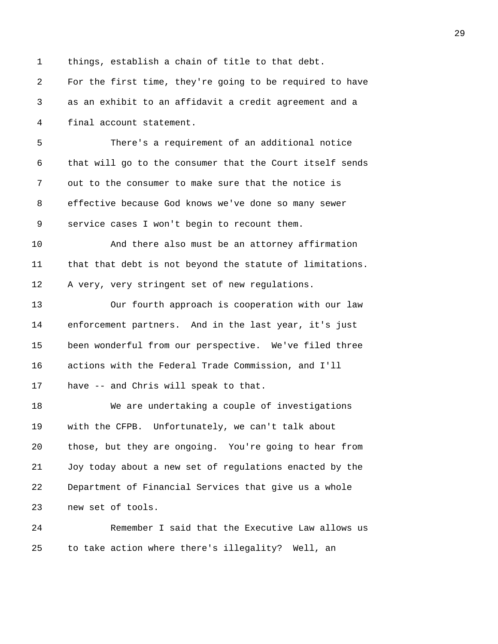1 things, establish a chain of title to that debt. 2 For the first time, they're going to be required to have 3 as an exhibit to an affidavit a credit agreement and a 4 final account statement. 5 There's a requirement of an additional notice 6 that will go to the consumer that the Court itself sends 7 out to the consumer to make sure that the notice is 8 effective because God knows we've done so many sewer 9 service cases I won't begin to recount them. 10 And there also must be an attorney affirmation 11 that that debt is not beyond the statute of limitations. 12 A very, very stringent set of new regulations. 13 Our fourth approach is cooperation with our law 14 enforcement partners. And in the last year, it's just 15 been wonderful from our perspective. We've filed three 16 actions with the Federal Trade Commission, and I'll 17 have -- and Chris will speak to that. 18 We are undertaking a couple of investigations 19 with the CFPB. Unfortunately, we can't talk about 20 those, but they are ongoing. You're going to hear from 21 Joy today about a new set of regulations enacted by the 22 Department of Financial Services that give us a whole 23 new set of tools. 24 Remember I said that the Executive Law allows us 25 to take action where there's illegality? Well, an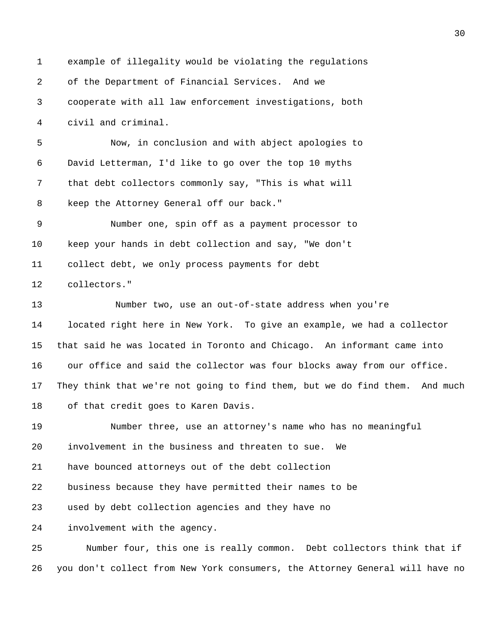1 example of illegality would be violating the regulations 2 of the Department of Financial Services. And we 3 cooperate with all law enforcement investigations, both 4 civil and criminal. 5 Now, in conclusion and with abject apologies to 6 David Letterman, I'd like to go over the top 10 myths 7 that debt collectors commonly say, "This is what will 8 keep the Attorney General off our back." 9 Number one, spin off as a payment processor to 10 keep your hands in debt collection and say, "We don't 11 collect debt, we only process payments for debt 12 collectors." 13 Number two, use an out-of-state address when you're 14 located right here in New York. To give an example, we had a collector 15 that said he was located in Toronto and Chicago. An informant came into 16 our office and said the collector was four blocks away from our office. 17 They think that we're not going to find them, but we do find them. And much 18 of that credit goes to Karen Davis. 19 Number three, use an attorney's name who has no meaningful 20 involvement in the business and threaten to sue. We 21 have bounced attorneys out of the debt collection 22 business because they have permitted their names to be 23 used by debt collection agencies and they have no 24 involvement with the agency. 25 Number four, this one is really common. Debt collectors think that if 26 you don't collect from New York consumers, the Attorney General will have no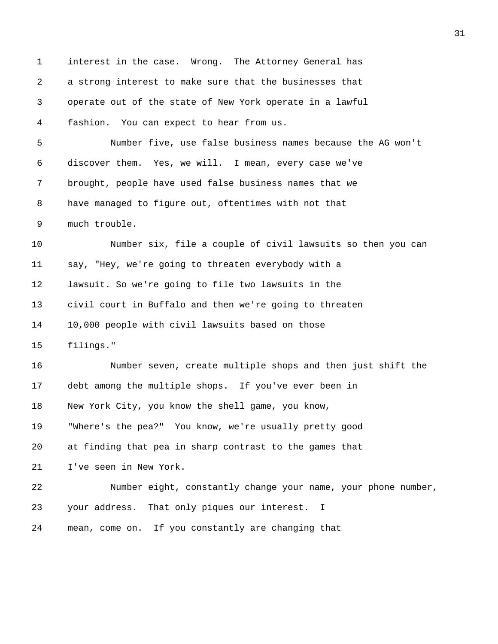1 interest in the case. Wrong. The Attorney General has 2 a strong interest to make sure that the businesses that 3 operate out of the state of New York operate in a lawful 4 fashion. You can expect to hear from us. 5 Number five, use false business names because the AG won't 6 discover them. Yes, we will. I mean, every case we've 7 brought, people have used false business names that we 8 have managed to figure out, oftentimes with not that 9 much trouble. 10 Number six, file a couple of civil lawsuits so then you can 11 say, "Hey, we're going to threaten everybody with a 12 lawsuit. So we're going to file two lawsuits in the 13 civil court in Buffalo and then we're going to threaten 14 10,000 people with civil lawsuits based on those 15 filings." 16 Number seven, create multiple shops and then just shift the 17 debt among the multiple shops. If you've ever been in 18 New York City, you know the shell game, you know, 19 "Where's the pea?" You know, we're usually pretty good 20 at finding that pea in sharp contrast to the games that 21 I've seen in New York. 22 Number eight, constantly change your name, your phone number, 23 your address. That only piques our interest. I 24 mean, come on. If you constantly are changing that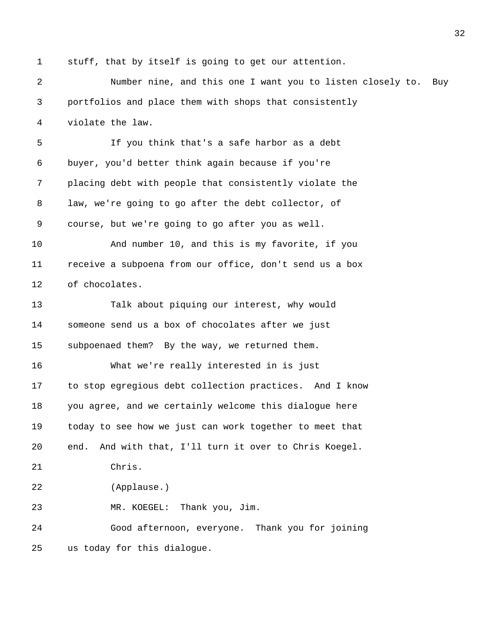1 stuff, that by itself is going to get our attention.

2 Number nine, and this one I want you to listen closely to. Buy 3 portfolios and place them with shops that consistently 4 violate the law. 5 If you think that's a safe harbor as a debt 6 buyer, you'd better think again because if you're 7 placing debt with people that consistently violate the 8 law, we're going to go after the debt collector, of 9 course, but we're going to go after you as well. 10 And number 10, and this is my favorite, if you 11 receive a subpoena from our office, don't send us a box 12 of chocolates. 13 Talk about piquing our interest, why would 14 someone send us a box of chocolates after we just 15 subpoenaed them? By the way, we returned them. 16 What we're really interested in is just 17 to stop egregious debt collection practices. And I know 18 you agree, and we certainly welcome this dialogue here 19 today to see how we just can work together to meet that 20 end. And with that, I'll turn it over to Chris Koegel. 21 Chris. 22 (Applause.) 23 MR. KOEGEL: Thank you, Jim. 24 Good afternoon, everyone. Thank you for joining 25 us today for this dialogue.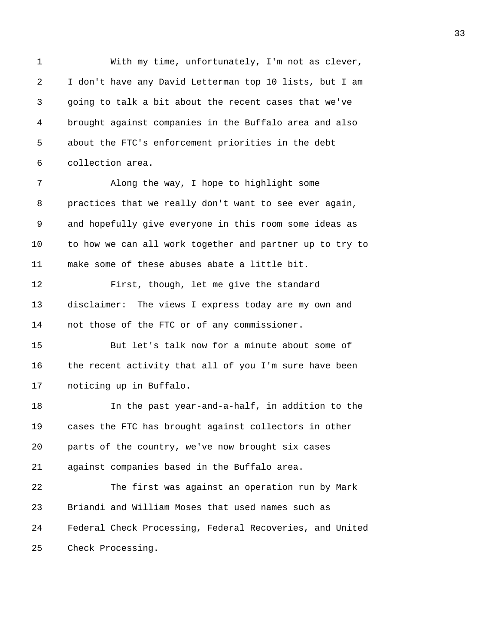1 With my time, unfortunately, I'm not as clever, 2 I don't have any David Letterman top 10 lists, but I am 3 going to talk a bit about the recent cases that we've 4 brought against companies in the Buffalo area and also 5 about the FTC's enforcement priorities in the debt 6 collection area. 7 Along the way, I hope to highlight some 8 practices that we really don't want to see ever again, 9 and hopefully give everyone in this room some ideas as 10 to how we can all work together and partner up to try to 11 make some of these abuses abate a little bit. 12 First, though, let me give the standard 13 disclaimer: The views I express today are my own and 14 not those of the FTC or of any commissioner. 15 But let's talk now for a minute about some of 16 the recent activity that all of you I'm sure have been 17 noticing up in Buffalo. 18 In the past year-and-a-half, in addition to the 19 cases the FTC has brought against collectors in other 20 parts of the country, we've now brought six cases 21 against companies based in the Buffalo area. 22 The first was against an operation run by Mark 23 Briandi and William Moses that used names such as 24 Federal Check Processing, Federal Recoveries, and United 25 Check Processing.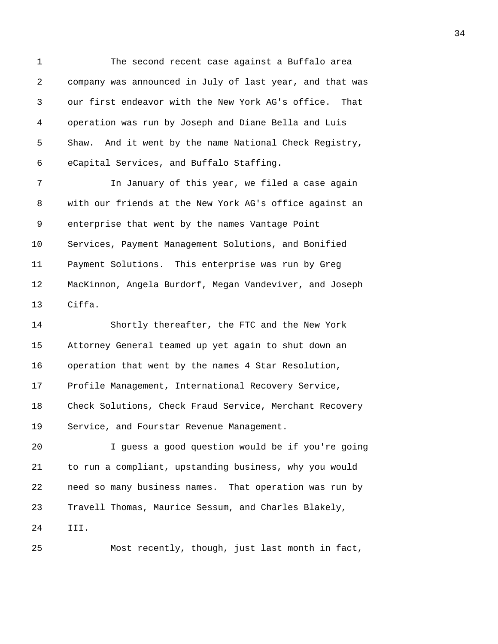1 The second recent case against a Buffalo area 2 company was announced in July of last year, and that was 3 our first endeavor with the New York AG's office. That 4 operation was run by Joseph and Diane Bella and Luis 5 Shaw. And it went by the name National Check Registry, 6 eCapital Services, and Buffalo Staffing.

7 In January of this year, we filed a case again 8 with our friends at the New York AG's office against an 9 enterprise that went by the names Vantage Point 10 Services, Payment Management Solutions, and Bonified 11 Payment Solutions. This enterprise was run by Greg 12 MacKinnon, Angela Burdorf, Megan Vandeviver, and Joseph 13 Ciffa.

14 Shortly thereafter, the FTC and the New York 15 Attorney General teamed up yet again to shut down an 16 operation that went by the names 4 Star Resolution, 17 Profile Management, International Recovery Service, 18 Check Solutions, Check Fraud Service, Merchant Recovery 19 Service, and Fourstar Revenue Management.

20 I guess a good question would be if you're going 21 to run a compliant, upstanding business, why you would 22 need so many business names. That operation was run by 23 Travell Thomas, Maurice Sessum, and Charles Blakely, 24 III.

25 Most recently, though, just last month in fact,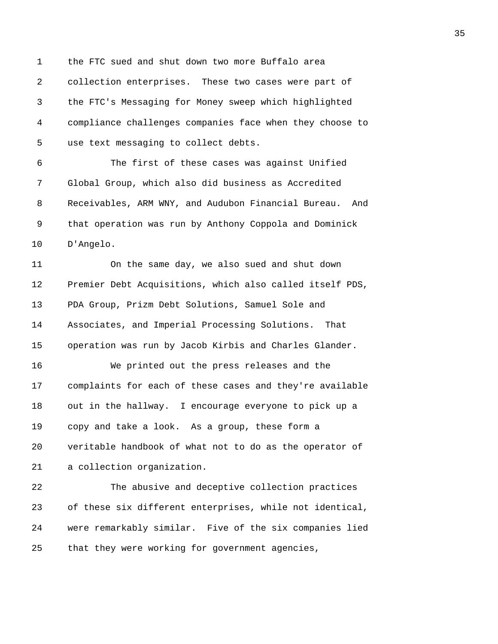1 the FTC sued and shut down two more Buffalo area 2 collection enterprises. These two cases were part of 3 the FTC's Messaging for Money sweep which highlighted 4 compliance challenges companies face when they choose to 5 use text messaging to collect debts. 6 The first of these cases was against Unified

7 Global Group, which also did business as Accredited 8 Receivables, ARM WNY, and Audubon Financial Bureau. And 9 that operation was run by Anthony Coppola and Dominick 10 D'Angelo.

11 On the same day, we also sued and shut down 12 Premier Debt Acquisitions, which also called itself PDS, 13 PDA Group, Prizm Debt Solutions, Samuel Sole and 14 Associates, and Imperial Processing Solutions. That 15 operation was run by Jacob Kirbis and Charles Glander.

16 We printed out the press releases and the 17 complaints for each of these cases and they're available 18 out in the hallway. I encourage everyone to pick up a 19 copy and take a look. As a group, these form a 20 veritable handbook of what not to do as the operator of 21 a collection organization.

22 The abusive and deceptive collection practices 23 of these six different enterprises, while not identical, 24 were remarkably similar. Five of the six companies lied 25 that they were working for government agencies,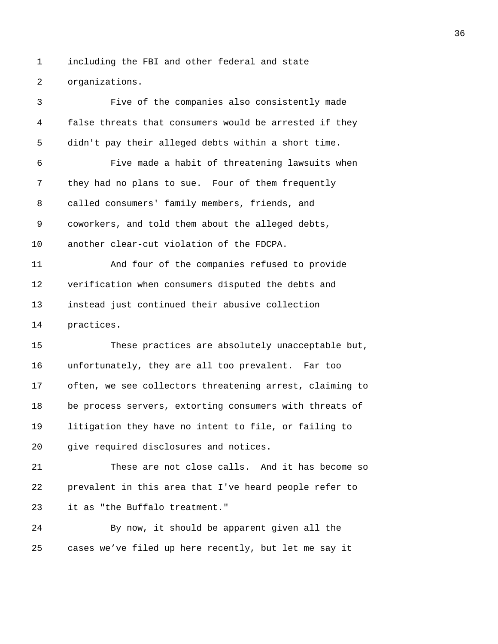1 including the FBI and other federal and state 2 organizations.

3 Five of the companies also consistently made 4 false threats that consumers would be arrested if they 5 didn't pay their alleged debts within a short time. 6 Five made a habit of threatening lawsuits when 7 they had no plans to sue. Four of them frequently 8 called consumers' family members, friends, and 9 coworkers, and told them about the alleged debts, 10 another clear-cut violation of the FDCPA. 11 And four of the companies refused to provide 12 verification when consumers disputed the debts and 13 instead just continued their abusive collection 14 practices. 15 These practices are absolutely unacceptable but, 16 unfortunately, they are all too prevalent. Far too 17 often, we see collectors threatening arrest, claiming to 18 be process servers, extorting consumers with threats of 19 litigation they have no intent to file, or failing to 20 give required disclosures and notices. 21 These are not close calls. And it has become so 22 prevalent in this area that I've heard people refer to 23 it as "the Buffalo treatment." 24 By now, it should be apparent given all the 25 cases we've filed up here recently, but let me say it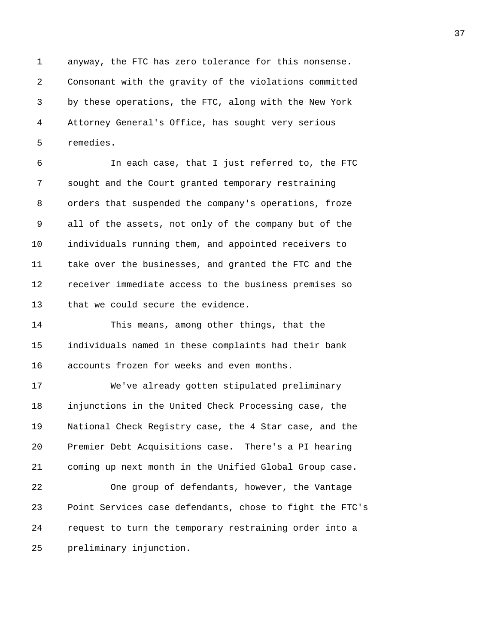1 anyway, the FTC has zero tolerance for this nonsense. 2 Consonant with the gravity of the violations committed 3 by these operations, the FTC, along with the New York 4 Attorney General's Office, has sought very serious 5 remedies.

6 In each case, that I just referred to, the FTC 7 sought and the Court granted temporary restraining 8 orders that suspended the company's operations, froze 9 all of the assets, not only of the company but of the 10 individuals running them, and appointed receivers to 11 take over the businesses, and granted the FTC and the 12 receiver immediate access to the business premises so 13 that we could secure the evidence.

14 This means, among other things, that the 15 individuals named in these complaints had their bank 16 accounts frozen for weeks and even months.

17 We've already gotten stipulated preliminary 18 injunctions in the United Check Processing case, the 19 National Check Registry case, the 4 Star case, and the 20 Premier Debt Acquisitions case. There's a PI hearing 21 coming up next month in the Unified Global Group case. 22 One group of defendants, however, the Vantage

23 Point Services case defendants, chose to fight the FTC's 24 request to turn the temporary restraining order into a 25 preliminary injunction.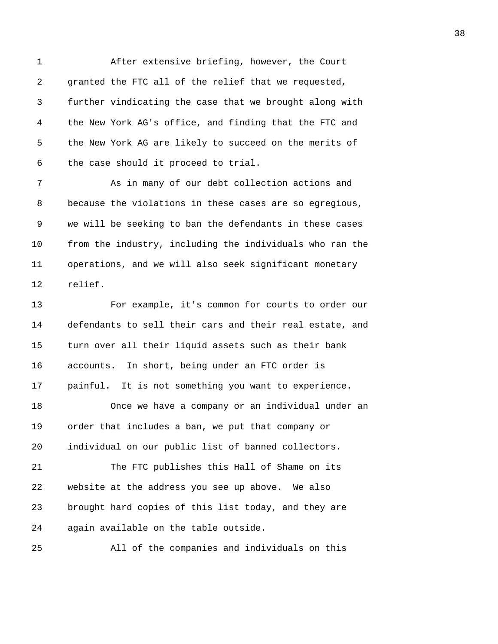1 After extensive briefing, however, the Court 2 granted the FTC all of the relief that we requested, 3 further vindicating the case that we brought along with 4 the New York AG's office, and finding that the FTC and 5 the New York AG are likely to succeed on the merits of 6 the case should it proceed to trial.

7 As in many of our debt collection actions and 8 because the violations in these cases are so egregious, 9 we will be seeking to ban the defendants in these cases 10 from the industry, including the individuals who ran the 11 operations, and we will also seek significant monetary 12 relief.

13 For example, it's common for courts to order our 14 defendants to sell their cars and their real estate, and 15 turn over all their liquid assets such as their bank 16 accounts. In short, being under an FTC order is 17 painful. It is not something you want to experience. 18 Once we have a company or an individual under an 19 order that includes a ban, we put that company or 20 individual on our public list of banned collectors. 21 The FTC publishes this Hall of Shame on its 22 website at the address you see up above. We also 23 brought hard copies of this list today, and they are 24 again available on the table outside.

25 All of the companies and individuals on this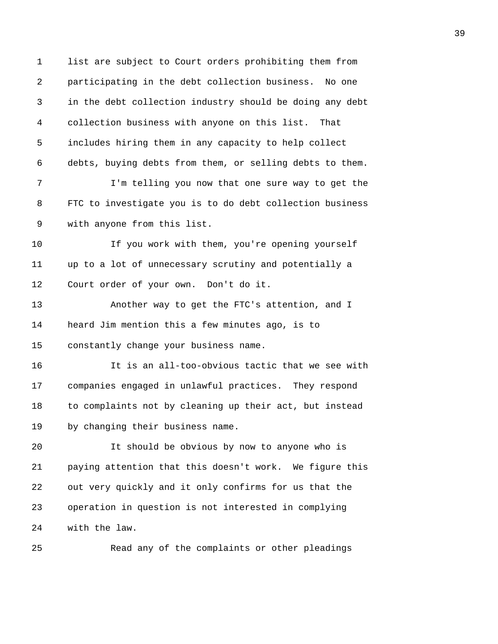1 list are subject to Court orders prohibiting them from 2 participating in the debt collection business. No one 3 in the debt collection industry should be doing any debt 4 collection business with anyone on this list. That 5 includes hiring them in any capacity to help collect 6 debts, buying debts from them, or selling debts to them. 7 I'm telling you now that one sure way to get the 8 FTC to investigate you is to do debt collection business 9 with anyone from this list. 10 If you work with them, you're opening yourself 11 up to a lot of unnecessary scrutiny and potentially a 12 Court order of your own. Don't do it. 13 Another way to get the FTC's attention, and I 14 heard Jim mention this a few minutes ago, is to 15 constantly change your business name. 16 It is an all-too-obvious tactic that we see with 17 companies engaged in unlawful practices. They respond 18 to complaints not by cleaning up their act, but instead 19 by changing their business name. 20 It should be obvious by now to anyone who is 21 paying attention that this doesn't work. We figure this 22 out very quickly and it only confirms for us that the 23 operation in question is not interested in complying 24 with the law.

25 Read any of the complaints or other pleadings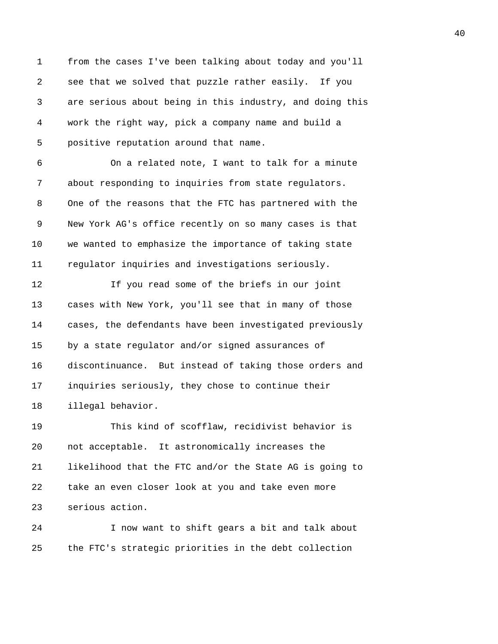1 from the cases I've been talking about today and you'll 2 see that we solved that puzzle rather easily. If you 3 are serious about being in this industry, and doing this 4 work the right way, pick a company name and build a 5 positive reputation around that name. 6 On a related note, I want to talk for a minute 7 about responding to inquiries from state regulators. 8 One of the reasons that the FTC has partnered with the 9 New York AG's office recently on so many cases is that 10 we wanted to emphasize the importance of taking state 11 regulator inquiries and investigations seriously. 12 If you read some of the briefs in our joint 13 cases with New York, you'll see that in many of those 14 cases, the defendants have been investigated previously 15 by a state regulator and/or signed assurances of 16 discontinuance. But instead of taking those orders and 17 inquiries seriously, they chose to continue their 18 illegal behavior. 19 This kind of scofflaw, recidivist behavior is 20 not acceptable. It astronomically increases the 21 likelihood that the FTC and/or the State AG is going to 22 take an even closer look at you and take even more 23 serious action.

24 I now want to shift gears a bit and talk about 25 the FTC's strategic priorities in the debt collection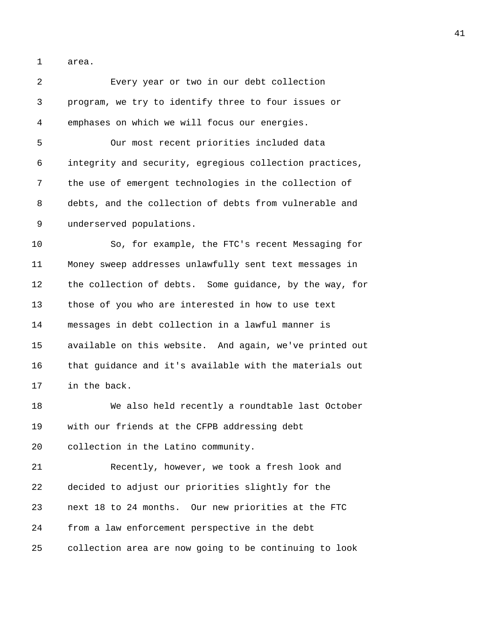1 area.

2 Every year or two in our debt collection 3 program, we try to identify three to four issues or 4 emphases on which we will focus our energies. 5 Our most recent priorities included data 6 integrity and security, egregious collection practices, 7 the use of emergent technologies in the collection of 8 debts, and the collection of debts from vulnerable and 9 underserved populations. 10 So, for example, the FTC's recent Messaging for 11 Money sweep addresses unlawfully sent text messages in 12 the collection of debts. Some guidance, by the way, for 13 those of you who are interested in how to use text 14 messages in debt collection in a lawful manner is 15 available on this website. And again, we've printed out 16 that guidance and it's available with the materials out 17 in the back. 18 We also held recently a roundtable last October 19 with our friends at the CFPB addressing debt 20 collection in the Latino community. 21 Recently, however, we took a fresh look and 22 decided to adjust our priorities slightly for the 23 next 18 to 24 months. Our new priorities at the FTC 24 from a law enforcement perspective in the debt 25 collection area are now going to be continuing to look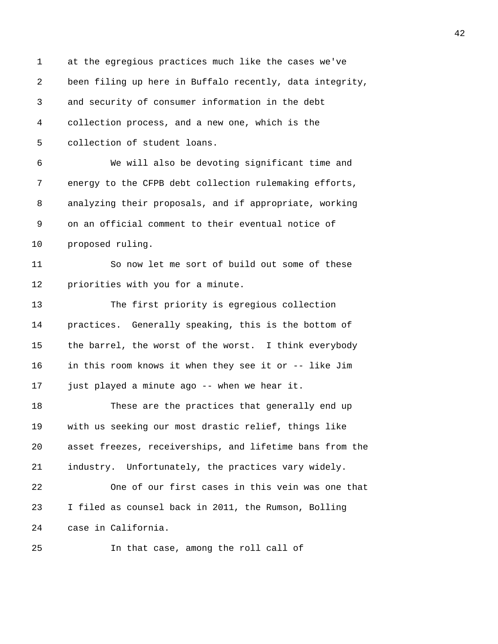1 at the egregious practices much like the cases we've 2 been filing up here in Buffalo recently, data integrity, 3 and security of consumer information in the debt 4 collection process, and a new one, which is the 5 collection of student loans. 6 We will also be devoting significant time and 7 energy to the CFPB debt collection rulemaking efforts, 8 analyzing their proposals, and if appropriate, working 9 on an official comment to their eventual notice of 10 proposed ruling. 11 So now let me sort of build out some of these 12 priorities with you for a minute. 13 The first priority is egregious collection 14 practices. Generally speaking, this is the bottom of 15 the barrel, the worst of the worst. I think everybody 16 in this room knows it when they see it or -- like Jim 17 just played a minute ago -- when we hear it. 18 These are the practices that generally end up 19 with us seeking our most drastic relief, things like 20 asset freezes, receiverships, and lifetime bans from the 21 industry. Unfortunately, the practices vary widely. 22 One of our first cases in this vein was one that 23 I filed as counsel back in 2011, the Rumson, Bolling 24 case in California. 25 In that case, among the roll call of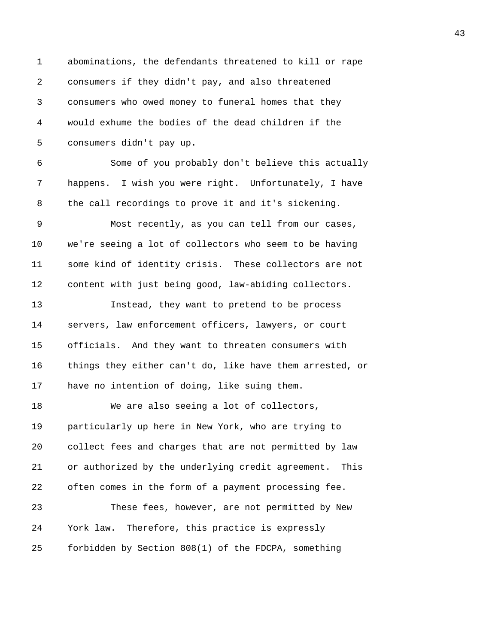1 abominations, the defendants threatened to kill or rape 2 consumers if they didn't pay, and also threatened 3 consumers who owed money to funeral homes that they 4 would exhume the bodies of the dead children if the 5 consumers didn't pay up. 6 Some of you probably don't believe this actually 7 happens. I wish you were right. Unfortunately, I have 8 the call recordings to prove it and it's sickening. 9 Most recently, as you can tell from our cases, 10 we're seeing a lot of collectors who seem to be having 11 some kind of identity crisis. These collectors are not 12 content with just being good, law-abiding collectors. 13 Instead, they want to pretend to be process 14 servers, law enforcement officers, lawyers, or court 15 officials. And they want to threaten consumers with 16 things they either can't do, like have them arrested, or 17 have no intention of doing, like suing them. 18 We are also seeing a lot of collectors, 19 particularly up here in New York, who are trying to 20 collect fees and charges that are not permitted by law 21 or authorized by the underlying credit agreement. This 22 often comes in the form of a payment processing fee. 23 These fees, however, are not permitted by New 24 York law. Therefore, this practice is expressly 25 forbidden by Section 808(1) of the FDCPA, something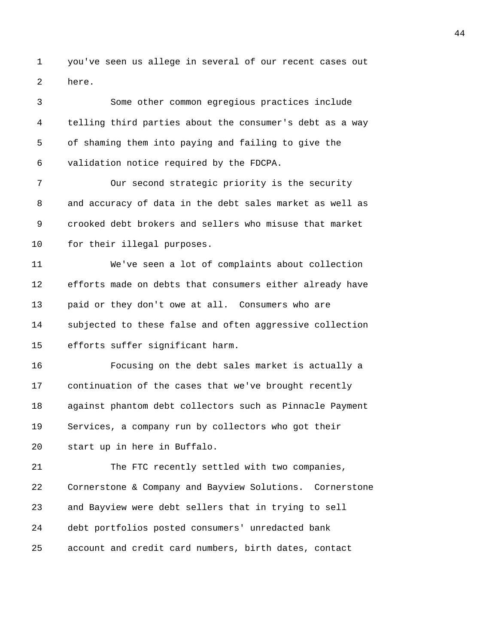1 you've seen us allege in several of our recent cases out 2 here.

3 Some other common egregious practices include 4 telling third parties about the consumer's debt as a way 5 of shaming them into paying and failing to give the 6 validation notice required by the FDCPA. 7 Our second strategic priority is the security 8 and accuracy of data in the debt sales market as well as 9 crooked debt brokers and sellers who misuse that market 10 for their illegal purposes. 11 We've seen a lot of complaints about collection 12 efforts made on debts that consumers either already have 13 paid or they don't owe at all. Consumers who are 14 subjected to these false and often aggressive collection 15 efforts suffer significant harm. 16 Focusing on the debt sales market is actually a 17 continuation of the cases that we've brought recently 18 against phantom debt collectors such as Pinnacle Payment 19 Services, a company run by collectors who got their 20 start up in here in Buffalo. 21 The FTC recently settled with two companies, 22 Cornerstone & Company and Bayview Solutions. Cornerstone 23 and Bayview were debt sellers that in trying to sell 24 debt portfolios posted consumers' unredacted bank 25 account and credit card numbers, birth dates, contact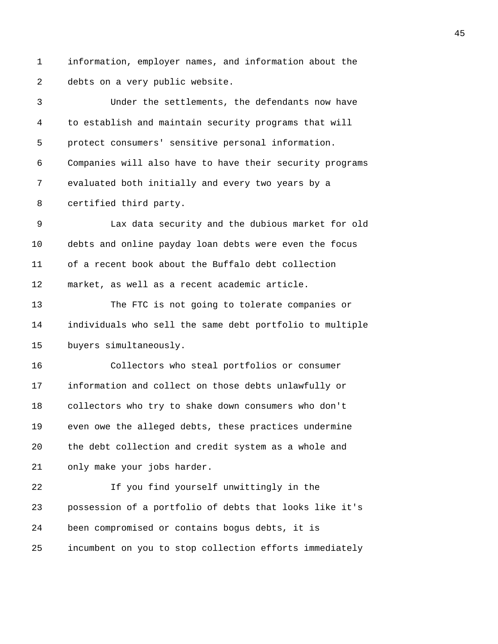1 information, employer names, and information about the 2 debts on a very public website.

3 Under the settlements, the defendants now have 4 to establish and maintain security programs that will 5 protect consumers' sensitive personal information. 6 Companies will also have to have their security programs 7 evaluated both initially and every two years by a 8 certified third party. 9 Lax data security and the dubious market for old 10 debts and online payday loan debts were even the focus 11 of a recent book about the Buffalo debt collection 12 market, as well as a recent academic article. 13 The FTC is not going to tolerate companies or 14 individuals who sell the same debt portfolio to multiple 15 buyers simultaneously. 16 Collectors who steal portfolios or consumer 17 information and collect on those debts unlawfully or 18 collectors who try to shake down consumers who don't 19 even owe the alleged debts, these practices undermine 20 the debt collection and credit system as a whole and 21 only make your jobs harder. 22 If you find yourself unwittingly in the 23 possession of a portfolio of debts that looks like it's 24 been compromised or contains bogus debts, it is 25 incumbent on you to stop collection efforts immediately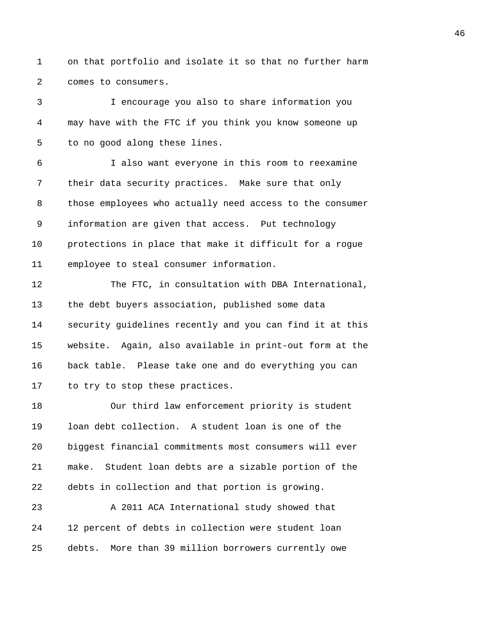1 on that portfolio and isolate it so that no further harm 2 comes to consumers.

3 I encourage you also to share information you 4 may have with the FTC if you think you know someone up 5 to no good along these lines.

6 I also want everyone in this room to reexamine 7 their data security practices. Make sure that only 8 those employees who actually need access to the consumer 9 information are given that access. Put technology 10 protections in place that make it difficult for a rogue 11 employee to steal consumer information.

12 The FTC, in consultation with DBA International, 13 the debt buyers association, published some data 14 security guidelines recently and you can find it at this 15 website. Again, also available in print-out form at the 16 back table. Please take one and do everything you can 17 to try to stop these practices.

18 Our third law enforcement priority is student 19 loan debt collection. A student loan is one of the 20 biggest financial commitments most consumers will ever 21 make. Student loan debts are a sizable portion of the 22 debts in collection and that portion is growing.

23 A 2011 ACA International study showed that 24 12 percent of debts in collection were student loan 25 debts. More than 39 million borrowers currently owe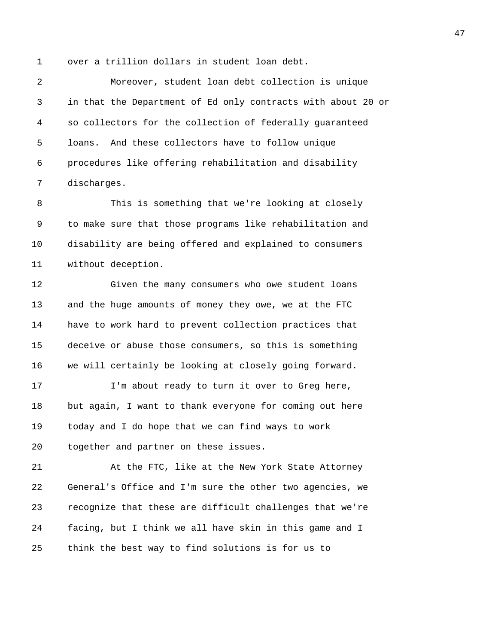1 over a trillion dollars in student loan debt.

2 Moreover, student loan debt collection is unique 3 in that the Department of Ed only contracts with about 20 or 4 so collectors for the collection of federally guaranteed 5 loans. And these collectors have to follow unique 6 procedures like offering rehabilitation and disability 7 discharges.

8 This is something that we're looking at closely 9 to make sure that those programs like rehabilitation and 10 disability are being offered and explained to consumers 11 without deception.

12 Given the many consumers who owe student loans 13 and the huge amounts of money they owe, we at the FTC 14 have to work hard to prevent collection practices that 15 deceive or abuse those consumers, so this is something 16 we will certainly be looking at closely going forward.

17 I'm about ready to turn it over to Greg here, 18 but again, I want to thank everyone for coming out here 19 today and I do hope that we can find ways to work 20 together and partner on these issues.

21 At the FTC, like at the New York State Attorney 22 General's Office and I'm sure the other two agencies, we 23 recognize that these are difficult challenges that we're 24 facing, but I think we all have skin in this game and I 25 think the best way to find solutions is for us to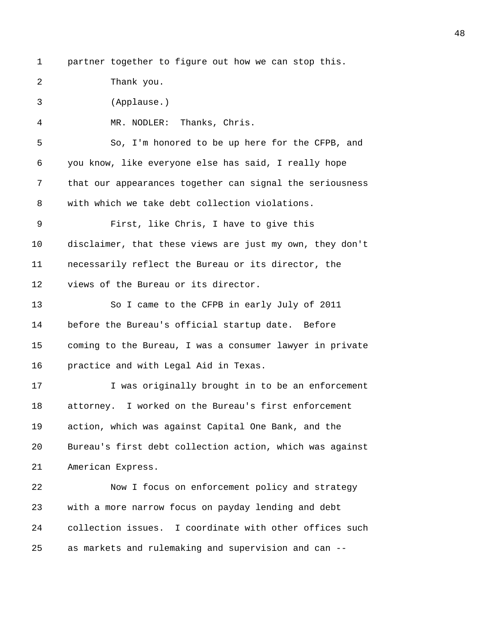- 
- 1 partner together to figure out how we can stop this.

2 Thank you.

3 (Applause.)

4 MR. NODLER: Thanks, Chris.

5 So, I'm honored to be up here for the CFPB, and 6 you know, like everyone else has said, I really hope 7 that our appearances together can signal the seriousness 8 with which we take debt collection violations.

9 First, like Chris, I have to give this 10 disclaimer, that these views are just my own, they don't 11 necessarily reflect the Bureau or its director, the 12 views of the Bureau or its director.

13 So I came to the CFPB in early July of 2011 14 before the Bureau's official startup date. Before 15 coming to the Bureau, I was a consumer lawyer in private 16 practice and with Legal Aid in Texas.

17 17 I was originally brought in to be an enforcement 18 attorney. I worked on the Bureau's first enforcement 19 action, which was against Capital One Bank, and the 20 Bureau's first debt collection action, which was against 21 American Express.

22 Now I focus on enforcement policy and strategy 23 with a more narrow focus on payday lending and debt 24 collection issues. I coordinate with other offices such 25 as markets and rulemaking and supervision and can --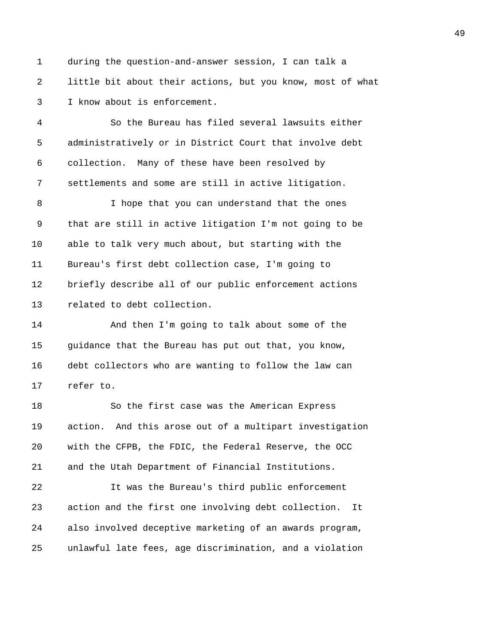1 during the question-and-answer session, I can talk a 2 little bit about their actions, but you know, most of what 3 I know about is enforcement.

4 So the Bureau has filed several lawsuits either 5 administratively or in District Court that involve debt 6 collection. Many of these have been resolved by 7 settlements and some are still in active litigation.

8 I hope that you can understand that the ones 9 that are still in active litigation I'm not going to be 10 able to talk very much about, but starting with the 11 Bureau's first debt collection case, I'm going to 12 briefly describe all of our public enforcement actions 13 related to debt collection.

14 And then I'm going to talk about some of the 15 guidance that the Bureau has put out that, you know, 16 debt collectors who are wanting to follow the law can 17 refer to.

18 So the first case was the American Express 19 action. And this arose out of a multipart investigation 20 with the CFPB, the FDIC, the Federal Reserve, the OCC 21 and the Utah Department of Financial Institutions.

22 It was the Bureau's third public enforcement 23 action and the first one involving debt collection. It 24 also involved deceptive marketing of an awards program, 25 unlawful late fees, age discrimination, and a violation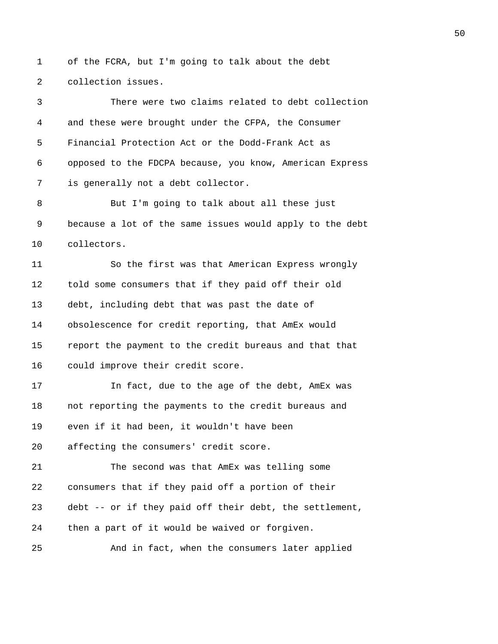1 of the FCRA, but I'm going to talk about the debt 2 collection issues.

3 There were two claims related to debt collection 4 and these were brought under the CFPA, the Consumer 5 Financial Protection Act or the Dodd-Frank Act as 6 opposed to the FDCPA because, you know, American Express 7 is generally not a debt collector. 8 But I'm going to talk about all these just 9 because a lot of the same issues would apply to the debt 10 collectors. 11 So the first was that American Express wrongly 12 told some consumers that if they paid off their old 13 debt, including debt that was past the date of 14 obsolescence for credit reporting, that AmEx would 15 report the payment to the credit bureaus and that that 16 could improve their credit score. 17 17 In fact, due to the age of the debt, AmEx was 18 not reporting the payments to the credit bureaus and 19 even if it had been, it wouldn't have been 20 affecting the consumers' credit score. 21 The second was that AmEx was telling some 22 consumers that if they paid off a portion of their 23 debt -- or if they paid off their debt, the settlement, 24 then a part of it would be waived or forgiven. 25 And in fact, when the consumers later applied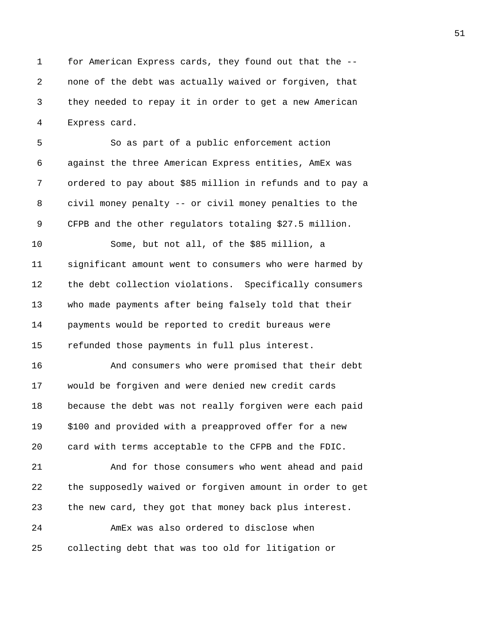1 for American Express cards, they found out that the -- 2 none of the debt was actually waived or forgiven, that 3 they needed to repay it in order to get a new American 4 Express card.

5 So as part of a public enforcement action 6 against the three American Express entities, AmEx was 7 ordered to pay about \$85 million in refunds and to pay a 8 civil money penalty -- or civil money penalties to the 9 CFPB and the other regulators totaling \$27.5 million.

10 Some, but not all, of the \$85 million, a 11 significant amount went to consumers who were harmed by 12 the debt collection violations. Specifically consumers 13 who made payments after being falsely told that their 14 payments would be reported to credit bureaus were 15 refunded those payments in full plus interest.

16 And consumers who were promised that their debt 17 would be forgiven and were denied new credit cards 18 because the debt was not really forgiven were each paid 19 \$100 and provided with a preapproved offer for a new 20 card with terms acceptable to the CFPB and the FDIC.

21 And for those consumers who went ahead and paid 22 the supposedly waived or forgiven amount in order to get 23 the new card, they got that money back plus interest. 24 AmEx was also ordered to disclose when

25 collecting debt that was too old for litigation or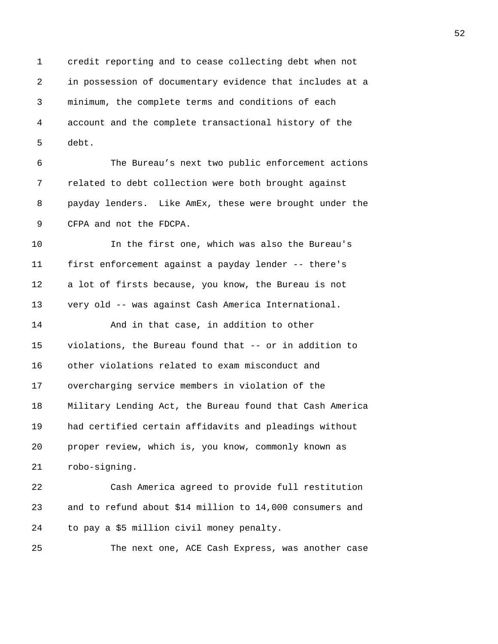1 credit reporting and to cease collecting debt when not 2 in possession of documentary evidence that includes at a 3 minimum, the complete terms and conditions of each 4 account and the complete transactional history of the 5 debt.

6 The Bureau's next two public enforcement actions 7 related to debt collection were both brought against 8 payday lenders. Like AmEx, these were brought under the 9 CFPA and not the FDCPA.

10 In the first one, which was also the Bureau's 11 first enforcement against a payday lender -- there's 12 a lot of firsts because, you know, the Bureau is not 13 very old -- was against Cash America International.

14 And in that case, in addition to other 15 violations, the Bureau found that -- or in addition to 16 other violations related to exam misconduct and 17 overcharging service members in violation of the 18 Military Lending Act, the Bureau found that Cash America 19 had certified certain affidavits and pleadings without 20 proper review, which is, you know, commonly known as 21 robo-signing.

22 Cash America agreed to provide full restitution 23 and to refund about \$14 million to 14,000 consumers and 24 to pay a \$5 million civil money penalty.

25 The next one, ACE Cash Express, was another case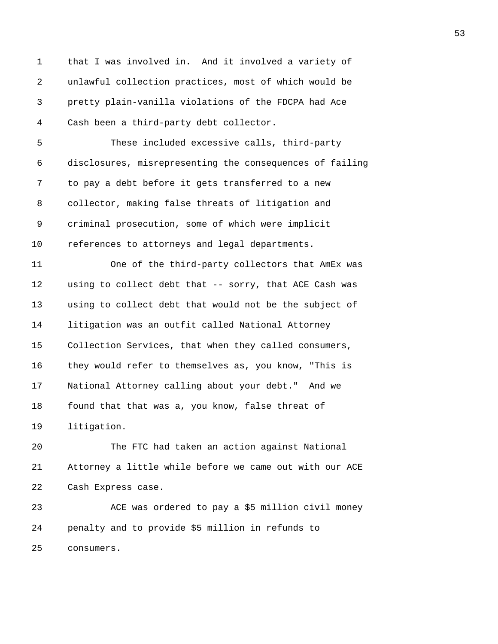1 that I was involved in. And it involved a variety of 2 unlawful collection practices, most of which would be 3 pretty plain-vanilla violations of the FDCPA had Ace 4 Cash been a third-party debt collector. 5 These included excessive calls, third-party 6 disclosures, misrepresenting the consequences of failing 7 to pay a debt before it gets transferred to a new 8 collector, making false threats of litigation and 9 criminal prosecution, some of which were implicit 10 references to attorneys and legal departments. 11 One of the third-party collectors that AmEx was 12 using to collect debt that -- sorry, that ACE Cash was 13 using to collect debt that would not be the subject of 14 litigation was an outfit called National Attorney 15 Collection Services, that when they called consumers, 16 they would refer to themselves as, you know, "This is 17 National Attorney calling about your debt." And we 18 found that that was a, you know, false threat of 19 litigation. 20 The FTC had taken an action against National 21 Attorney a little while before we came out with our ACE

22 Cash Express case.

23 ACE was ordered to pay a \$5 million civil money 24 penalty and to provide \$5 million in refunds to 25 consumers.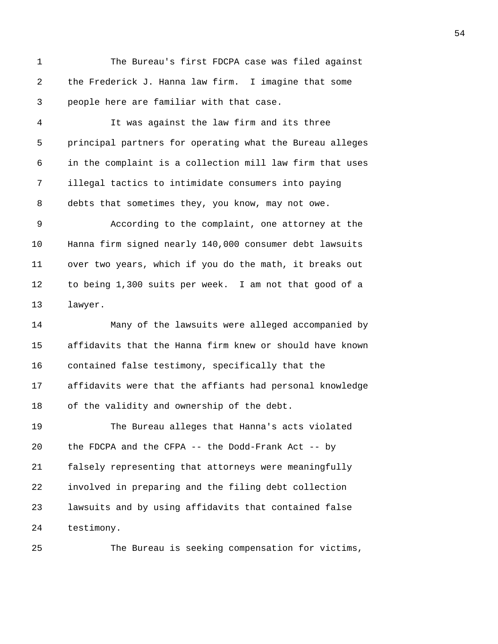1 The Bureau's first FDCPA case was filed against 2 the Frederick J. Hanna law firm. I imagine that some 3 people here are familiar with that case.

4 It was against the law firm and its three 5 principal partners for operating what the Bureau alleges 6 in the complaint is a collection mill law firm that uses 7 illegal tactics to intimidate consumers into paying 8 debts that sometimes they, you know, may not owe.

9 According to the complaint, one attorney at the 10 Hanna firm signed nearly 140,000 consumer debt lawsuits 11 over two years, which if you do the math, it breaks out 12 to being 1,300 suits per week. I am not that good of a 13 lawyer.

14 Many of the lawsuits were alleged accompanied by 15 affidavits that the Hanna firm knew or should have known 16 contained false testimony, specifically that the 17 affidavits were that the affiants had personal knowledge 18 of the validity and ownership of the debt.

19 The Bureau alleges that Hanna's acts violated 20 the FDCPA and the CFPA -- the Dodd-Frank Act -- by 21 falsely representing that attorneys were meaningfully 22 involved in preparing and the filing debt collection 23 lawsuits and by using affidavits that contained false 24 testimony.

25 The Bureau is seeking compensation for victims,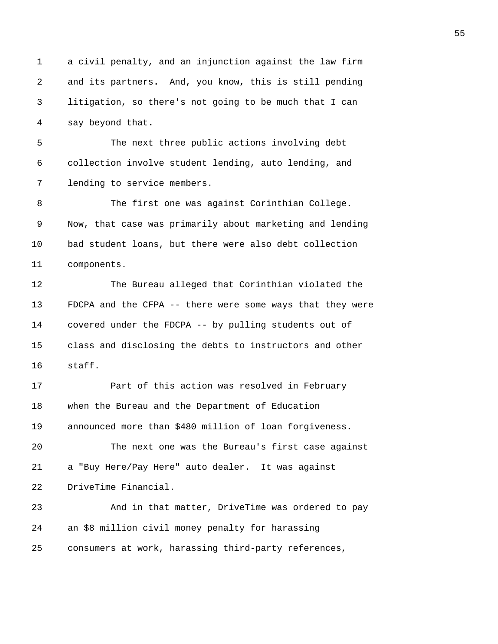1 a civil penalty, and an injunction against the law firm 2 and its partners. And, you know, this is still pending 3 litigation, so there's not going to be much that I can 4 say beyond that. 5 The next three public actions involving debt 6 collection involve student lending, auto lending, and 7 lending to service members. 8 The first one was against Corinthian College. 9 Now, that case was primarily about marketing and lending 10 bad student loans, but there were also debt collection 11 components. 12 The Bureau alleged that Corinthian violated the 13 FDCPA and the CFPA -- there were some ways that they were 14 covered under the FDCPA -- by pulling students out of 15 class and disclosing the debts to instructors and other 16 staff. 17 **Part of this action was resolved in February** 18 when the Bureau and the Department of Education 19 announced more than \$480 million of loan forgiveness. 20 The next one was the Bureau's first case against 21 a "Buy Here/Pay Here" auto dealer. It was against 22 DriveTime Financial. 23 And in that matter, DriveTime was ordered to pay 24 an \$8 million civil money penalty for harassing 25 consumers at work, harassing third-party references,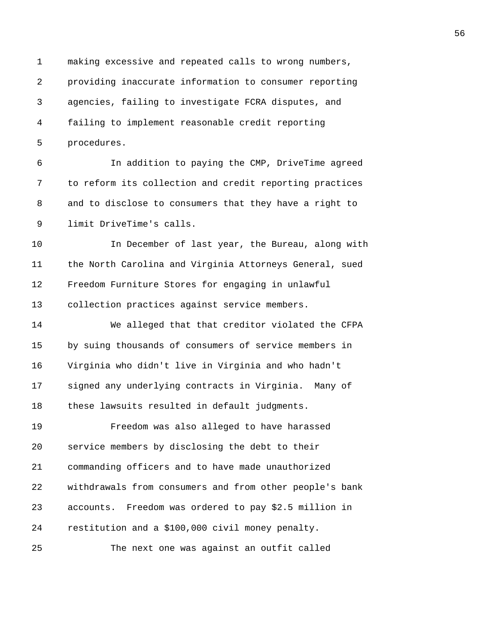1 making excessive and repeated calls to wrong numbers, 2 providing inaccurate information to consumer reporting 3 agencies, failing to investigate FCRA disputes, and 4 failing to implement reasonable credit reporting 5 procedures.

6 In addition to paying the CMP, DriveTime agreed 7 to reform its collection and credit reporting practices 8 and to disclose to consumers that they have a right to 9 limit DriveTime's calls.

10 In December of last year, the Bureau, along with 11 the North Carolina and Virginia Attorneys General, sued 12 Freedom Furniture Stores for engaging in unlawful 13 collection practices against service members.

14 We alleged that that creditor violated the CFPA 15 by suing thousands of consumers of service members in 16 Virginia who didn't live in Virginia and who hadn't 17 signed any underlying contracts in Virginia. Many of 18 these lawsuits resulted in default judgments.

19 Freedom was also alleged to have harassed 20 service members by disclosing the debt to their 21 commanding officers and to have made unauthorized 22 withdrawals from consumers and from other people's bank 23 accounts. Freedom was ordered to pay \$2.5 million in 24 restitution and a \$100,000 civil money penalty. 25 The next one was against an outfit called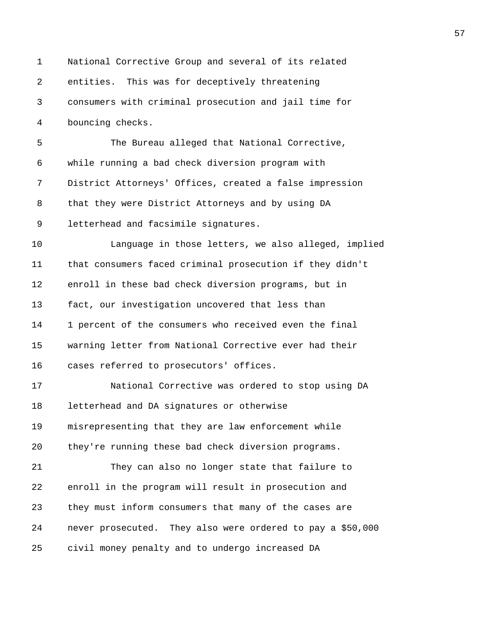1 National Corrective Group and several of its related 2 entities. This was for deceptively threatening 3 consumers with criminal prosecution and jail time for 4 bouncing checks. 5 The Bureau alleged that National Corrective, 6 while running a bad check diversion program with 7 District Attorneys' Offices, created a false impression 8 that they were District Attorneys and by using DA 9 letterhead and facsimile signatures. 10 Language in those letters, we also alleged, implied 11 that consumers faced criminal prosecution if they didn't 12 enroll in these bad check diversion programs, but in 13 fact, our investigation uncovered that less than 14 1 percent of the consumers who received even the final 15 warning letter from National Corrective ever had their 16 cases referred to prosecutors' offices. 17 National Corrective was ordered to stop using DA 18 letterhead and DA signatures or otherwise 19 misrepresenting that they are law enforcement while 20 they're running these bad check diversion programs. 21 They can also no longer state that failure to 22 enroll in the program will result in prosecution and 23 they must inform consumers that many of the cases are 24 never prosecuted. They also were ordered to pay a \$50,000 25 civil money penalty and to undergo increased DA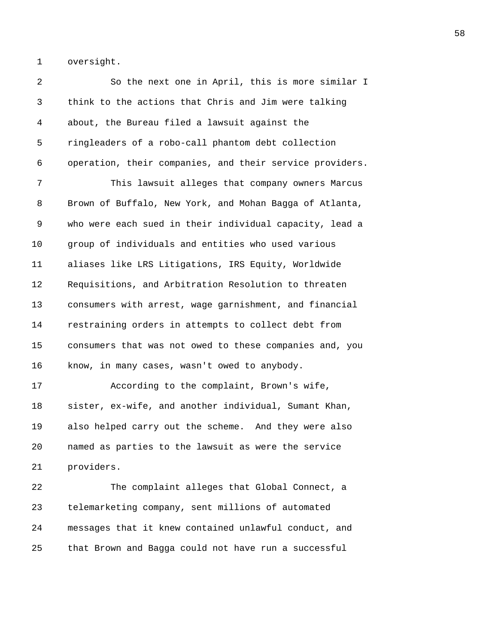1 oversight.

2 So the next one in April, this is more similar I 3 think to the actions that Chris and Jim were talking 4 about, the Bureau filed a lawsuit against the 5 ringleaders of a robo-call phantom debt collection 6 operation, their companies, and their service providers. 7 This lawsuit alleges that company owners Marcus 8 Brown of Buffalo, New York, and Mohan Bagga of Atlanta, 9 who were each sued in their individual capacity, lead a 10 group of individuals and entities who used various 11 aliases like LRS Litigations, IRS Equity, Worldwide 12 Requisitions, and Arbitration Resolution to threaten 13 consumers with arrest, wage garnishment, and financial 14 restraining orders in attempts to collect debt from 15 consumers that was not owed to these companies and, you 16 know, in many cases, wasn't owed to anybody. 17 According to the complaint, Brown's wife, 18 sister, ex-wife, and another individual, Sumant Khan, 19 also helped carry out the scheme. And they were also 20 named as parties to the lawsuit as were the service 21 providers. 22 The complaint alleges that Global Connect, a 23 telemarketing company, sent millions of automated 24 messages that it knew contained unlawful conduct, and 25 that Brown and Bagga could not have run a successful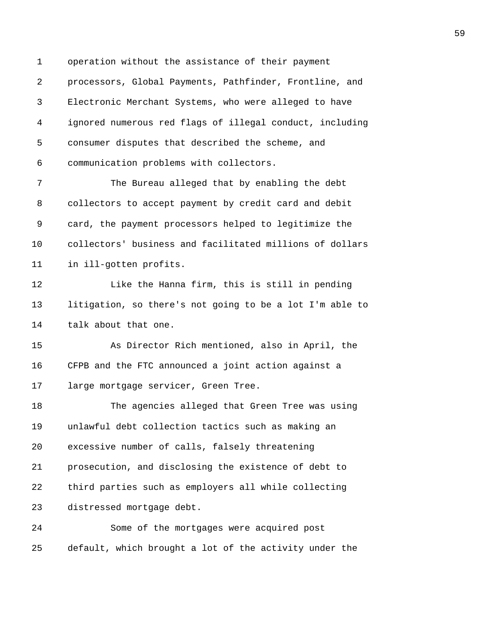1 operation without the assistance of their payment 2 processors, Global Payments, Pathfinder, Frontline, and 3 Electronic Merchant Systems, who were alleged to have 4 ignored numerous red flags of illegal conduct, including 5 consumer disputes that described the scheme, and 6 communication problems with collectors.

7 The Bureau alleged that by enabling the debt 8 collectors to accept payment by credit card and debit 9 card, the payment processors helped to legitimize the 10 collectors' business and facilitated millions of dollars 11 in ill-gotten profits.

12 Like the Hanna firm, this is still in pending 13 litigation, so there's not going to be a lot I'm able to 14 talk about that one.

15 As Director Rich mentioned, also in April, the 16 CFPB and the FTC announced a joint action against a 17 large mortgage servicer, Green Tree.

18 The agencies alleged that Green Tree was using 19 unlawful debt collection tactics such as making an 20 excessive number of calls, falsely threatening 21 prosecution, and disclosing the existence of debt to 22 third parties such as employers all while collecting 23 distressed mortgage debt.

24 Some of the mortgages were acquired post 25 default, which brought a lot of the activity under the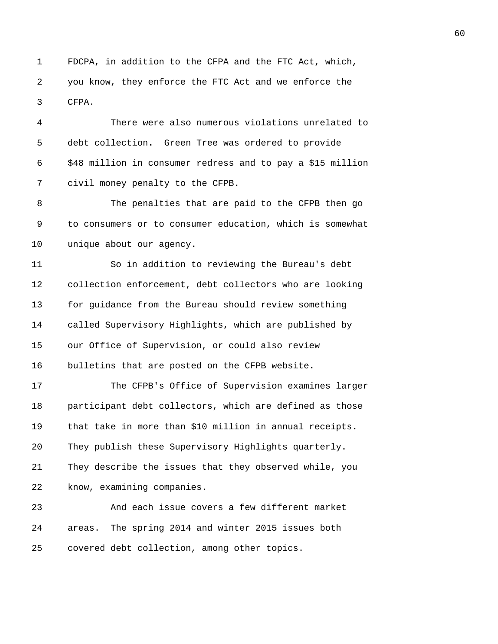1 FDCPA, in addition to the CFPA and the FTC Act, which, 2 you know, they enforce the FTC Act and we enforce the 3 CFPA.

4 There were also numerous violations unrelated to 5 debt collection. Green Tree was ordered to provide 6 \$48 million in consumer redress and to pay a \$15 million 7 civil money penalty to the CFPB.

8 The penalties that are paid to the CFPB then go 9 to consumers or to consumer education, which is somewhat 10 unique about our agency.

11 So in addition to reviewing the Bureau's debt 12 collection enforcement, debt collectors who are looking 13 for guidance from the Bureau should review something 14 called Supervisory Highlights, which are published by 15 our Office of Supervision, or could also review 16 bulletins that are posted on the CFPB website.

17 The CFPB's Office of Supervision examines larger 18 participant debt collectors, which are defined as those 19 that take in more than \$10 million in annual receipts. 20 They publish these Supervisory Highlights quarterly. 21 They describe the issues that they observed while, you 22 know, examining companies.

23 And each issue covers a few different market 24 areas. The spring 2014 and winter 2015 issues both 25 covered debt collection, among other topics.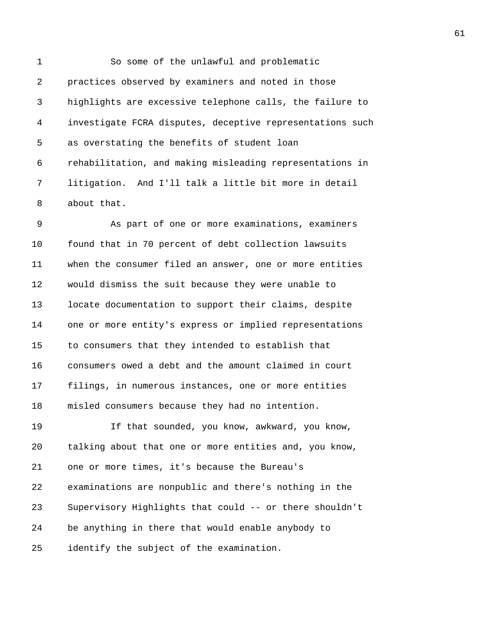1 So some of the unlawful and problematic 2 practices observed by examiners and noted in those 3 highlights are excessive telephone calls, the failure to 4 investigate FCRA disputes, deceptive representations such 5 as overstating the benefits of student loan 6 rehabilitation, and making misleading representations in 7 litigation. And I'll talk a little bit more in detail 8 about that.

9 As part of one or more examinations, examiners 10 found that in 70 percent of debt collection lawsuits 11 when the consumer filed an answer, one or more entities 12 would dismiss the suit because they were unable to 13 locate documentation to support their claims, despite 14 one or more entity's express or implied representations 15 to consumers that they intended to establish that 16 consumers owed a debt and the amount claimed in court 17 filings, in numerous instances, one or more entities 18 misled consumers because they had no intention.

19 If that sounded, you know, awkward, you know, 20 talking about that one or more entities and, you know, 21 one or more times, it's because the Bureau's 22 examinations are nonpublic and there's nothing in the 23 Supervisory Highlights that could -- or there shouldn't 24 be anything in there that would enable anybody to 25 identify the subject of the examination.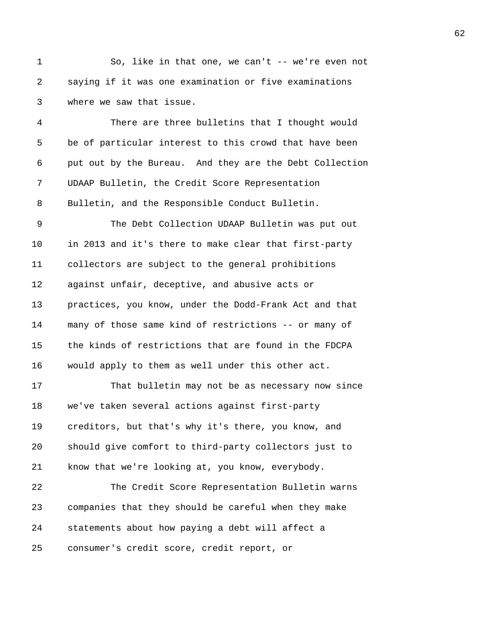1 So, like in that one, we can't -- we're even not 2 saying if it was one examination or five examinations 3 where we saw that issue.

4 There are three bulletins that I thought would 5 be of particular interest to this crowd that have been 6 put out by the Bureau. And they are the Debt Collection 7 UDAAP Bulletin, the Credit Score Representation 8 Bulletin, and the Responsible Conduct Bulletin.

9 The Debt Collection UDAAP Bulletin was put out 10 in 2013 and it's there to make clear that first-party 11 collectors are subject to the general prohibitions 12 against unfair, deceptive, and abusive acts or 13 practices, you know, under the Dodd-Frank Act and that 14 many of those same kind of restrictions -- or many of 15 the kinds of restrictions that are found in the FDCPA 16 would apply to them as well under this other act.

17 That bulletin may not be as necessary now since 18 we've taken several actions against first-party 19 creditors, but that's why it's there, you know, and 20 should give comfort to third-party collectors just to 21 know that we're looking at, you know, everybody.

22 The Credit Score Representation Bulletin warns 23 companies that they should be careful when they make 24 statements about how paying a debt will affect a 25 consumer's credit score, credit report, or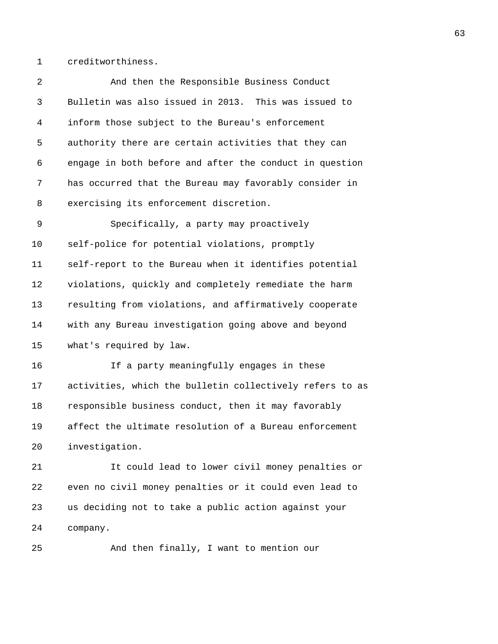1 creditworthiness.

| 2  | And then the Responsible Business Conduct                |
|----|----------------------------------------------------------|
| 3  | Bulletin was also issued in 2013. This was issued to     |
| 4  | inform those subject to the Bureau's enforcement         |
| 5  | authority there are certain activities that they can     |
| 6  | engage in both before and after the conduct in question  |
| 7  | has occurred that the Bureau may favorably consider in   |
| 8  | exercising its enforcement discretion.                   |
| 9  | Specifically, a party may proactively                    |
| 10 | self-police for potential violations, promptly           |
| 11 | self-report to the Bureau when it identifies potential   |
| 12 | violations, quickly and completely remediate the harm    |
| 13 | resulting from violations, and affirmatively cooperate   |
| 14 | with any Bureau investigation going above and beyond     |
| 15 | what's required by law.                                  |
| 16 | If a party meaningfully engages in these                 |
| 17 | activities, which the bulletin collectively refers to as |
| 18 | responsible business conduct, then it may favorably      |
| 19 | affect the ultimate resolution of a Bureau enforcement   |
| 20 | investigation.                                           |
| 21 | It could lead to lower civil money penalties or          |
| 22 | even no civil money penalties or it could even lead to   |
| 23 | us deciding not to take a public action against your     |
| 24 | company.                                                 |
| 25 | And then finally, I want to mention our                  |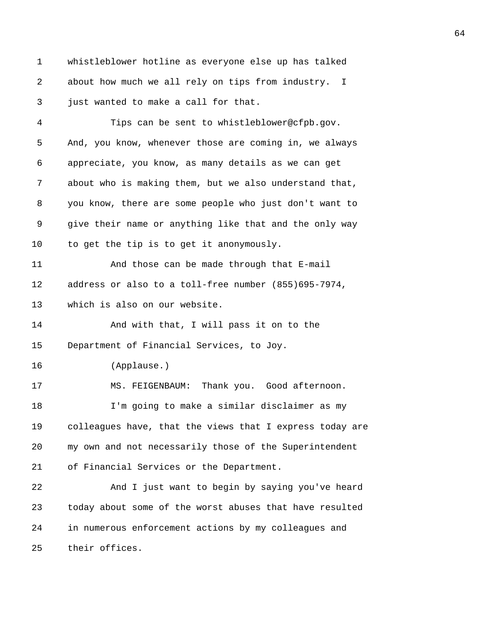1 whistleblower hotline as everyone else up has talked 2 about how much we all rely on tips from industry. I 3 just wanted to make a call for that.

4 Tips can be sent to whistleblower@cfpb.gov. 5 And, you know, whenever those are coming in, we always 6 appreciate, you know, as many details as we can get 7 about who is making them, but we also understand that, 8 you know, there are some people who just don't want to 9 give their name or anything like that and the only way 10 to get the tip is to get it anonymously. 11 And those can be made through that E-mail 12 address or also to a toll-free number (855)695-7974, 13 which is also on our website. 14 And with that, I will pass it on to the 15 Department of Financial Services, to Joy. 16 (Applause.) 17 MS. FEIGENBAUM: Thank you. Good afternoon. 18 I'm going to make a similar disclaimer as my 19 colleagues have, that the views that I express today are 20 my own and not necessarily those of the Superintendent 21 of Financial Services or the Department. 22 And I just want to begin by saying you've heard 23 today about some of the worst abuses that have resulted 24 in numerous enforcement actions by my colleagues and 25 their offices.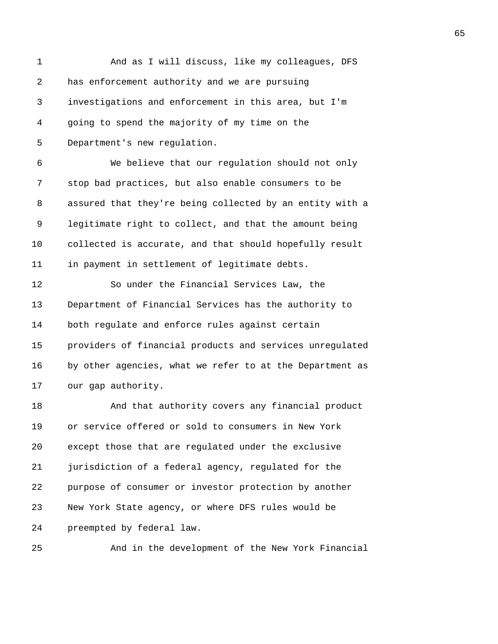| $\mathbf{1}$ | And as I will discuss, like my colleagues, DFS           |
|--------------|----------------------------------------------------------|
| 2            | has enforcement authority and we are pursuing            |
| 3            | investigations and enforcement in this area, but I'm     |
| 4            | going to spend the majority of my time on the            |
| 5            | Department's new regulation.                             |
| 6            | We believe that our regulation should not only           |
| 7            | stop bad practices, but also enable consumers to be      |
| 8            | assured that they're being collected by an entity with a |
| 9            | legitimate right to collect, and that the amount being   |
| 10           | collected is accurate, and that should hopefully result  |
| 11           | in payment in settlement of legitimate debts.            |
| 12           | So under the Financial Services Law, the                 |
| 13           | Department of Financial Services has the authority to    |
| 14           | both regulate and enforce rules against certain          |
| 15           | providers of financial products and services unregulated |
| 16           | by other agencies, what we refer to at the Department as |
| 17           | our gap authority.                                       |
| 18           | And that authority covers any financial product          |
| 19           | or service offered or sold to consumers in New York      |
| 20           | except those that are regulated under the exclusive      |
| 21           | jurisdiction of a federal agency, regulated for the      |
| 22           | purpose of consumer or investor protection by another    |
| 23           | New York State agency, or where DFS rules would be       |
| 24           | preempted by federal law.                                |
|              |                                                          |

25 And in the development of the New York Financial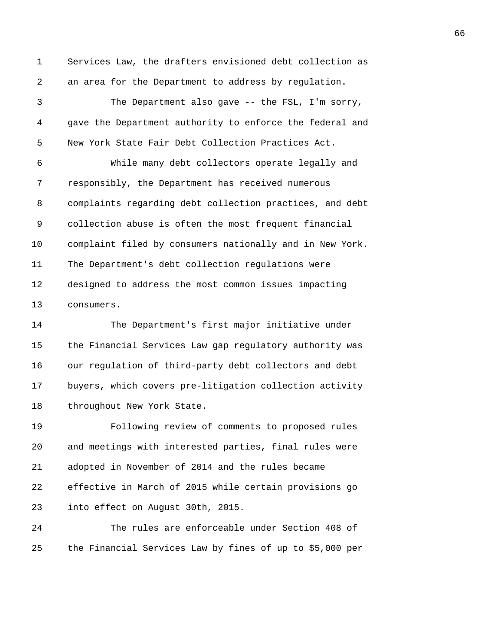1 Services Law, the drafters envisioned debt collection as 2 an area for the Department to address by regulation.

3 The Department also gave -- the FSL, I'm sorry, 4 gave the Department authority to enforce the federal and 5 New York State Fair Debt Collection Practices Act.

6 While many debt collectors operate legally and 7 responsibly, the Department has received numerous 8 complaints regarding debt collection practices, and debt 9 collection abuse is often the most frequent financial 10 complaint filed by consumers nationally and in New York. 11 The Department's debt collection regulations were 12 designed to address the most common issues impacting 13 consumers.

14 The Department's first major initiative under 15 the Financial Services Law gap regulatory authority was 16 our regulation of third-party debt collectors and debt 17 buyers, which covers pre-litigation collection activity 18 throughout New York State.

19 Following review of comments to proposed rules 20 and meetings with interested parties, final rules were 21 adopted in November of 2014 and the rules became 22 effective in March of 2015 while certain provisions go 23 into effect on August 30th, 2015.

24 The rules are enforceable under Section 408 of 25 the Financial Services Law by fines of up to \$5,000 per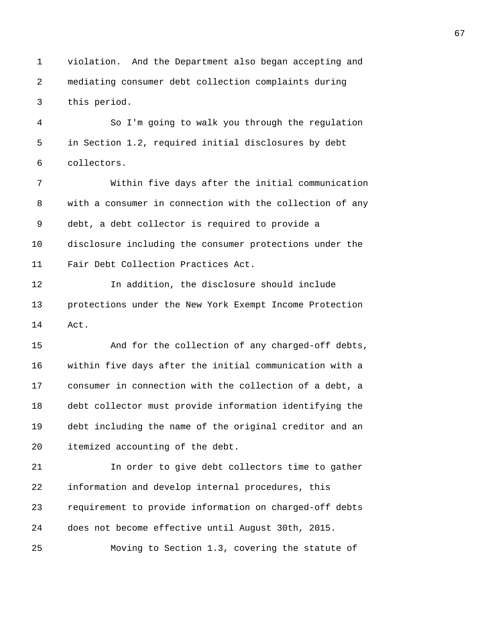1 violation. And the Department also began accepting and 2 mediating consumer debt collection complaints during 3 this period.

4 So I'm going to walk you through the regulation 5 in Section 1.2, required initial disclosures by debt 6 collectors.

7 Within five days after the initial communication 8 with a consumer in connection with the collection of any 9 debt, a debt collector is required to provide a 10 disclosure including the consumer protections under the 11 Fair Debt Collection Practices Act.

12 In addition, the disclosure should include 13 protections under the New York Exempt Income Protection 14 Act.

15 And for the collection of any charged-off debts, 16 within five days after the initial communication with a 17 consumer in connection with the collection of a debt, a 18 debt collector must provide information identifying the 19 debt including the name of the original creditor and an 20 itemized accounting of the debt.

21 In order to give debt collectors time to gather 22 information and develop internal procedures, this 23 requirement to provide information on charged-off debts 24 does not become effective until August 30th, 2015.

25 Moving to Section 1.3, covering the statute of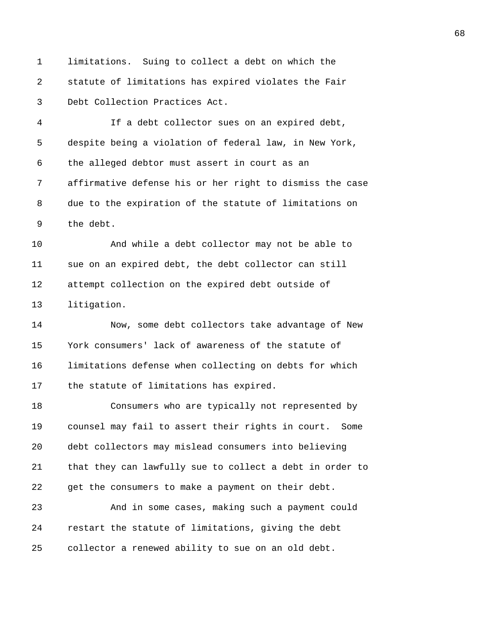1 limitations. Suing to collect a debt on which the 2 statute of limitations has expired violates the Fair 3 Debt Collection Practices Act.

4 If a debt collector sues on an expired debt, 5 despite being a violation of federal law, in New York, 6 the alleged debtor must assert in court as an 7 affirmative defense his or her right to dismiss the case 8 due to the expiration of the statute of limitations on 9 the debt.

10 And while a debt collector may not be able to 11 sue on an expired debt, the debt collector can still 12 attempt collection on the expired debt outside of 13 litigation.

14 Now, some debt collectors take advantage of New 15 York consumers' lack of awareness of the statute of 16 limitations defense when collecting on debts for which 17 the statute of limitations has expired.

18 Consumers who are typically not represented by 19 counsel may fail to assert their rights in court. Some 20 debt collectors may mislead consumers into believing 21 that they can lawfully sue to collect a debt in order to 22 get the consumers to make a payment on their debt.

23 And in some cases, making such a payment could 24 restart the statute of limitations, giving the debt 25 collector a renewed ability to sue on an old debt.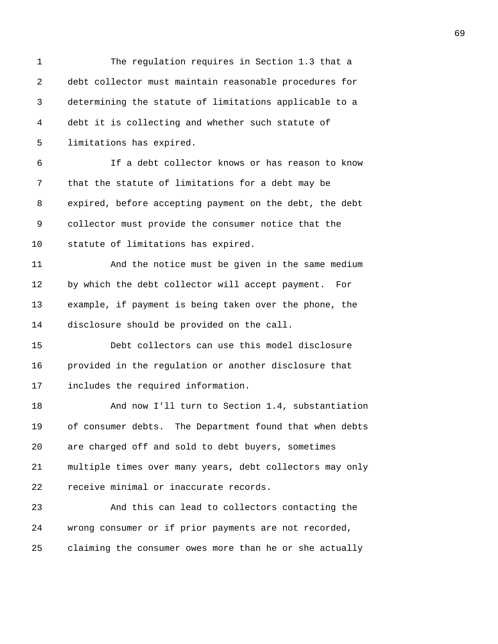| 1  | The regulation requires in Section 1.3 that a            |
|----|----------------------------------------------------------|
| 2  | debt collector must maintain reasonable procedures for   |
| 3  | determining the statute of limitations applicable to a   |
| 4  | debt it is collecting and whether such statute of        |
| 5  | limitations has expired.                                 |
| 6  | If a debt collector knows or has reason to know          |
| 7  | that the statute of limitations for a debt may be        |
| 8  | expired, before accepting payment on the debt, the debt  |
| 9  | collector must provide the consumer notice that the      |
| 10 | statute of limitations has expired.                      |
| 11 | And the notice must be given in the same medium          |
| 12 | by which the debt collector will accept payment. For     |
| 13 | example, if payment is being taken over the phone, the   |
| 14 | disclosure should be provided on the call.               |
| 15 | Debt collectors can use this model disclosure            |
| 16 | provided in the regulation or another disclosure that    |
| 17 | includes the required information.                       |
| 18 | And now I'll turn to Section 1.4, substantiation         |
| 19 | of consumer debts. The Department found that when debts  |
| 20 | are charged off and sold to debt buyers, sometimes       |
| 21 | multiple times over many years, debt collectors may only |
| 22 | receive minimal or inaccurate records.                   |
| 23 | And this can lead to collectors contacting the           |
| 24 | wrong consumer or if prior payments are not recorded,    |
| 25 | claiming the consumer owes more than he or she actually  |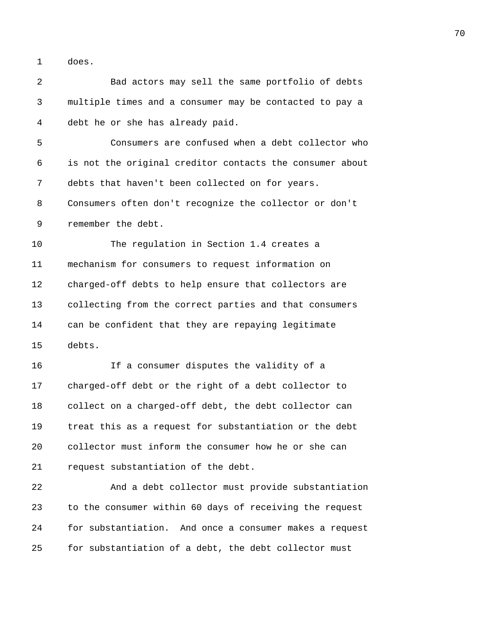1 does.

2 Bad actors may sell the same portfolio of debts 3 multiple times and a consumer may be contacted to pay a 4 debt he or she has already paid. 5 Consumers are confused when a debt collector who 6 is not the original creditor contacts the consumer about 7 debts that haven't been collected on for years. 8 Consumers often don't recognize the collector or don't 9 remember the debt. 10 The regulation in Section 1.4 creates a 11 mechanism for consumers to request information on 12 charged-off debts to help ensure that collectors are 13 collecting from the correct parties and that consumers 14 can be confident that they are repaying legitimate 15 debts. 16 If a consumer disputes the validity of a 17 charged-off debt or the right of a debt collector to 18 collect on a charged-off debt, the debt collector can 19 treat this as a request for substantiation or the debt 20 collector must inform the consumer how he or she can 21 request substantiation of the debt. 22 And a debt collector must provide substantiation 23 to the consumer within 60 days of receiving the request 24 for substantiation. And once a consumer makes a request 25 for substantiation of a debt, the debt collector must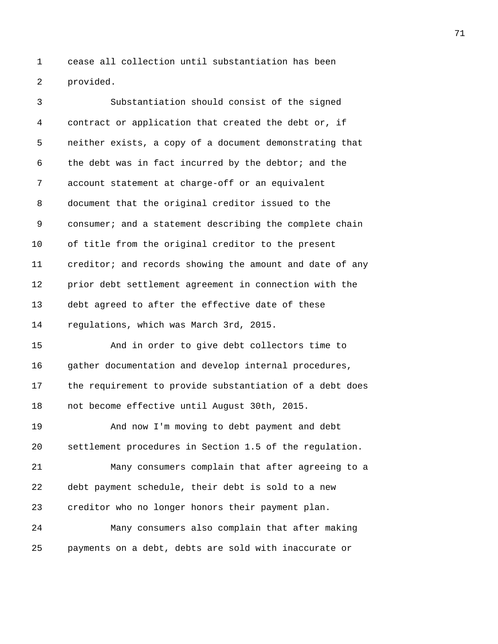1 cease all collection until substantiation has been 2 provided.

3 Substantiation should consist of the signed 4 contract or application that created the debt or, if 5 neither exists, a copy of a document demonstrating that 6 the debt was in fact incurred by the debtor; and the 7 account statement at charge-off or an equivalent 8 document that the original creditor issued to the 9 consumer; and a statement describing the complete chain 10 of title from the original creditor to the present 11 creditor; and records showing the amount and date of any 12 prior debt settlement agreement in connection with the 13 debt agreed to after the effective date of these 14 regulations, which was March 3rd, 2015. 15 And in order to give debt collectors time to 16 gather documentation and develop internal procedures, 17 the requirement to provide substantiation of a debt does 18 not become effective until August 30th, 2015. 19 And now I'm moving to debt payment and debt 20 settlement procedures in Section 1.5 of the regulation. 21 Many consumers complain that after agreeing to a 22 debt payment schedule, their debt is sold to a new 23 creditor who no longer honors their payment plan. 24 Many consumers also complain that after making 25 payments on a debt, debts are sold with inaccurate or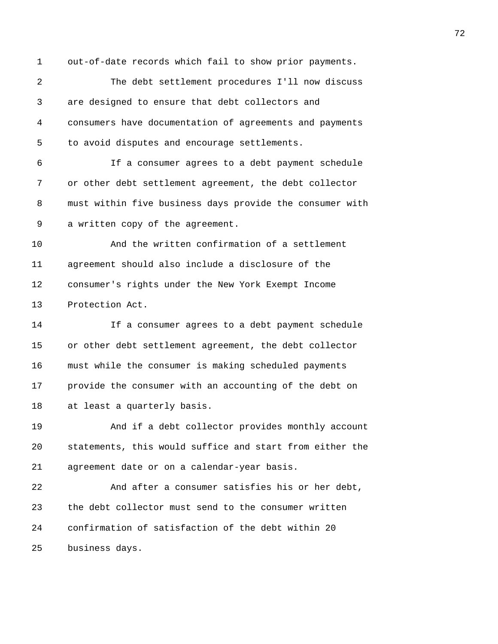1 out-of-date records which fail to show prior payments.

2 The debt settlement procedures I'll now discuss 3 are designed to ensure that debt collectors and 4 consumers have documentation of agreements and payments 5 to avoid disputes and encourage settlements.

6 If a consumer agrees to a debt payment schedule 7 or other debt settlement agreement, the debt collector 8 must within five business days provide the consumer with 9 a written copy of the agreement.

10 And the written confirmation of a settlement 11 agreement should also include a disclosure of the 12 consumer's rights under the New York Exempt Income 13 Protection Act.

14 If a consumer agrees to a debt payment schedule 15 or other debt settlement agreement, the debt collector 16 must while the consumer is making scheduled payments 17 provide the consumer with an accounting of the debt on 18 at least a quarterly basis.

19 And if a debt collector provides monthly account 20 statements, this would suffice and start from either the 21 agreement date or on a calendar-year basis.

22 And after a consumer satisfies his or her debt, 23 the debt collector must send to the consumer written 24 confirmation of satisfaction of the debt within 20 25 business days.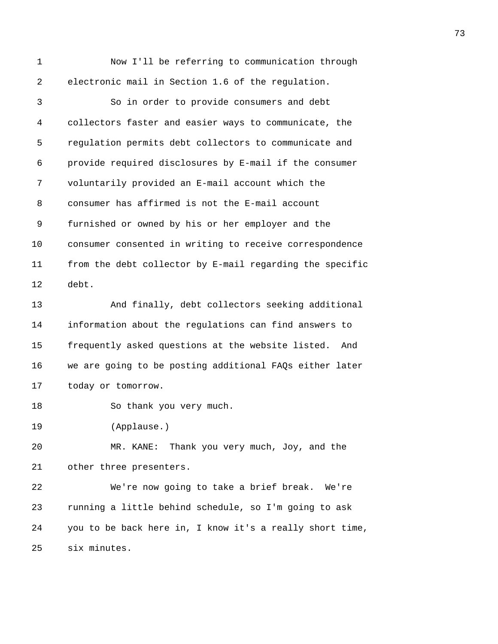| 1  | Now I'll be referring to communication through           |
|----|----------------------------------------------------------|
| 2  | electronic mail in Section 1.6 of the regulation.        |
| 3  | So in order to provide consumers and debt                |
| 4  | collectors faster and easier ways to communicate, the    |
| 5  | regulation permits debt collectors to communicate and    |
| 6  | provide required disclosures by E-mail if the consumer   |
| 7  | voluntarily provided an E-mail account which the         |
| 8  | consumer has affirmed is not the E-mail account          |
| 9  | furnished or owned by his or her employer and the        |
| 10 | consumer consented in writing to receive correspondence  |
| 11 | from the debt collector by E-mail regarding the specific |
| 12 | debt.                                                    |
| 13 | And finally, debt collectors seeking additional          |
| 14 | information about the regulations can find answers to    |
| 15 | frequently asked questions at the website listed.<br>And |
| 16 | we are going to be posting additional FAQs either later  |
| 17 | today or tomorrow.                                       |
| 18 | So thank you very much.                                  |
| 19 | (Applause.)                                              |
| 20 | MR. KANE: Thank you very much, Joy, and the              |
| 21 | other three presenters.                                  |
| 22 | We're now going to take a brief break. We're             |
| 23 | running a little behind schedule, so I'm going to ask    |
| 24 | you to be back here in, I know it's a really short time, |
| 25 | six minutes.                                             |
|    |                                                          |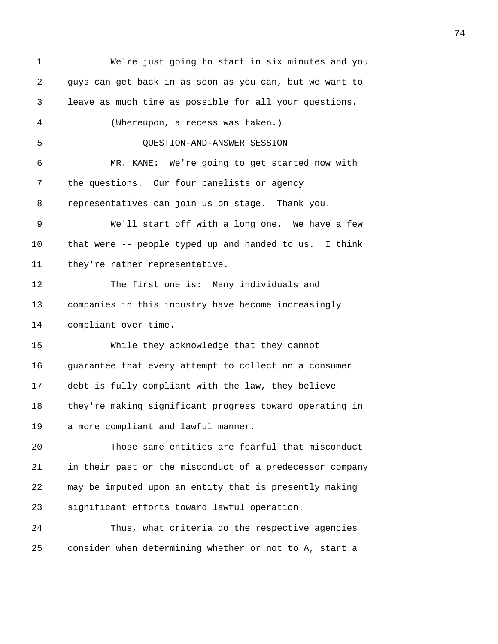| 1  | We're just going to start in six minutes and you         |
|----|----------------------------------------------------------|
| 2  | guys can get back in as soon as you can, but we want to  |
| 3  | leave as much time as possible for all your questions.   |
| 4  | (Whereupon, a recess was taken.)                         |
| 5  | QUESTION-AND-ANSWER SESSION                              |
| 6  | MR. KANE: We're going to get started now with            |
| 7  | the questions. Our four panelists or agency              |
| 8  | representatives can join us on stage. Thank you.         |
| 9  | We'll start off with a long one. We have a few           |
| 10 | that were -- people typed up and handed to us. I think   |
| 11 | they're rather representative.                           |
| 12 | The first one is: Many individuals and                   |
| 13 | companies in this industry have become increasingly      |
| 14 | compliant over time.                                     |
| 15 | While they acknowledge that they cannot                  |
| 16 | guarantee that every attempt to collect on a consumer    |
| 17 | debt is fully compliant with the law, they believe       |
| 18 | they're making significant progress toward operating in  |
| 19 | a more compliant and lawful manner.                      |
| 20 | Those same entities are fearful that misconduct          |
| 21 | in their past or the misconduct of a predecessor company |
| 22 | may be imputed upon an entity that is presently making   |
| 23 | significant efforts toward lawful operation.             |
| 24 | Thus, what criteria do the respective agencies           |
| 25 | consider when determining whether or not to A, start a   |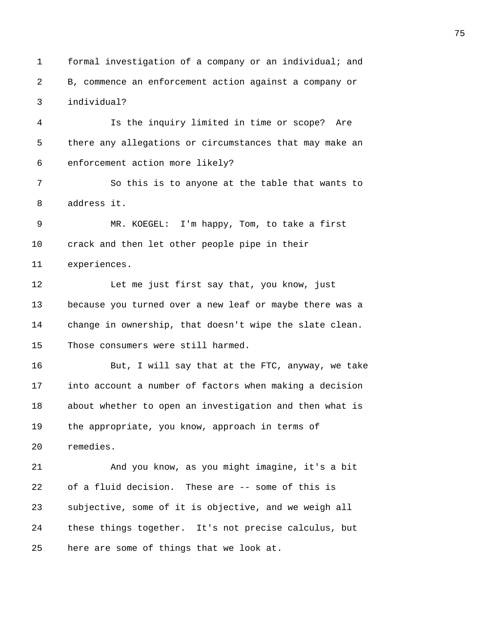1 formal investigation of a company or an individual; and 2 B, commence an enforcement action against a company or 3 individual?

4 Is the inquiry limited in time or scope? Are 5 there any allegations or circumstances that may make an 6 enforcement action more likely?

7 So this is to anyone at the table that wants to 8 address it.

9 MR. KOEGEL: I'm happy, Tom, to take a first 10 crack and then let other people pipe in their 11 experiences.

12 Let me just first say that, you know, just 13 because you turned over a new leaf or maybe there was a 14 change in ownership, that doesn't wipe the slate clean. 15 Those consumers were still harmed.

16 But, I will say that at the FTC, anyway, we take 17 into account a number of factors when making a decision 18 about whether to open an investigation and then what is 19 the appropriate, you know, approach in terms of 20 remedies.

21 And you know, as you might imagine, it's a bit 22 of a fluid decision. These are -- some of this is 23 subjective, some of it is objective, and we weigh all 24 these things together. It's not precise calculus, but 25 here are some of things that we look at.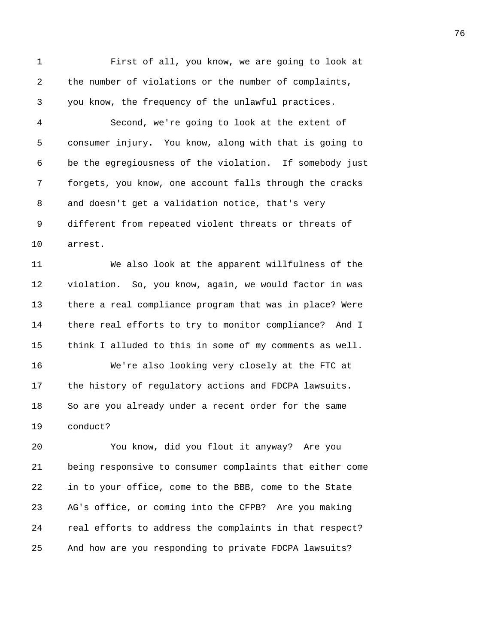1 First of all, you know, we are going to look at 2 the number of violations or the number of complaints, 3 you know, the frequency of the unlawful practices. 4 Second, we're going to look at the extent of 5 consumer injury. You know, along with that is going to 6 be the egregiousness of the violation. If somebody just 7 forgets, you know, one account falls through the cracks 8 and doesn't get a validation notice, that's very 9 different from repeated violent threats or threats of 10 arrest. 11 We also look at the apparent willfulness of the 12 violation. So, you know, again, we would factor in was 13 there a real compliance program that was in place? Were 14 there real efforts to try to monitor compliance? And I 15 think I alluded to this in some of my comments as well. 16 We're also looking very closely at the FTC at 17 the history of regulatory actions and FDCPA lawsuits. 18 So are you already under a recent order for the same 19 conduct? 20 You know, did you flout it anyway? Are you 21 being responsive to consumer complaints that either come

22 in to your office, come to the BBB, come to the State 23 AG's office, or coming into the CFPB? Are you making 24 real efforts to address the complaints in that respect? 25 And how are you responding to private FDCPA lawsuits?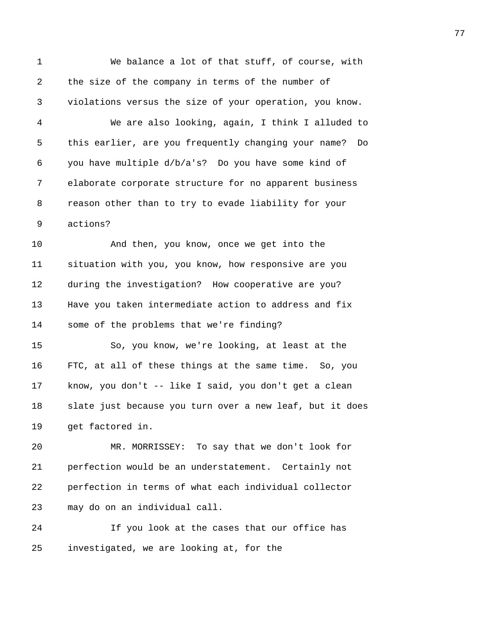1 We balance a lot of that stuff, of course, with 2 the size of the company in terms of the number of 3 violations versus the size of your operation, you know. 4 We are also looking, again, I think I alluded to 5 this earlier, are you frequently changing your name? Do 6 you have multiple d/b/a's? Do you have some kind of 7 elaborate corporate structure for no apparent business 8 reason other than to try to evade liability for your 9 actions? 10 And then, you know, once we get into the 11 situation with you, you know, how responsive are you 12 during the investigation? How cooperative are you? 13 Have you taken intermediate action to address and fix 14 some of the problems that we're finding? 15 So, you know, we're looking, at least at the 16 FTC, at all of these things at the same time. So, you 17 know, you don't -- like I said, you don't get a clean 18 slate just because you turn over a new leaf, but it does 19 get factored in. 20 MR. MORRISSEY: To say that we don't look for 21 perfection would be an understatement. Certainly not 22 perfection in terms of what each individual collector 23 may do on an individual call. 24 If you look at the cases that our office has

25 investigated, we are looking at, for the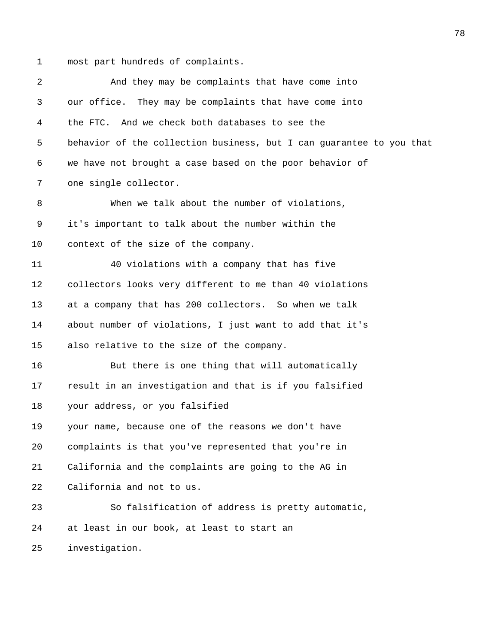1 most part hundreds of complaints.

| $\overline{a}$ | And they may be complaints that have come into                       |
|----------------|----------------------------------------------------------------------|
| 3              | our office. They may be complaints that have come into               |
| 4              | the FTC. And we check both databases to see the                      |
| 5              | behavior of the collection business, but I can guarantee to you that |
| 6              | we have not brought a case based on the poor behavior of             |
| 7              | one single collector.                                                |
| 8              | When we talk about the number of violations,                         |
| 9              | it's important to talk about the number within the                   |
| 10             | context of the size of the company.                                  |
| 11             | 40 violations with a company that has five                           |
| 12             | collectors looks very different to me than 40 violations             |
| 13             | at a company that has 200 collectors. So when we talk                |
| 14             | about number of violations, I just want to add that it's             |
| 15             | also relative to the size of the company.                            |
| 16             | But there is one thing that will automatically                       |
| 17             | result in an investigation and that is if you falsified              |
| 18             | your address, or you falsified                                       |
| 19             | your name, because one of the reasons we don't have                  |
| 20             | complaints is that you've represented that you're in                 |
| 21             | California and the complaints are going to the AG in                 |
| 22             | California and not to us.                                            |
| 23             | So falsification of address is pretty automatic,                     |
| 24             | at least in our book, at least to start an                           |
| 25             | investigation.                                                       |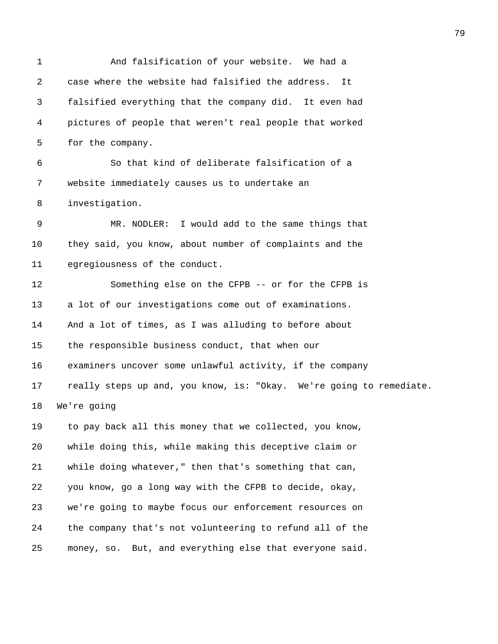1 And falsification of your website. We had a 2 case where the website had falsified the address. It 3 falsified everything that the company did. It even had 4 pictures of people that weren't real people that worked 5 for the company. 6 So that kind of deliberate falsification of a 7 website immediately causes us to undertake an 8 investigation. 9 MR. NODLER: I would add to the same things that 10 they said, you know, about number of complaints and the 11 egregiousness of the conduct. 12 Something else on the CFPB -- or for the CFPB is 13 a lot of our investigations come out of examinations. 14 And a lot of times, as I was alluding to before about 15 the responsible business conduct, that when our 16 examiners uncover some unlawful activity, if the company 17 really steps up and, you know, is: "Okay. We're going to remediate. 18 We're going 19 to pay back all this money that we collected, you know, 20 while doing this, while making this deceptive claim or 21 while doing whatever," then that's something that can, 22 you know, go a long way with the CFPB to decide, okay, 23 we're going to maybe focus our enforcement resources on 24 the company that's not volunteering to refund all of the 25 money, so. But, and everything else that everyone said.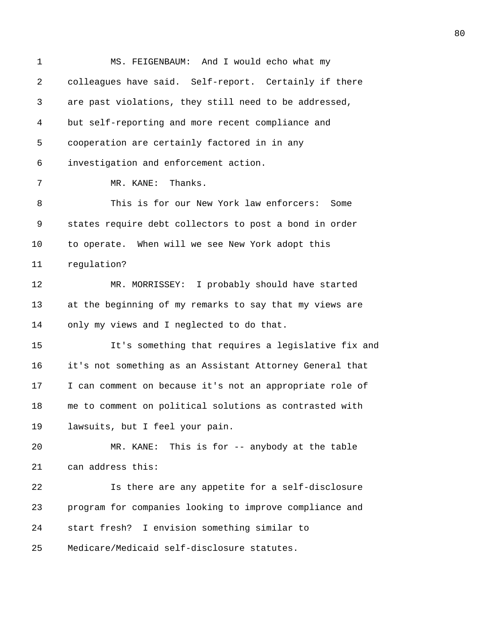| $\mathbf 1$ | MS. FEIGENBAUM: And I would echo what my                 |
|-------------|----------------------------------------------------------|
| 2           | colleagues have said. Self-report. Certainly if there    |
| 3           | are past violations, they still need to be addressed,    |
| 4           | but self-reporting and more recent compliance and        |
| 5           | cooperation are certainly factored in in any             |
| 6           | investigation and enforcement action.                    |
| 7           | Thanks.<br>MR. KANE:                                     |
| 8           | This is for our New York law enforcers:<br>Some          |
| 9           | states require debt collectors to post a bond in order   |
| 10          | to operate. When will we see New York adopt this         |
| 11          | regulation?                                              |
| 12          | MR. MORRISSEY: I probably should have started            |
| 13          | at the beginning of my remarks to say that my views are  |
| 14          | only my views and I neglected to do that.                |
| 15          | It's something that requires a legislative fix and       |
| 16          | it's not something as an Assistant Attorney General that |
| 17          | I can comment on because it's not an appropriate role of |
| 18          | me to comment on political solutions as contrasted with  |
| 19          | lawsuits, but I feel your pain.                          |
| 20          | This is for -- anybody at the table<br>MR. KANE:         |
| 21          | can address this:                                        |
| 22          | Is there are any appetite for a self-disclosure          |
| 23          | program for companies looking to improve compliance and  |
| 24          | start fresh? I envision something similar to             |
| 25          | Medicare/Medicaid self-disclosure statutes.              |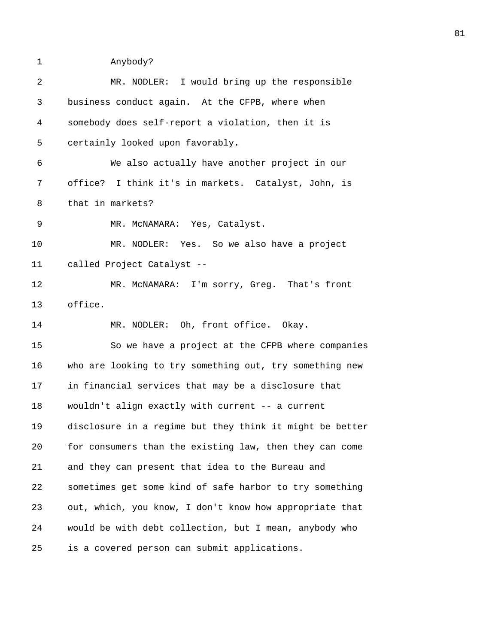1 Anybody?

| 2  | MR. NODLER: I would bring up the responsible             |
|----|----------------------------------------------------------|
| 3  | business conduct again. At the CFPB, where when          |
| 4  | somebody does self-report a violation, then it is        |
| 5  | certainly looked upon favorably.                         |
| 6  | We also actually have another project in our             |
| 7  | office? I think it's in markets. Catalyst, John, is      |
| 8  | that in markets?                                         |
| 9  | MR. MCNAMARA: Yes, Catalyst.                             |
| 10 | MR. NODLER: Yes. So we also have a project               |
| 11 | called Project Catalyst --                               |
| 12 | MR. MCNAMARA: I'm sorry, Greg. That's front              |
| 13 | office.                                                  |
| 14 | MR. NODLER: Oh, front office. Okay.                      |
| 15 | So we have a project at the CFPB where companies         |
| 16 | who are looking to try something out, try something new  |
| 17 | in financial services that may be a disclosure that      |
| 18 | wouldn't align exactly with current -- a current         |
| 19 | disclosure in a regime but they think it might be better |
| 20 | for consumers than the existing law, then they can come  |
| 21 | and they can present that idea to the Bureau and         |
| 22 | sometimes get some kind of safe harbor to try something  |
| 23 | out, which, you know, I don't know how appropriate that  |
| 24 | would be with debt collection, but I mean, anybody who   |
| 25 | is a covered person can submit applications.             |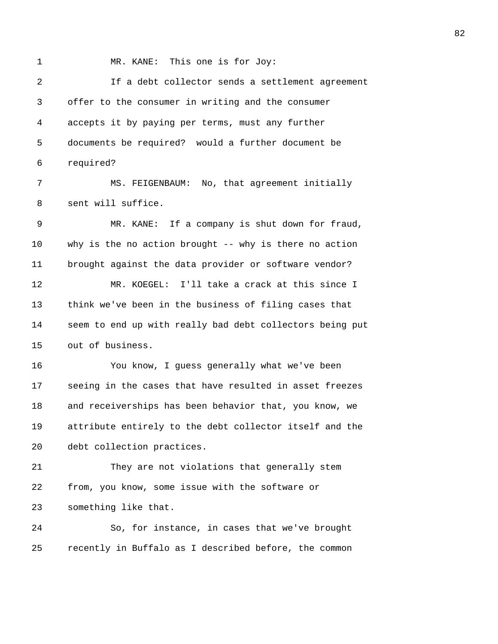1 MR. KANE: This one is for Joy: 2 If a debt collector sends a settlement agreement 3 offer to the consumer in writing and the consumer 4 accepts it by paying per terms, must any further 5 documents be required? would a further document be 6 required? 7 MS. FEIGENBAUM: No, that agreement initially 8 sent will suffice. 9 MR. KANE: If a company is shut down for fraud, 10 why is the no action brought -- why is there no action 11 brought against the data provider or software vendor? 12 MR. KOEGEL: I'll take a crack at this since I 13 think we've been in the business of filing cases that 14 seem to end up with really bad debt collectors being put 15 out of business. 16 You know, I guess generally what we've been 17 seeing in the cases that have resulted in asset freezes 18 and receiverships has been behavior that, you know, we 19 attribute entirely to the debt collector itself and the 20 debt collection practices. 21 They are not violations that generally stem 22 from, you know, some issue with the software or 23 something like that. 24 So, for instance, in cases that we've brought 25 recently in Buffalo as I described before, the common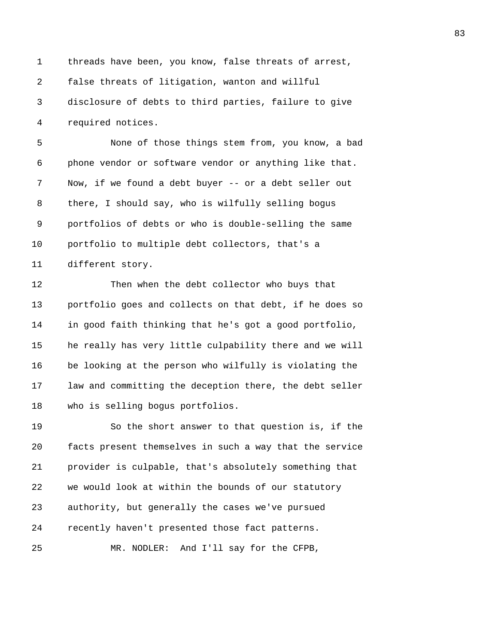1 threads have been, you know, false threats of arrest, 2 false threats of litigation, wanton and willful 3 disclosure of debts to third parties, failure to give 4 required notices.

83

5 None of those things stem from, you know, a bad 6 phone vendor or software vendor or anything like that. 7 Now, if we found a debt buyer -- or a debt seller out 8 there, I should say, who is wilfully selling bogus 9 portfolios of debts or who is double-selling the same 10 portfolio to multiple debt collectors, that's a 11 different story.

12 Then when the debt collector who buys that 13 portfolio goes and collects on that debt, if he does so 14 in good faith thinking that he's got a good portfolio, 15 he really has very little culpability there and we will 16 be looking at the person who wilfully is violating the 17 law and committing the deception there, the debt seller 18 who is selling bogus portfolios.

19 So the short answer to that question is, if the 20 facts present themselves in such a way that the service 21 provider is culpable, that's absolutely something that 22 we would look at within the bounds of our statutory 23 authority, but generally the cases we've pursued 24 recently haven't presented those fact patterns. 25 MR. NODLER: And I'll say for the CFPB,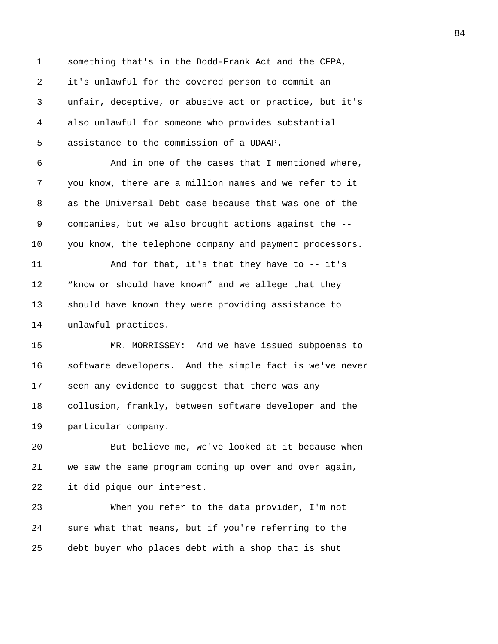1 something that's in the Dodd-Frank Act and the CFPA, 2 it's unlawful for the covered person to commit an 3 unfair, deceptive, or abusive act or practice, but it's 4 also unlawful for someone who provides substantial 5 assistance to the commission of a UDAAP. 6 And in one of the cases that I mentioned where, 7 you know, there are a million names and we refer to it 8 as the Universal Debt case because that was one of the 9 companies, but we also brought actions against the -- 10 you know, the telephone company and payment processors. 11 And for that, it's that they have to -- it's 12 "know or should have known" and we allege that they 13 should have known they were providing assistance to 14 unlawful practices. 15 MR. MORRISSEY: And we have issued subpoenas to 16 software developers. And the simple fact is we've never 17 seen any evidence to suggest that there was any 18 collusion, frankly, between software developer and the 19 particular company. 20 But believe me, we've looked at it because when 21 we saw the same program coming up over and over again, 22 it did pique our interest. 23 When you refer to the data provider, I'm not 24 sure what that means, but if you're referring to the 25 debt buyer who places debt with a shop that is shut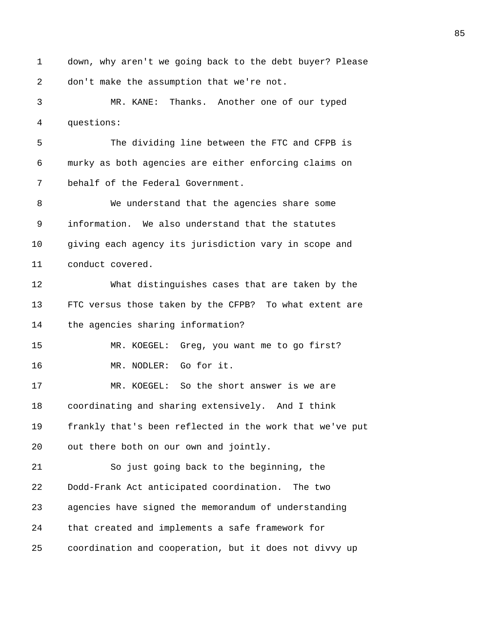1 down, why aren't we going back to the debt buyer? Please 2 don't make the assumption that we're not. 3 MR. KANE: Thanks. Another one of our typed 4 questions: 5 The dividing line between the FTC and CFPB is 6 murky as both agencies are either enforcing claims on 7 behalf of the Federal Government. 8 We understand that the agencies share some 9 information. We also understand that the statutes 10 giving each agency its jurisdiction vary in scope and 11 conduct covered. 12 What distinguishes cases that are taken by the 13 FTC versus those taken by the CFPB? To what extent are 14 the agencies sharing information? 15 MR. KOEGEL: Greg, you want me to go first? 16 MR. NODLER: Go for it. 17 MR. KOEGEL: So the short answer is we are 18 coordinating and sharing extensively. And I think 19 frankly that's been reflected in the work that we've put 20 out there both on our own and jointly. 21 So just going back to the beginning, the 22 Dodd-Frank Act anticipated coordination. The two 23 agencies have signed the memorandum of understanding 24 that created and implements a safe framework for 25 coordination and cooperation, but it does not divvy up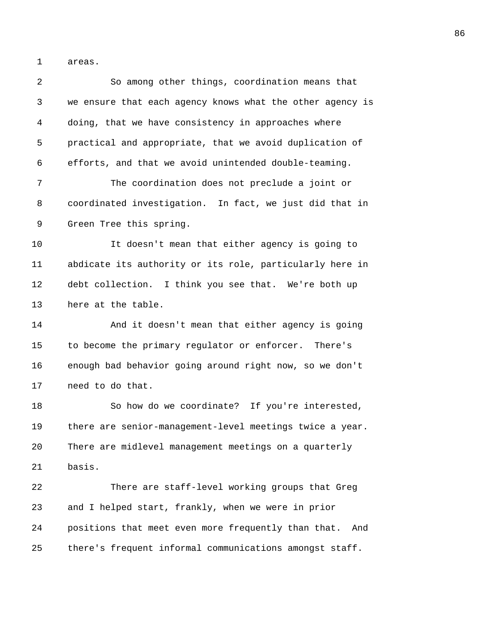1 areas.

| 2  | So among other things, coordination means that             |
|----|------------------------------------------------------------|
| 3  | we ensure that each agency knows what the other agency is  |
| 4  | doing, that we have consistency in approaches where        |
| 5  | practical and appropriate, that we avoid duplication of    |
| 6  | efforts, and that we avoid unintended double-teaming.      |
| 7  | The coordination does not preclude a joint or              |
| 8  | coordinated investigation. In fact, we just did that in    |
| 9  | Green Tree this spring.                                    |
| 10 | It doesn't mean that either agency is going to             |
| 11 | abdicate its authority or its role, particularly here in   |
| 12 | debt collection. I think you see that. We're both up       |
| 13 | here at the table.                                         |
| 14 | And it doesn't mean that either agency is going            |
| 15 | to become the primary regulator or enforcer. There's       |
| 16 | enough bad behavior going around right now, so we don't    |
| 17 | need to do that.                                           |
| 18 | So how do we coordinate? If you're interested,             |
| 19 | there are senior-management-level meetings twice a year.   |
| 20 | There are midlevel management meetings on a quarterly      |
| 21 | basis.                                                     |
| 22 | There are staff-level working groups that Greg             |
| 23 | and I helped start, frankly, when we were in prior         |
| 24 | positions that meet even more frequently than that.<br>And |
| 25 | there's frequent informal communications amongst staff.    |
|    |                                                            |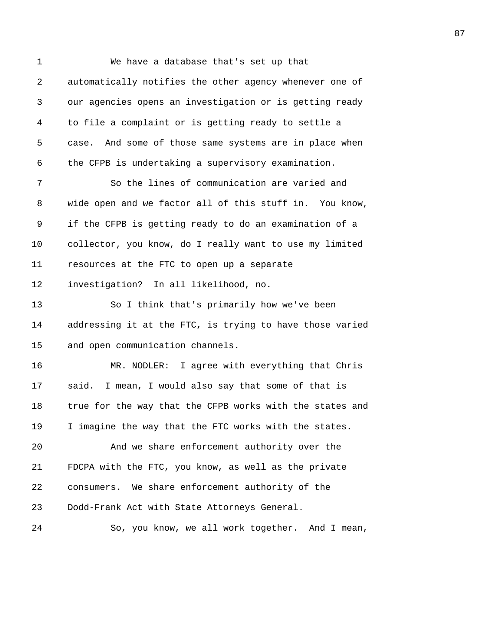| $\mathbf 1$ | We have a database that's set up that                     |
|-------------|-----------------------------------------------------------|
| 2           | automatically notifies the other agency whenever one of   |
| 3           | our agencies opens an investigation or is getting ready   |
| 4           | to file a complaint or is getting ready to settle a       |
| 5           | And some of those same systems are in place when<br>case. |
| 6           | the CFPB is undertaking a supervisory examination.        |
| 7           | So the lines of communication are varied and              |
| 8           | wide open and we factor all of this stuff in. You know,   |
| 9           | if the CFPB is getting ready to do an examination of a    |
| 10          | collector, you know, do I really want to use my limited   |
| 11          | resources at the FTC to open up a separate                |
| 12          | investigation? In all likelihood, no.                     |
| 13          | So I think that's primarily how we've been                |
| 14          | addressing it at the FTC, is trying to have those varied  |
| 15          | and open communication channels.                          |
| 16          | MR. NODLER: I agree with everything that Chris            |
| 17          | I mean, I would also say that some of that is<br>said.    |
| 18          | true for the way that the CFPB works with the states and  |
| 19          | I imagine the way that the FTC works with the states.     |
| 20          | And we share enforcement authority over the               |
| 21          | FDCPA with the FTC, you know, as well as the private      |
| 22          | consumers. We share enforcement authority of the          |
| 23          | Dodd-Frank Act with State Attorneys General.              |
| 24          | So, you know, we all work together. And I mean,           |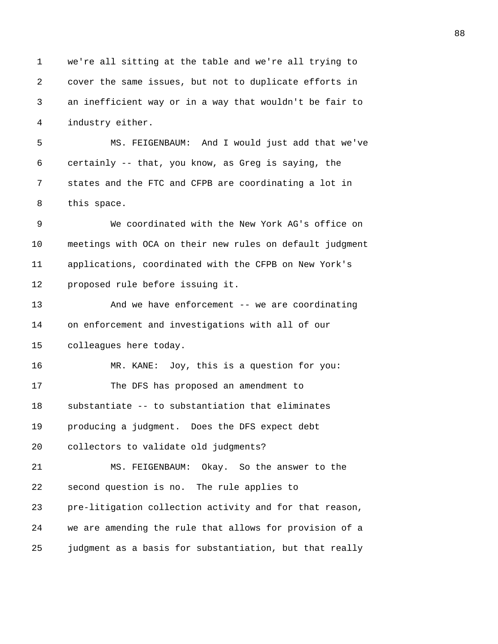1 we're all sitting at the table and we're all trying to 2 cover the same issues, but not to duplicate efforts in 3 an inefficient way or in a way that wouldn't be fair to 4 industry either. 5 MS. FEIGENBAUM: And I would just add that we've 6 certainly -- that, you know, as Greg is saying, the 7 states and the FTC and CFPB are coordinating a lot in 8 this space. 9 We coordinated with the New York AG's office on 10 meetings with OCA on their new rules on default judgment 11 applications, coordinated with the CFPB on New York's 12 proposed rule before issuing it. 13 And we have enforcement -- we are coordinating 14 on enforcement and investigations with all of our 15 colleagues here today. 16 MR. KANE: Joy, this is a question for you: 17 The DFS has proposed an amendment to 18 substantiate -- to substantiation that eliminates 19 producing a judgment. Does the DFS expect debt 20 collectors to validate old judgments? 21 MS. FEIGENBAUM: Okay. So the answer to the 22 second question is no. The rule applies to 23 pre-litigation collection activity and for that reason, 24 we are amending the rule that allows for provision of a 25 judgment as a basis for substantiation, but that really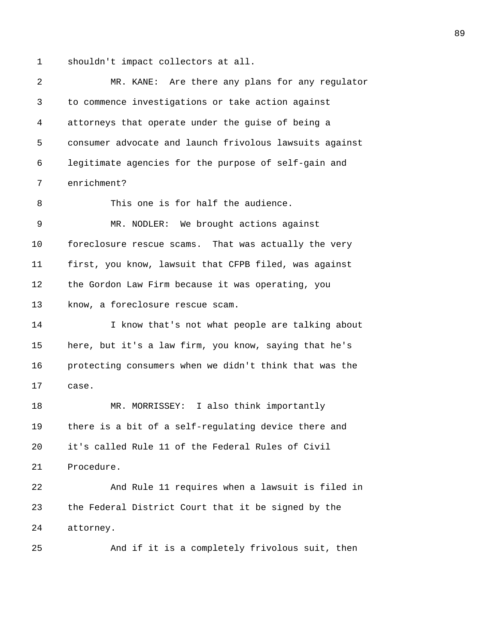1 shouldn't impact collectors at all.

2 MR. KANE: Are there any plans for any regulator 3 to commence investigations or take action against 4 attorneys that operate under the guise of being a 5 consumer advocate and launch frivolous lawsuits against 6 legitimate agencies for the purpose of self-gain and 7 enrichment? 8 This one is for half the audience. 9 MR. NODLER: We brought actions against 10 foreclosure rescue scams. That was actually the very 11 first, you know, lawsuit that CFPB filed, was against 12 the Gordon Law Firm because it was operating, you 13 know, a foreclosure rescue scam. 14 I know that's not what people are talking about 15 here, but it's a law firm, you know, saying that he's 16 protecting consumers when we didn't think that was the 17 case. 18 MR. MORRISSEY: I also think importantly 19 there is a bit of a self-regulating device there and 20 it's called Rule 11 of the Federal Rules of Civil 21 Procedure. 22 And Rule 11 requires when a lawsuit is filed in 23 the Federal District Court that it be signed by the 24 attorney. 25 And if it is a completely frivolous suit, then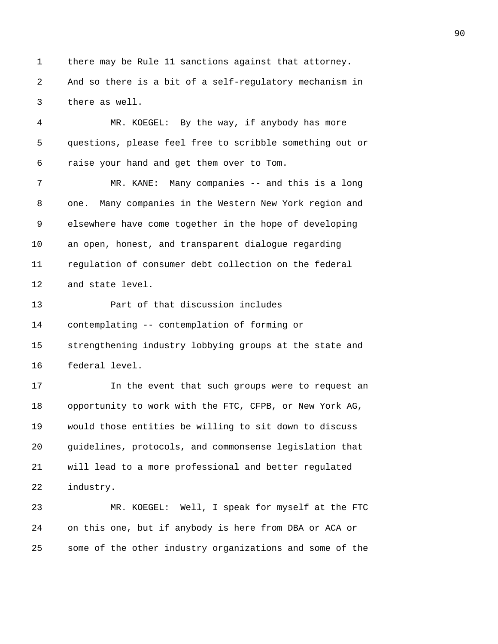1 there may be Rule 11 sanctions against that attorney. 2 And so there is a bit of a self-regulatory mechanism in 3 there as well.

4 MR. KOEGEL: By the way, if anybody has more 5 questions, please feel free to scribble something out or 6 raise your hand and get them over to Tom. 7 MR. KANE: Many companies -- and this is a long

8 one. Many companies in the Western New York region and 9 elsewhere have come together in the hope of developing 10 an open, honest, and transparent dialogue regarding 11 regulation of consumer debt collection on the federal 12 and state level.

13 Part of that discussion includes 14 contemplating -- contemplation of forming or 15 strengthening industry lobbying groups at the state and 16 federal level.

17 In the event that such groups were to request an 18 opportunity to work with the FTC, CFPB, or New York AG, 19 would those entities be willing to sit down to discuss 20 guidelines, protocols, and commonsense legislation that 21 will lead to a more professional and better regulated 22 industry.

23 MR. KOEGEL: Well, I speak for myself at the FTC 24 on this one, but if anybody is here from DBA or ACA or 25 some of the other industry organizations and some of the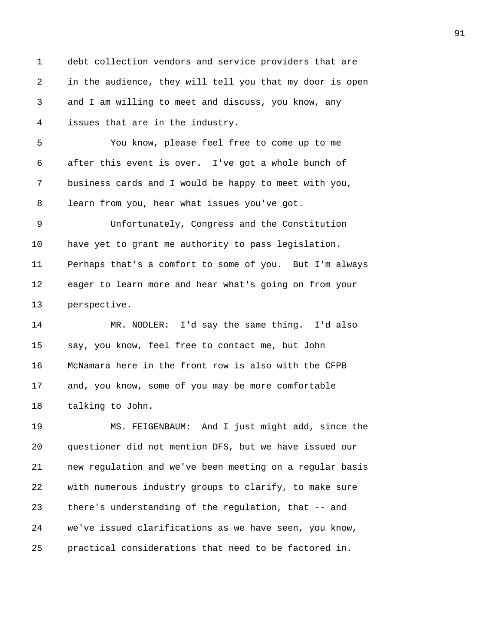1 debt collection vendors and service providers that are 2 in the audience, they will tell you that my door is open 3 and I am willing to meet and discuss, you know, any 4 issues that are in the industry. 5 You know, please feel free to come up to me 6 after this event is over. I've got a whole bunch of 7 business cards and I would be happy to meet with you, 8 learn from you, hear what issues you've got. 9 Unfortunately, Congress and the Constitution 10 have yet to grant me authority to pass legislation. 11 Perhaps that's a comfort to some of you. But I'm always 12 eager to learn more and hear what's going on from your 13 perspective. 14 MR. NODLER: I'd say the same thing. I'd also 15 say, you know, feel free to contact me, but John 16 McNamara here in the front row is also with the CFPB 17 and, you know, some of you may be more comfortable 18 talking to John. 19 MS. FEIGENBAUM: And I just might add, since the 20 questioner did not mention DFS, but we have issued our 21 new regulation and we've been meeting on a regular basis 22 with numerous industry groups to clarify, to make sure 23 there's understanding of the regulation, that -- and

25 practical considerations that need to be factored in.

24 we've issued clarifications as we have seen, you know,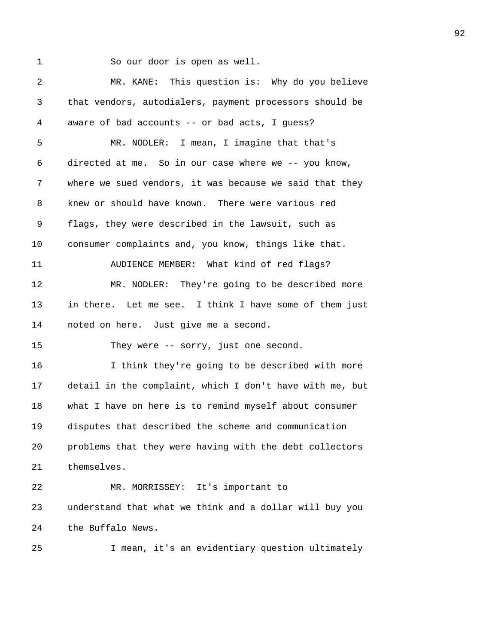1 So our door is open as well.

2 MR. KANE: This question is: Why do you believe 3 that vendors, autodialers, payment processors should be 4 aware of bad accounts -- or bad acts, I guess? 5 MR. NODLER: I mean, I imagine that that's 6 directed at me. So in our case where we -- you know, 7 where we sued vendors, it was because we said that they 8 knew or should have known. There were various red 9 flags, they were described in the lawsuit, such as 10 consumer complaints and, you know, things like that. 11 AUDIENCE MEMBER: What kind of red flags? 12 MR. NODLER: They're going to be described more 13 in there. Let me see. I think I have some of them just 14 noted on here. Just give me a second. 15 They were -- sorry, just one second. 16 I think they're going to be described with more 17 detail in the complaint, which I don't have with me, but 18 what I have on here is to remind myself about consumer 19 disputes that described the scheme and communication 20 problems that they were having with the debt collectors 21 themselves. 22 MR. MORRISSEY: It's important to 23 understand that what we think and a dollar will buy you 24 the Buffalo News. 25 I mean, it's an evidentiary question ultimately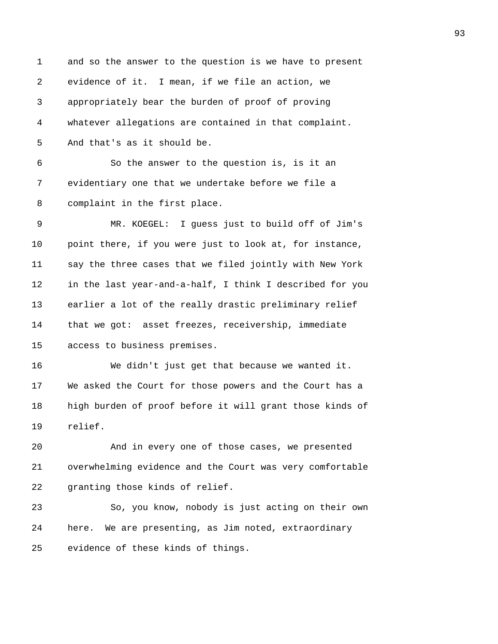| 1  | and so the answer to the question is we have to present  |
|----|----------------------------------------------------------|
| 2  | evidence of it. I mean, if we file an action, we         |
| 3  | appropriately bear the burden of proof of proving        |
| 4  | whatever allegations are contained in that complaint.    |
| 5  | And that's as it should be.                              |
| 6  | So the answer to the question is, is it an               |
| 7  | evidentiary one that we undertake before we file a       |
| 8  | complaint in the first place.                            |
| 9  | MR. KOEGEL: I guess just to build off of Jim's           |
| 10 | point there, if you were just to look at, for instance,  |
| 11 | say the three cases that we filed jointly with New York  |
| 12 | in the last year-and-a-half, I think I described for you |
| 13 | earlier a lot of the really drastic preliminary relief   |
| 14 | that we got: asset freezes, receivership, immediate      |
| 15 | access to business premises.                             |
| 16 | We didn't just get that because we wanted it.            |
| 17 | We asked the Court for those powers and the Court has a  |
| 18 | high burden of proof before it will grant those kinds of |
| 19 | relief.                                                  |
| 20 | And in every one of those cases, we presented            |
| 21 | overwhelming evidence and the Court was very comfortable |
| 22 | granting those kinds of relief.                          |
| 23 | So, you know, nobody is just acting on their own         |
| 24 | here. We are presenting, as Jim noted, extraordinary     |
| 25 | evidence of these kinds of things.                       |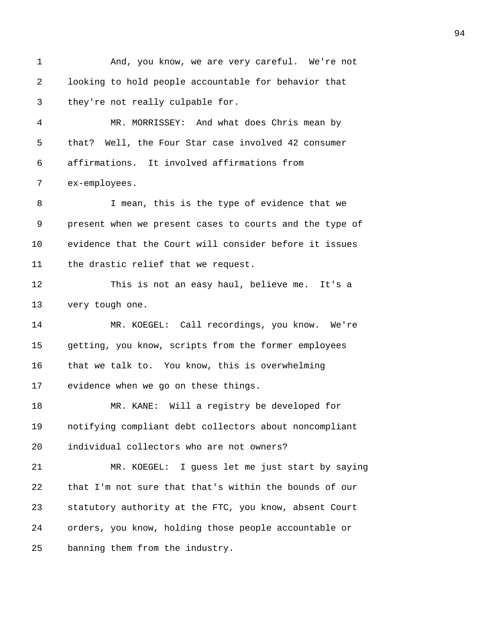1 And, you know, we are very careful. We're not 2 looking to hold people accountable for behavior that 3 they're not really culpable for. 4 MR. MORRISSEY: And what does Chris mean by 5 that? Well, the Four Star case involved 42 consumer 6 affirmations. It involved affirmations from 7 ex-employees. 8 I mean, this is the type of evidence that we 9 present when we present cases to courts and the type of 10 evidence that the Court will consider before it issues 11 the drastic relief that we request. 12 This is not an easy haul, believe me. It's a 13 very tough one. 14 MR. KOEGEL: Call recordings, you know. We're 15 getting, you know, scripts from the former employees 16 that we talk to. You know, this is overwhelming 17 evidence when we go on these things. 18 MR. KANE: Will a registry be developed for 19 notifying compliant debt collectors about noncompliant 20 individual collectors who are not owners? 21 MR. KOEGEL: I guess let me just start by saying 22 that I'm not sure that that's within the bounds of our 23 statutory authority at the FTC, you know, absent Court 24 orders, you know, holding those people accountable or 25 banning them from the industry.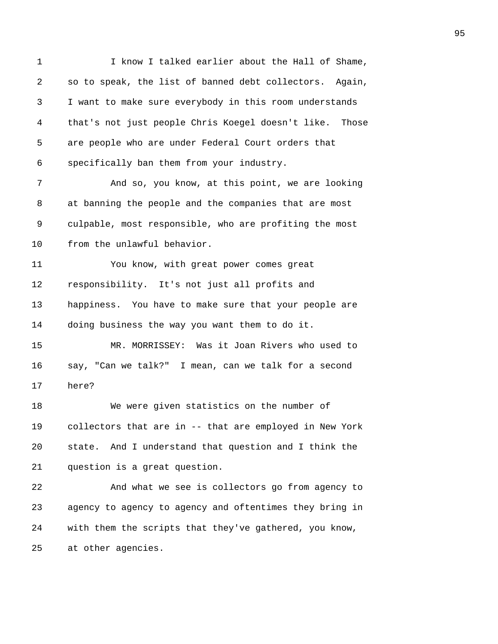1 I know I talked earlier about the Hall of Shame, 2 so to speak, the list of banned debt collectors. Again, 3 I want to make sure everybody in this room understands 4 that's not just people Chris Koegel doesn't like. Those 5 are people who are under Federal Court orders that 6 specifically ban them from your industry. 7 And so, you know, at this point, we are looking 8 at banning the people and the companies that are most 9 culpable, most responsible, who are profiting the most 10 from the unlawful behavior. 11 You know, with great power comes great 12 responsibility. It's not just all profits and 13 happiness. You have to make sure that your people are 14 doing business the way you want them to do it. 15 MR. MORRISSEY: Was it Joan Rivers who used to 16 say, "Can we talk?" I mean, can we talk for a second 17 here? 18 We were given statistics on the number of 19 collectors that are in -- that are employed in New York 20 state. And I understand that question and I think the 21 question is a great question. 22 And what we see is collectors go from agency to 23 agency to agency to agency and oftentimes they bring in 24 with them the scripts that they've gathered, you know, 25 at other agencies.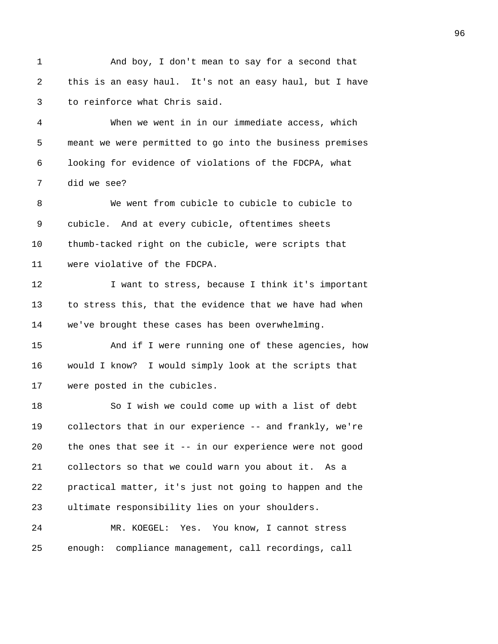1 And boy, I don't mean to say for a second that 2 this is an easy haul. It's not an easy haul, but I have 3 to reinforce what Chris said. 4 When we went in in our immediate access, which 5 meant we were permitted to go into the business premises 6 looking for evidence of violations of the FDCPA, what 7 did we see? 8 We went from cubicle to cubicle to cubicle to 9 cubicle. And at every cubicle, oftentimes sheets 10 thumb-tacked right on the cubicle, were scripts that 11 were violative of the FDCPA. 12 I want to stress, because I think it's important 13 to stress this, that the evidence that we have had when 14 we've brought these cases has been overwhelming. 15 And if I were running one of these agencies, how 16 would I know? I would simply look at the scripts that 17 were posted in the cubicles. 18 So I wish we could come up with a list of debt 19 collectors that in our experience -- and frankly, we're 20 the ones that see it -- in our experience were not good 21 collectors so that we could warn you about it. As a 22 practical matter, it's just not going to happen and the 23 ultimate responsibility lies on your shoulders. 24 MR. KOEGEL: Yes. You know, I cannot stress 25 enough: compliance management, call recordings, call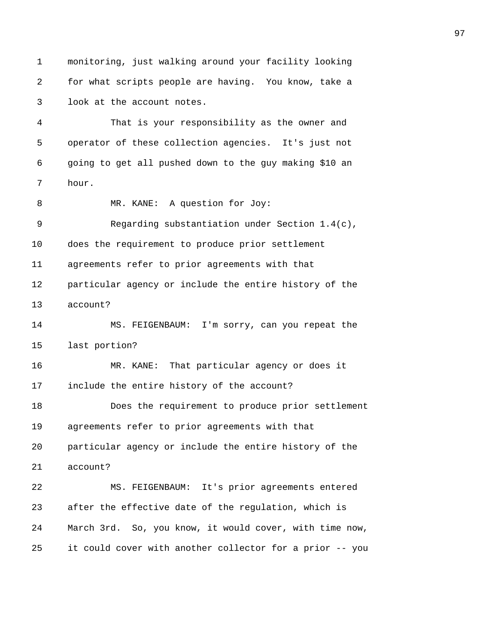1 monitoring, just walking around your facility looking 2 for what scripts people are having. You know, take a 3 look at the account notes. 4 That is your responsibility as the owner and 5 operator of these collection agencies. It's just not 6 going to get all pushed down to the guy making \$10 an 7 hour. 8 MR. KANE: A question for Joy: 9 Regarding substantiation under Section 1.4(c), 10 does the requirement to produce prior settlement 11 agreements refer to prior agreements with that 12 particular agency or include the entire history of the 13 account? 14 MS. FEIGENBAUM: I'm sorry, can you repeat the 15 last portion? 16 MR. KANE: That particular agency or does it 17 include the entire history of the account? 18 Does the requirement to produce prior settlement 19 agreements refer to prior agreements with that 20 particular agency or include the entire history of the 21 account? 22 MS. FEIGENBAUM: It's prior agreements entered 23 after the effective date of the regulation, which is 24 March 3rd. So, you know, it would cover, with time now, 25 it could cover with another collector for a prior -- you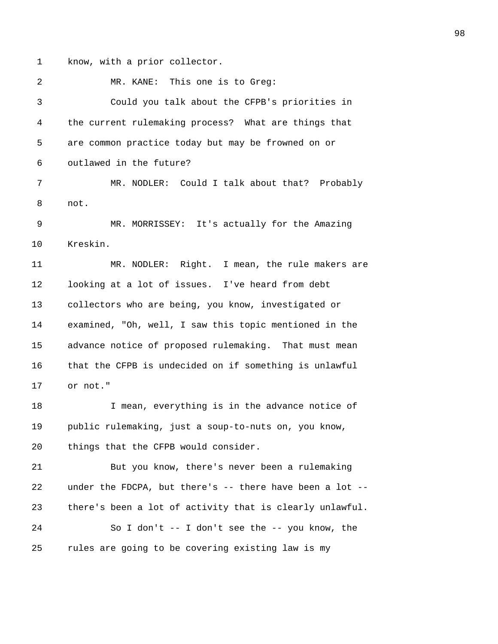1 know, with a prior collector.

2 MR. KANE: This one is to Greq: 3 Could you talk about the CFPB's priorities in 4 the current rulemaking process? What are things that 5 are common practice today but may be frowned on or 6 outlawed in the future? 7 MR. NODLER: Could I talk about that? Probably 8 not. 9 MR. MORRISSEY: It's actually for the Amazing 10 Kreskin. 11 MR. NODLER: Right. I mean, the rule makers are 12 looking at a lot of issues. I've heard from debt 13 collectors who are being, you know, investigated or 14 examined, "Oh, well, I saw this topic mentioned in the 15 advance notice of proposed rulemaking. That must mean 16 that the CFPB is undecided on if something is unlawful 17 or not." 18 I mean, everything is in the advance notice of 19 public rulemaking, just a soup-to-nuts on, you know, 20 things that the CFPB would consider. 21 But you know, there's never been a rulemaking 22 under the FDCPA, but there's -- there have been a lot -- 23 there's been a lot of activity that is clearly unlawful. 24 So I don't -- I don't see the -- you know, the 25 rules are going to be covering existing law is my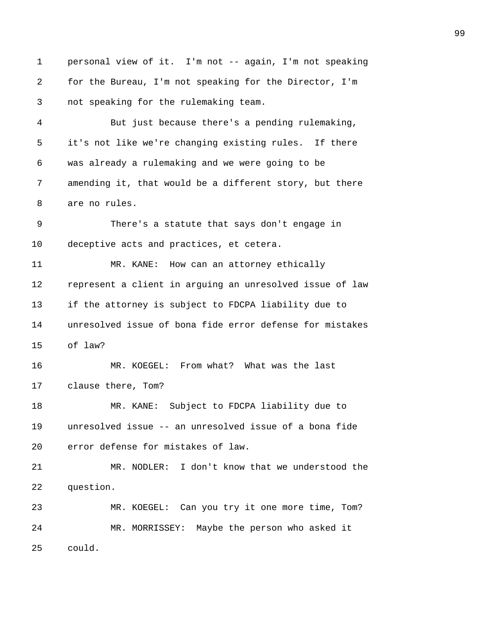1 personal view of it. I'm not -- again, I'm not speaking 2 for the Bureau, I'm not speaking for the Director, I'm 3 not speaking for the rulemaking team. 4 But just because there's a pending rulemaking, 5 it's not like we're changing existing rules. If there 6 was already a rulemaking and we were going to be 7 amending it, that would be a different story, but there 8 are no rules. 9 There's a statute that says don't engage in 10 deceptive acts and practices, et cetera. 11 MR. KANE: How can an attorney ethically 12 represent a client in arguing an unresolved issue of law 13 if the attorney is subject to FDCPA liability due to 14 unresolved issue of bona fide error defense for mistakes 15 of law? 16 MR. KOEGEL: From what? What was the last 17 clause there, Tom? 18 MR. KANE: Subject to FDCPA liability due to 19 unresolved issue -- an unresolved issue of a bona fide 20 error defense for mistakes of law. 21 MR. NODLER: I don't know that we understood the 22 question. 23 MR. KOEGEL: Can you try it one more time, Tom? 24 MR. MORRISSEY: Maybe the person who asked it 25 could.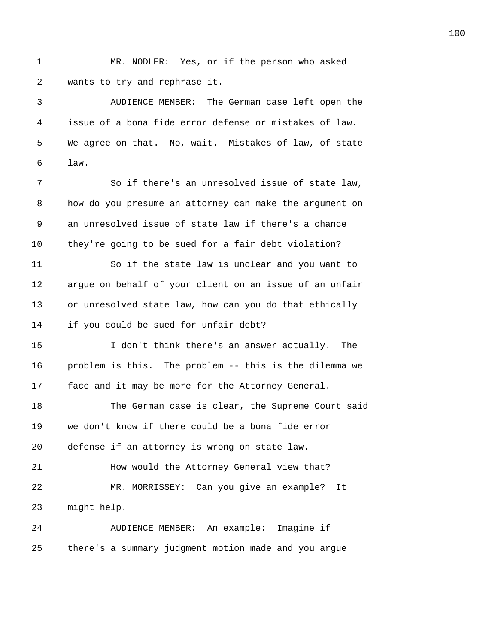1 MR. NODLER: Yes, or if the person who asked 2 wants to try and rephrase it.

3 AUDIENCE MEMBER: The German case left open the 4 issue of a bona fide error defense or mistakes of law. 5 We agree on that. No, wait. Mistakes of law, of state 6 law.

7 So if there's an unresolved issue of state law, 8 how do you presume an attorney can make the argument on 9 an unresolved issue of state law if there's a chance 10 they're going to be sued for a fair debt violation?

11 So if the state law is unclear and you want to 12 argue on behalf of your client on an issue of an unfair 13 or unresolved state law, how can you do that ethically 14 if you could be sued for unfair debt?

15 I don't think there's an answer actually. The 16 problem is this. The problem -- this is the dilemma we 17 face and it may be more for the Attorney General.

18 The German case is clear, the Supreme Court said 19 we don't know if there could be a bona fide error 20 defense if an attorney is wrong on state law. 21 How would the Attorney General view that?

22 MR. MORRISSEY: Can you give an example? It 23 might help.

24 AUDIENCE MEMBER: An example: Imagine if 25 there's a summary judgment motion made and you argue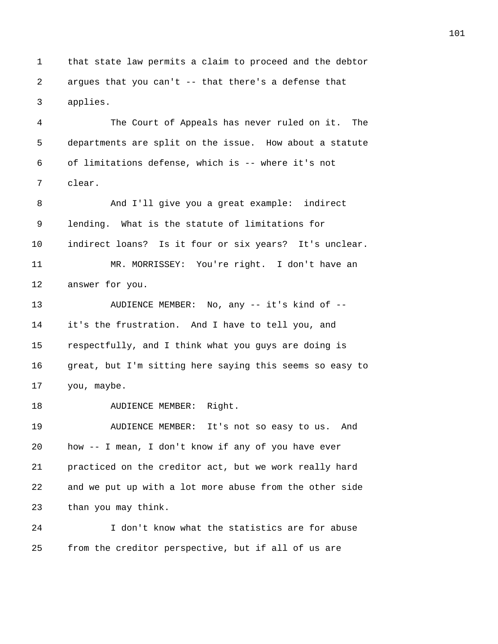1 that state law permits a claim to proceed and the debtor 2 argues that you can't -- that there's a defense that 3 applies.

4 The Court of Appeals has never ruled on it. The 5 departments are split on the issue. How about a statute 6 of limitations defense, which is -- where it's not 7 clear.

8 And I'll give you a great example: indirect 9 lending. What is the statute of limitations for 10 indirect loans? Is it four or six years? It's unclear. 11 MR. MORRISSEY: You're right. I don't have an 12 answer for you.

13 AUDIENCE MEMBER: No, any -- it's kind of -- 14 it's the frustration. And I have to tell you, and 15 respectfully, and I think what you guys are doing is 16 great, but I'm sitting here saying this seems so easy to 17 you, maybe.

18 AUDIENCE MEMBER: Right.

19 AUDIENCE MEMBER: It's not so easy to us. And 20 how -- I mean, I don't know if any of you have ever 21 practiced on the creditor act, but we work really hard 22 and we put up with a lot more abuse from the other side 23 than you may think.

24 I don't know what the statistics are for abuse 25 from the creditor perspective, but if all of us are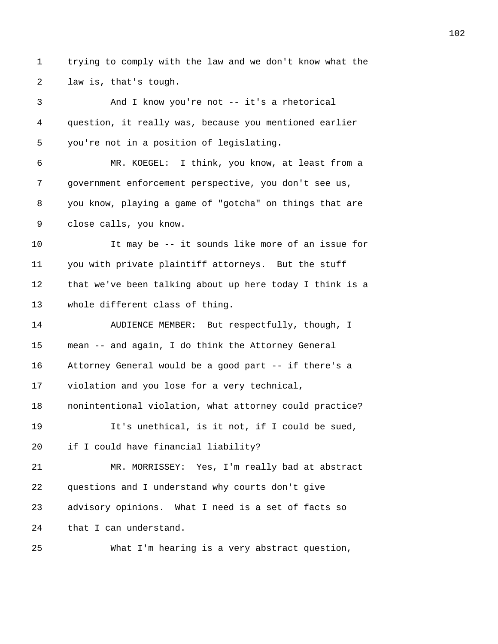1 trying to comply with the law and we don't know what the 2 law is, that's tough.

3 And I know you're not -- it's a rhetorical 4 question, it really was, because you mentioned earlier 5 you're not in a position of legislating. 6 MR. KOEGEL: I think, you know, at least from a 7 government enforcement perspective, you don't see us, 8 you know, playing a game of "gotcha" on things that are 9 close calls, you know. 10 It may be -- it sounds like more of an issue for 11 you with private plaintiff attorneys. But the stuff 12 that we've been talking about up here today I think is a 13 whole different class of thing. 14 AUDIENCE MEMBER: But respectfully, though, I 15 mean -- and again, I do think the Attorney General 16 Attorney General would be a good part -- if there's a 17 violation and you lose for a very technical, 18 nonintentional violation, what attorney could practice? 19 It's unethical, is it not, if I could be sued, 20 if I could have financial liability? 21 MR. MORRISSEY: Yes, I'm really bad at abstract 22 questions and I understand why courts don't give 23 advisory opinions. What I need is a set of facts so 24 that I can understand. 25 What I'm hearing is a very abstract question,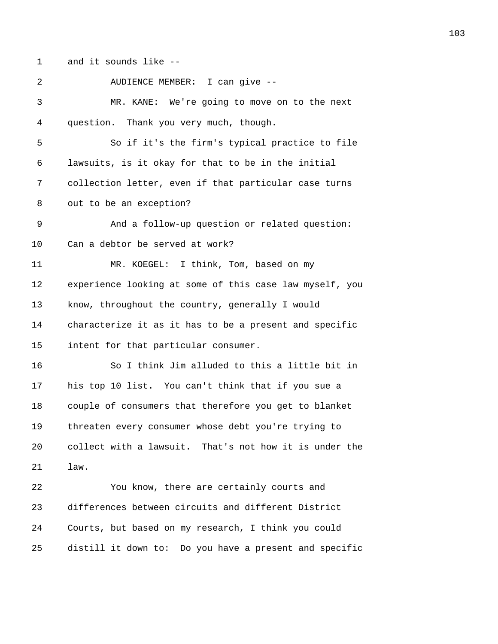1 and it sounds like --

| 2            | AUDIENCE MEMBER: I can give --                          |
|--------------|---------------------------------------------------------|
| $\mathbf{3}$ | MR. KANE: We're going to move on to the next            |
| 4            | question. Thank you very much, though.                  |
| 5            | So if it's the firm's typical practice to file          |
| 6            | lawsuits, is it okay for that to be in the initial      |
| 7            | collection letter, even if that particular case turns   |
| 8            | out to be an exception?                                 |
| 9            | And a follow-up question or related question:           |
| 10           | Can a debtor be served at work?                         |
| 11           | MR. KOEGEL: I think, Tom, based on my                   |
| 12           | experience looking at some of this case law myself, you |
| 13           | know, throughout the country, generally I would         |
| 14           | characterize it as it has to be a present and specific  |
| 15           | intent for that particular consumer.                    |
| 16           | So I think Jim alluded to this a little bit in          |
| 17           | his top 10 list. You can't think that if you sue a      |
| 18           | couple of consumers that therefore you get to blanket   |
| 19           | threaten every consumer whose debt you're trying to     |
| 20           | collect with a lawsuit. That's not how it is under the  |
| 21           | law.                                                    |
| 22           | You know, there are certainly courts and                |
| 23           | differences between circuits and different District     |
| 24           | Courts, but based on my research, I think you could     |
| 25           | distill it down to: Do you have a present and specific  |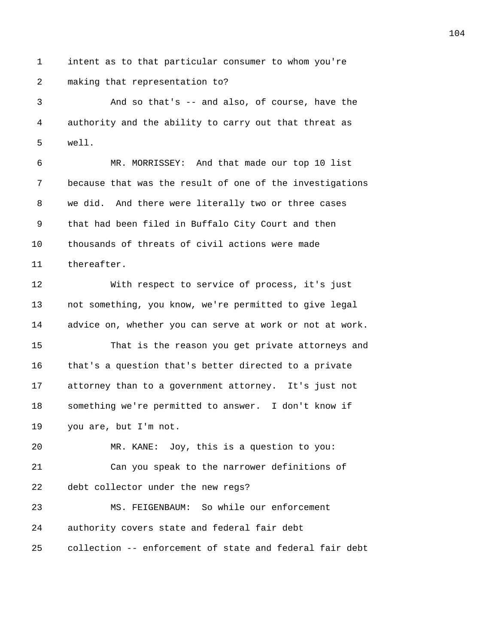1 intent as to that particular consumer to whom you're 2 making that representation to?

3 And so that's -- and also, of course, have the 4 authority and the ability to carry out that threat as 5 well.

6 MR. MORRISSEY: And that made our top 10 list 7 because that was the result of one of the investigations 8 we did. And there were literally two or three cases 9 that had been filed in Buffalo City Court and then 10 thousands of threats of civil actions were made 11 thereafter.

12 With respect to service of process, it's just 13 not something, you know, we're permitted to give legal 14 advice on, whether you can serve at work or not at work. 15 That is the reason you get private attorneys and 16 that's a question that's better directed to a private

17 attorney than to a government attorney. It's just not 18 something we're permitted to answer. I don't know if 19 you are, but I'm not.

20 MR. KANE: Joy, this is a question to you: 21 Can you speak to the narrower definitions of 22 debt collector under the new regs? 23 MS. FEIGENBAUM: So while our enforcement

24 authority covers state and federal fair debt 25 collection -- enforcement of state and federal fair debt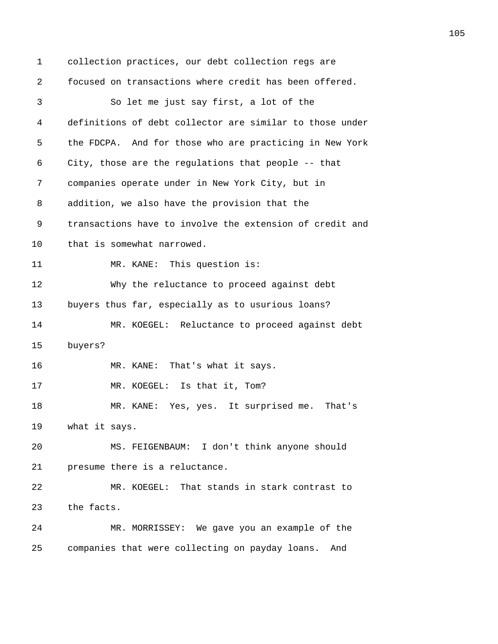1 collection practices, our debt collection regs are 2 focused on transactions where credit has been offered. 3 So let me just say first, a lot of the 4 definitions of debt collector are similar to those under 5 the FDCPA. And for those who are practicing in New York 6 City, those are the regulations that people -- that 7 companies operate under in New York City, but in 8 addition, we also have the provision that the 9 transactions have to involve the extension of credit and 10 that is somewhat narrowed. 11 MR. KANE: This question is: 12 Why the reluctance to proceed against debt 13 buyers thus far, especially as to usurious loans? 14 MR. KOEGEL: Reluctance to proceed against debt 15 buyers? 16 MR. KANE: That's what it says. 17 MR. KOEGEL: Is that it, Tom? 18 MR. KANE: Yes, yes. It surprised me. That's 19 what it says. 20 MS. FEIGENBAUM: I don't think anyone should 21 presume there is a reluctance. 22 MR. KOEGEL: That stands in stark contrast to 23 the facts. 24 MR. MORRISSEY: We gave you an example of the 25 companies that were collecting on payday loans. And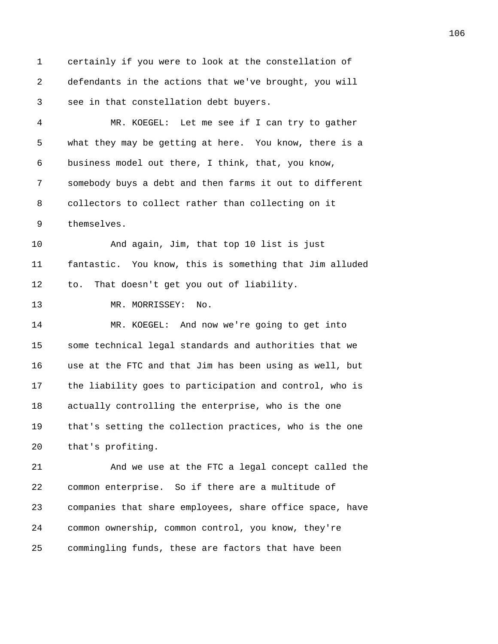1 certainly if you were to look at the constellation of 2 defendants in the actions that we've brought, you will 3 see in that constellation debt buyers.

4 MR. KOEGEL: Let me see if I can try to gather 5 what they may be getting at here. You know, there is a 6 business model out there, I think, that, you know, 7 somebody buys a debt and then farms it out to different 8 collectors to collect rather than collecting on it 9 themselves.

10 And again, Jim, that top 10 list is just 11 fantastic. You know, this is something that Jim alluded 12 to. That doesn't get you out of liability.

13 MR. MORRISSEY: No.

14 MR. KOEGEL: And now we're going to get into 15 some technical legal standards and authorities that we 16 use at the FTC and that Jim has been using as well, but 17 the liability goes to participation and control, who is 18 actually controlling the enterprise, who is the one 19 that's setting the collection practices, who is the one 20 that's profiting.

21 And we use at the FTC a legal concept called the 22 common enterprise. So if there are a multitude of 23 companies that share employees, share office space, have 24 common ownership, common control, you know, they're 25 commingling funds, these are factors that have been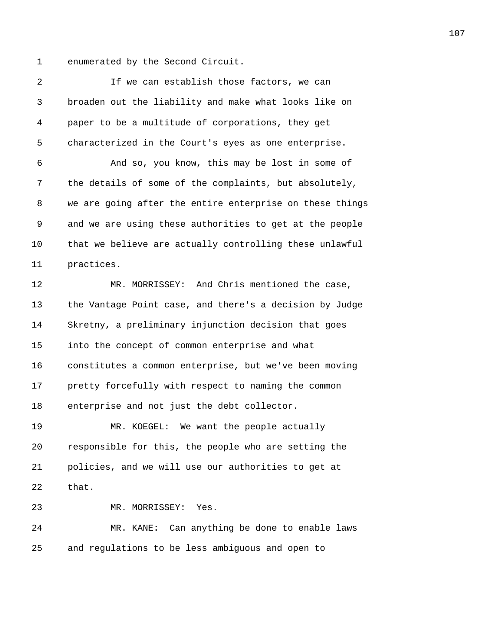1 enumerated by the Second Circuit.

2 If we can establish those factors, we can 3 broaden out the liability and make what looks like on 4 paper to be a multitude of corporations, they get 5 characterized in the Court's eyes as one enterprise. 6 And so, you know, this may be lost in some of 7 the details of some of the complaints, but absolutely, 8 we are going after the entire enterprise on these things 9 and we are using these authorities to get at the people 10 that we believe are actually controlling these unlawful 11 practices. 12 MR. MORRISSEY: And Chris mentioned the case, 13 the Vantage Point case, and there's a decision by Judge 14 Skretny, a preliminary injunction decision that goes 15 into the concept of common enterprise and what 16 constitutes a common enterprise, but we've been moving 17 pretty forcefully with respect to naming the common 18 enterprise and not just the debt collector. 19 MR. KOEGEL: We want the people actually 20 responsible for this, the people who are setting the 21 policies, and we will use our authorities to get at 22 that. 23 MR. MORRISSEY: Yes. 24 MR. KANE: Can anything be done to enable laws 25 and regulations to be less ambiguous and open to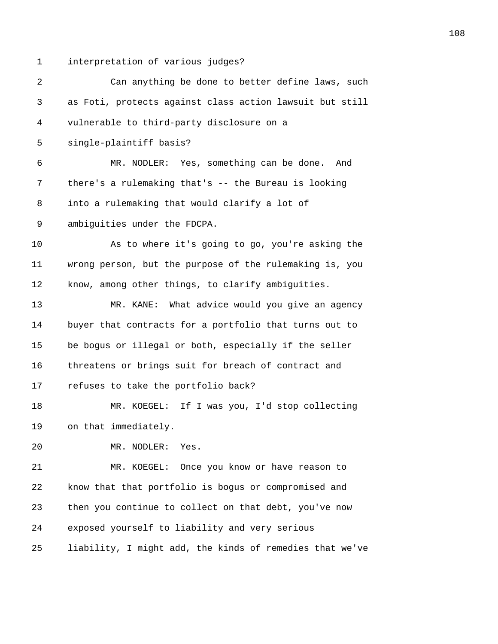1 interpretation of various judges?

| 2       | Can anything be done to better define laws, such         |
|---------|----------------------------------------------------------|
| 3       | as Foti, protects against class action lawsuit but still |
| 4       | vulnerable to third-party disclosure on a                |
| 5       | single-plaintiff basis?                                  |
| 6       | MR. NODLER: Yes, something can be done. And              |
| 7       | there's a rulemaking that's -- the Bureau is looking     |
| 8       | into a rulemaking that would clarify a lot of            |
| 9       | ambiguities under the FDCPA.                             |
| $10 \,$ | As to where it's going to go, you're asking the          |
| 11      | wrong person, but the purpose of the rulemaking is, you  |
| 12      | know, among other things, to clarify ambiguities.        |
| 13      | MR. KANE: What advice would you give an agency           |
| 14      | buyer that contracts for a portfolio that turns out to   |
| 15      | be bogus or illegal or both, especially if the seller    |
| 16      | threatens or brings suit for breach of contract and      |
| 17      | refuses to take the portfolio back?                      |
| 18      | MR. KOEGEL: If I was you, I'd stop collecting            |
| 19      | on that immediately.                                     |
| 20      | MR. NODLER:<br>Yes.                                      |
| 21      | MR. KOEGEL: Once you know or have reason to              |
| 22      | know that that portfolio is bogus or compromised and     |
| 23      | then you continue to collect on that debt, you've now    |
| 24      | exposed yourself to liability and very serious           |
| 25      | liability, I might add, the kinds of remedies that we've |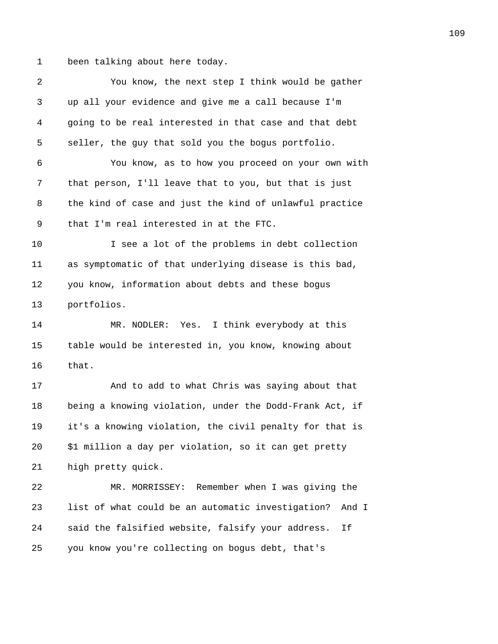1 been talking about here today.

| 2  | You know, the next step I think would be gather            |
|----|------------------------------------------------------------|
| 3  | up all your evidence and give me a call because I'm        |
| 4  | going to be real interested in that case and that debt     |
| 5  | seller, the guy that sold you the bogus portfolio.         |
| 6  | You know, as to how you proceed on your own with           |
| 7  | that person, I'll leave that to you, but that is just      |
| 8  | the kind of case and just the kind of unlawful practice    |
| 9  | that I'm real interested in at the FTC.                    |
| 10 | I see a lot of the problems in debt collection             |
| 11 | as symptomatic of that underlying disease is this bad,     |
| 12 | you know, information about debts and these bogus          |
| 13 | portfolios.                                                |
| 14 | MR. NODLER: Yes. I think everybody at this                 |
| 15 | table would be interested in, you know, knowing about      |
| 16 | that.                                                      |
| 17 | And to add to what Chris was saying about that             |
| 18 | being a knowing violation, under the Dodd-Frank Act, if    |
| 19 | it's a knowing violation, the civil penalty for that is    |
| 20 | \$1 million a day per violation, so it can get pretty      |
| 21 | high pretty quick.                                         |
| 22 | MR. MORRISSEY: Remember when I was giving the              |
| 23 | list of what could be an automatic investigation?<br>And I |
| 24 | said the falsified website, falsify your address.<br>Ιf    |
| 25 | you know you're collecting on bogus debt, that's           |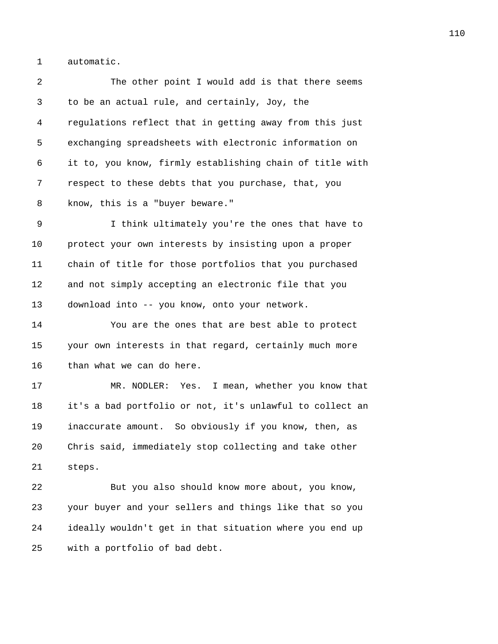1 automatic.

2 The other point I would add is that there seems 3 to be an actual rule, and certainly, Joy, the 4 regulations reflect that in getting away from this just 5 exchanging spreadsheets with electronic information on 6 it to, you know, firmly establishing chain of title with 7 respect to these debts that you purchase, that, you 8 know, this is a "buyer beware."

9 I think ultimately you're the ones that have to 10 protect your own interests by insisting upon a proper 11 chain of title for those portfolios that you purchased 12 and not simply accepting an electronic file that you 13 download into -- you know, onto your network.

14 You are the ones that are best able to protect 15 your own interests in that regard, certainly much more 16 than what we can do here.

17 MR. NODLER: Yes. I mean, whether you know that 18 it's a bad portfolio or not, it's unlawful to collect an 19 inaccurate amount. So obviously if you know, then, as 20 Chris said, immediately stop collecting and take other 21 steps.

22 But you also should know more about, you know, 23 your buyer and your sellers and things like that so you 24 ideally wouldn't get in that situation where you end up 25 with a portfolio of bad debt.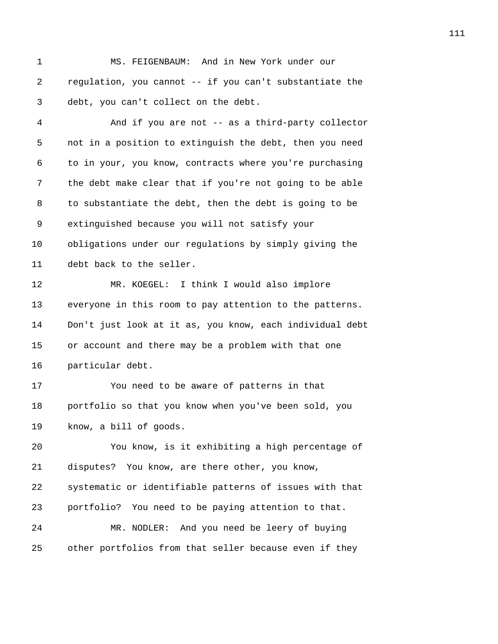1 MS. FEIGENBAUM: And in New York under our 2 regulation, you cannot -- if you can't substantiate the 3 debt, you can't collect on the debt.

4 And if you are not -- as a third-party collector 5 not in a position to extinguish the debt, then you need 6 to in your, you know, contracts where you're purchasing 7 the debt make clear that if you're not going to be able 8 to substantiate the debt, then the debt is going to be 9 extinguished because you will not satisfy your 10 obligations under our regulations by simply giving the 11 debt back to the seller. 12 MR. KOEGEL: I think I would also implore 13 everyone in this room to pay attention to the patterns. 14 Don't just look at it as, you know, each individual debt 15 or account and there may be a problem with that one 16 particular debt. 17 You need to be aware of patterns in that 18 portfolio so that you know when you've been sold, you

20 You know, is it exhibiting a high percentage of 21 disputes? You know, are there other, you know, 22 systematic or identifiable patterns of issues with that 23 portfolio? You need to be paying attention to that. 24 MR. NODLER: And you need be leery of buying 25 other portfolios from that seller because even if they

19 know, a bill of goods.

111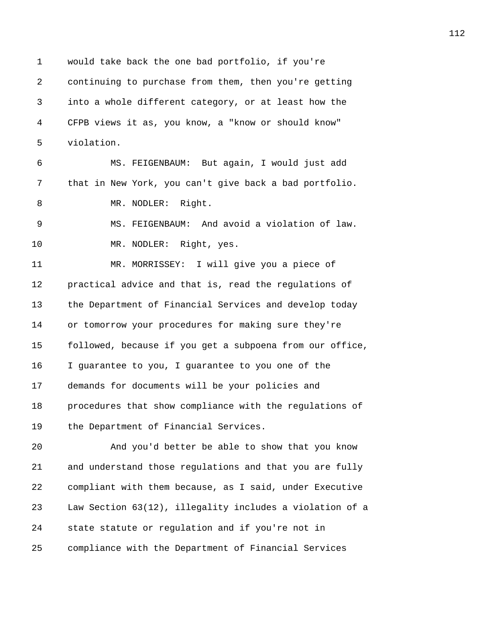1 would take back the one bad portfolio, if you're 2 continuing to purchase from them, then you're getting 3 into a whole different category, or at least how the 4 CFPB views it as, you know, a "know or should know" 5 violation. 6 MS. FEIGENBAUM: But again, I would just add 7 that in New York, you can't give back a bad portfolio. 8 MR. NODLER: Right. 9 MS. FEIGENBAUM: And avoid a violation of law. 10 MR. NODLER: Right, yes. 11 MR. MORRISSEY: I will give you a piece of 12 practical advice and that is, read the regulations of 13 the Department of Financial Services and develop today 14 or tomorrow your procedures for making sure they're 15 followed, because if you get a subpoena from our office, 16 I guarantee to you, I guarantee to you one of the 17 demands for documents will be your policies and 18 procedures that show compliance with the regulations of 19 the Department of Financial Services. 20 And you'd better be able to show that you know 21 and understand those regulations and that you are fully 22 compliant with them because, as I said, under Executive 23 Law Section 63(12), illegality includes a violation of a

25 compliance with the Department of Financial Services

24 state statute or regulation and if you're not in

112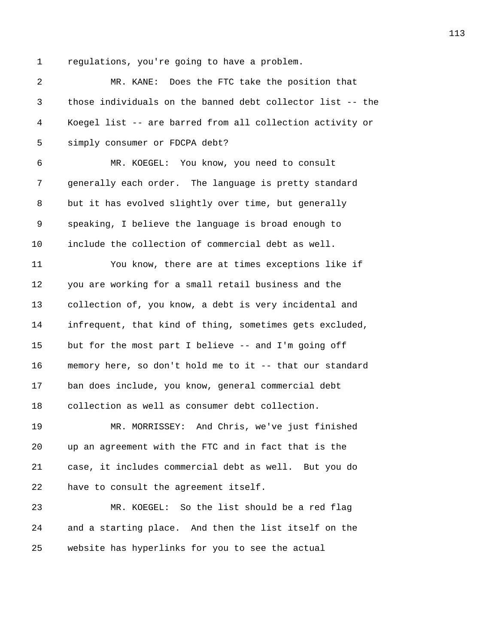1 regulations, you're going to have a problem.

2 MR. KANE: Does the FTC take the position that 3 those individuals on the banned debt collector list -- the 4 Koegel list -- are barred from all collection activity or 5 simply consumer or FDCPA debt? 6 MR. KOEGEL: You know, you need to consult 7 generally each order. The language is pretty standard 8 but it has evolved slightly over time, but generally 9 speaking, I believe the language is broad enough to 10 include the collection of commercial debt as well. 11 You know, there are at times exceptions like if 12 you are working for a small retail business and the 13 collection of, you know, a debt is very incidental and 14 infrequent, that kind of thing, sometimes gets excluded, 15 but for the most part I believe -- and I'm going off 16 memory here, so don't hold me to it -- that our standard 17 ban does include, you know, general commercial debt 18 collection as well as consumer debt collection. 19 MR. MORRISSEY: And Chris, we've just finished 20 up an agreement with the FTC and in fact that is the 21 case, it includes commercial debt as well. But you do 22 have to consult the agreement itself. 23 MR. KOEGEL: So the list should be a red flag 24 and a starting place. And then the list itself on the 25 website has hyperlinks for you to see the actual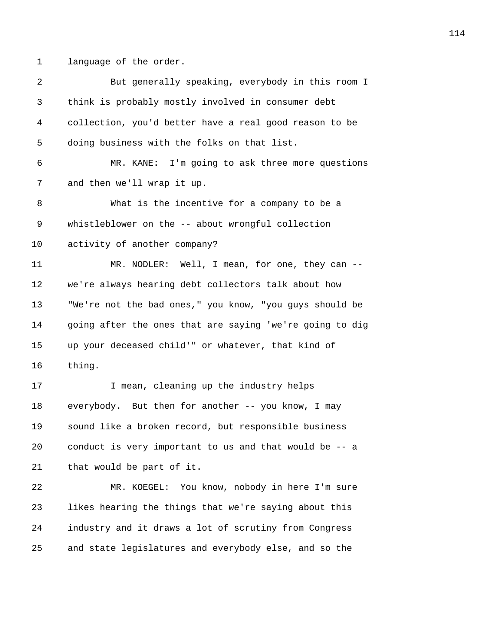1 language of the order.

| 2  | But generally speaking, everybody in this room I         |
|----|----------------------------------------------------------|
| 3  | think is probably mostly involved in consumer debt       |
| 4  | collection, you'd better have a real good reason to be   |
| 5  | doing business with the folks on that list.              |
| 6  | MR. KANE: I'm going to ask three more questions          |
| 7  | and then we'll wrap it up.                               |
| 8  | What is the incentive for a company to be a              |
| 9  | whistleblower on the -- about wrongful collection        |
| 10 | activity of another company?                             |
| 11 | MR. NODLER: Well, I mean, for one, they can --           |
| 12 | we're always hearing debt collectors talk about how      |
| 13 | "We're not the bad ones," you know, "you guys should be  |
| 14 | going after the ones that are saying 'we're going to dig |
| 15 | up your deceased child'" or whatever, that kind of       |
| 16 | thing.                                                   |
| 17 | I mean, cleaning up the industry helps                   |
| 18 | everybody. But then for another -- you know, I may       |
| 19 | sound like a broken record, but responsible business     |
| 20 | conduct is very important to us and that would be -- a   |
| 21 | that would be part of it.                                |
| 22 | MR. KOEGEL: You know, nobody in here I'm sure            |
| 23 | likes hearing the things that we're saying about this    |
| 24 | industry and it draws a lot of scrutiny from Congress    |
| 25 | and state legislatures and everybody else, and so the    |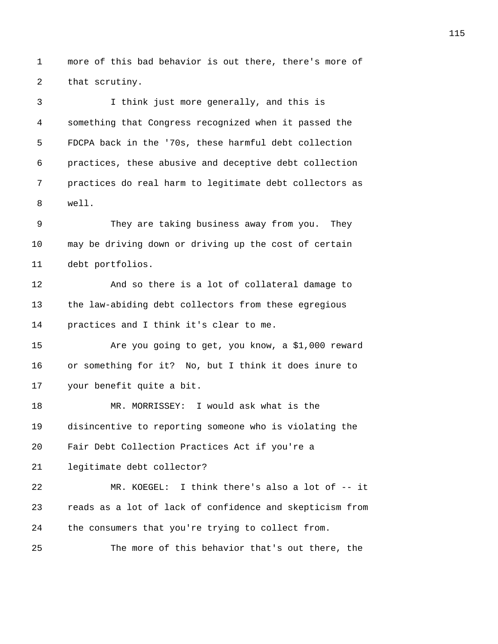1 more of this bad behavior is out there, there's more of 2 that scrutiny.

3 I think just more generally, and this is 4 something that Congress recognized when it passed the 5 FDCPA back in the '70s, these harmful debt collection 6 practices, these abusive and deceptive debt collection 7 practices do real harm to legitimate debt collectors as 8 well.

9 They are taking business away from you. They 10 may be driving down or driving up the cost of certain 11 debt portfolios.

12 And so there is a lot of collateral damage to 13 the law-abiding debt collectors from these egregious 14 practices and I think it's clear to me.

15 Are you going to get, you know, a \$1,000 reward 16 or something for it? No, but I think it does inure to 17 your benefit quite a bit.

18 MR. MORRISSEY: I would ask what is the 19 disincentive to reporting someone who is violating the 20 Fair Debt Collection Practices Act if you're a 21 legitimate debt collector? 22 MR. KOEGEL: I think there's also a lot of -- it 23 reads as a lot of lack of confidence and skepticism from 24 the consumers that you're trying to collect from.

25 The more of this behavior that's out there, the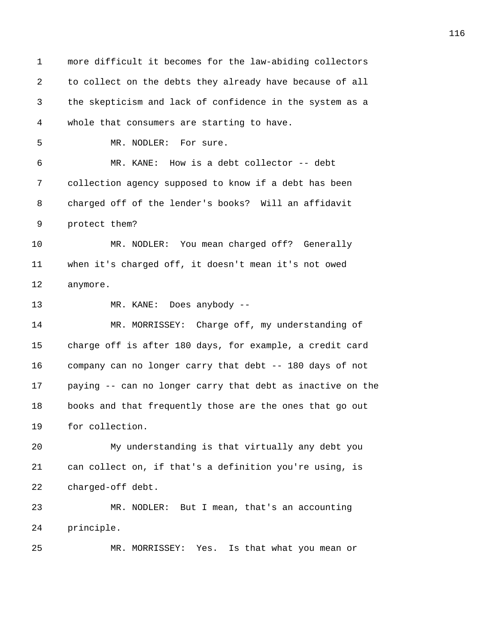1 more difficult it becomes for the law-abiding collectors 2 to collect on the debts they already have because of all 3 the skepticism and lack of confidence in the system as a 4 whole that consumers are starting to have. 5 MR. NODLER: For sure. 6 MR. KANE: How is a debt collector -- debt 7 collection agency supposed to know if a debt has been 8 charged off of the lender's books? Will an affidavit 9 protect them? 10 MR. NODLER: You mean charged off? Generally 11 when it's charged off, it doesn't mean it's not owed 12 anymore. 13 MR. KANE: Does anybody -- 14 MR. MORRISSEY: Charge off, my understanding of 15 charge off is after 180 days, for example, a credit card 16 company can no longer carry that debt -- 180 days of not 17 paying -- can no longer carry that debt as inactive on the 18 books and that frequently those are the ones that go out 19 for collection. 20 My understanding is that virtually any debt you 21 can collect on, if that's a definition you're using, is 22 charged-off debt. 23 MR. NODLER: But I mean, that's an accounting 24 principle. 25 MR. MORRISSEY: Yes. Is that what you mean or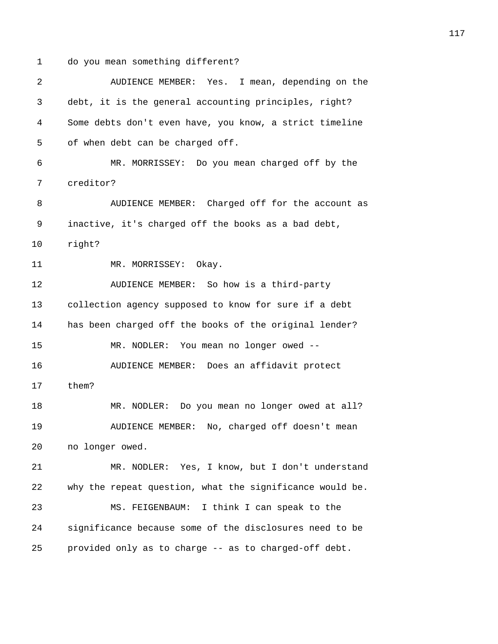1 do you mean something different?

| 2  | AUDIENCE MEMBER: Yes. I mean, depending on the           |
|----|----------------------------------------------------------|
| 3  | debt, it is the general accounting principles, right?    |
| 4  | Some debts don't even have, you know, a strict timeline  |
| 5  | of when debt can be charged off.                         |
| 6  | MR. MORRISSEY: Do you mean charged off by the            |
| 7  | creditor?                                                |
| 8  | AUDIENCE MEMBER: Charged off for the account as          |
| 9  | inactive, it's charged off the books as a bad debt,      |
| 10 | right?                                                   |
| 11 | MR. MORRISSEY: Okay.                                     |
| 12 | AUDIENCE MEMBER: So how is a third-party                 |
| 13 | collection agency supposed to know for sure if a debt    |
| 14 | has been charged off the books of the original lender?   |
| 15 | MR. NODLER: You mean no longer owed --                   |
| 16 | AUDIENCE MEMBER: Does an affidavit protect               |
| 17 | them?                                                    |
| 18 | MR. NODLER: Do you mean no longer owed at all?           |
| 19 | AUDIENCE MEMBER: No, charged off doesn't mean            |
| 20 | no longer owed.                                          |
| 21 | MR. NODLER: Yes, I know, but I don't understand          |
| 22 | why the repeat question, what the significance would be. |
| 23 | MS. FEIGENBAUM: I think I can speak to the               |
| 24 | significance because some of the disclosures need to be  |
| 25 | provided only as to charge -- as to charged-off debt.    |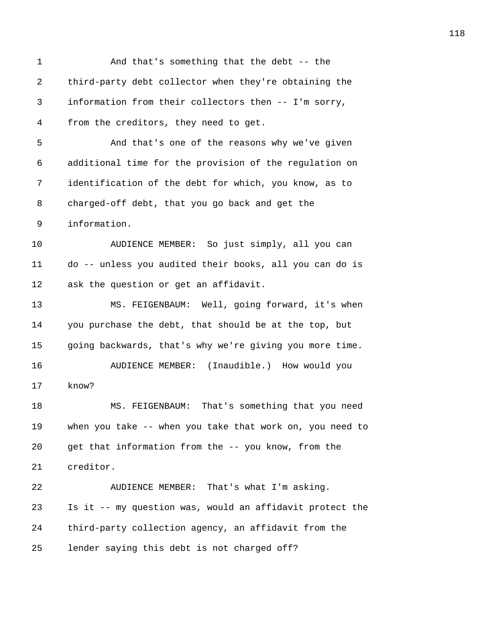1 And that's something that the debt -- the 2 third-party debt collector when they're obtaining the 3 information from their collectors then -- I'm sorry, 4 from the creditors, they need to get. 5 And that's one of the reasons why we've given 6 additional time for the provision of the regulation on 7 identification of the debt for which, you know, as to 8 charged-off debt, that you go back and get the 9 information. 10 AUDIENCE MEMBER: So just simply, all you can 11 do -- unless you audited their books, all you can do is 12 ask the question or get an affidavit. 13 MS. FEIGENBAUM: Well, going forward, it's when 14 you purchase the debt, that should be at the top, but 15 going backwards, that's why we're giving you more time. 16 AUDIENCE MEMBER: (Inaudible.) How would you 17 know? 18 MS. FEIGENBAUM: That's something that you need 19 when you take -- when you take that work on, you need to 20 get that information from the -- you know, from the 21 creditor. 22 AUDIENCE MEMBER: That's what I'm asking. 23 Is it -- my question was, would an affidavit protect the 24 third-party collection agency, an affidavit from the 25 lender saying this debt is not charged off?

118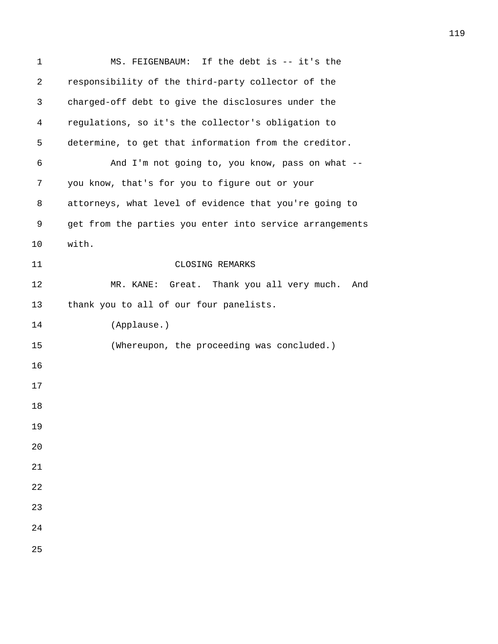| $\mathbf{1}$ | MS. FEIGENBAUM: If the debt is -- it's the               |
|--------------|----------------------------------------------------------|
| 2            | responsibility of the third-party collector of the       |
| 3            | charged-off debt to give the disclosures under the       |
| 4            | regulations, so it's the collector's obligation to       |
| 5            | determine, to get that information from the creditor.    |
| 6            | And I'm not going to, you know, pass on what --          |
| 7            | you know, that's for you to figure out or your           |
| 8            | attorneys, what level of evidence that you're going to   |
| 9            | get from the parties you enter into service arrangements |
| 10           | with.                                                    |
| 11           | CLOSING REMARKS                                          |
| 12           | MR. KANE: Great. Thank you all very much.<br>And         |
| 13           | thank you to all of our four panelists.                  |
| 14           | (Applause.)                                              |
| 15           | (Whereupon, the proceeding was concluded.)               |
| 16           |                                                          |
| 17           |                                                          |
| 18           |                                                          |
| 19           |                                                          |
| 20           |                                                          |
| 21           |                                                          |
| 22           |                                                          |
| 23           |                                                          |
| 24           |                                                          |
| 25           |                                                          |